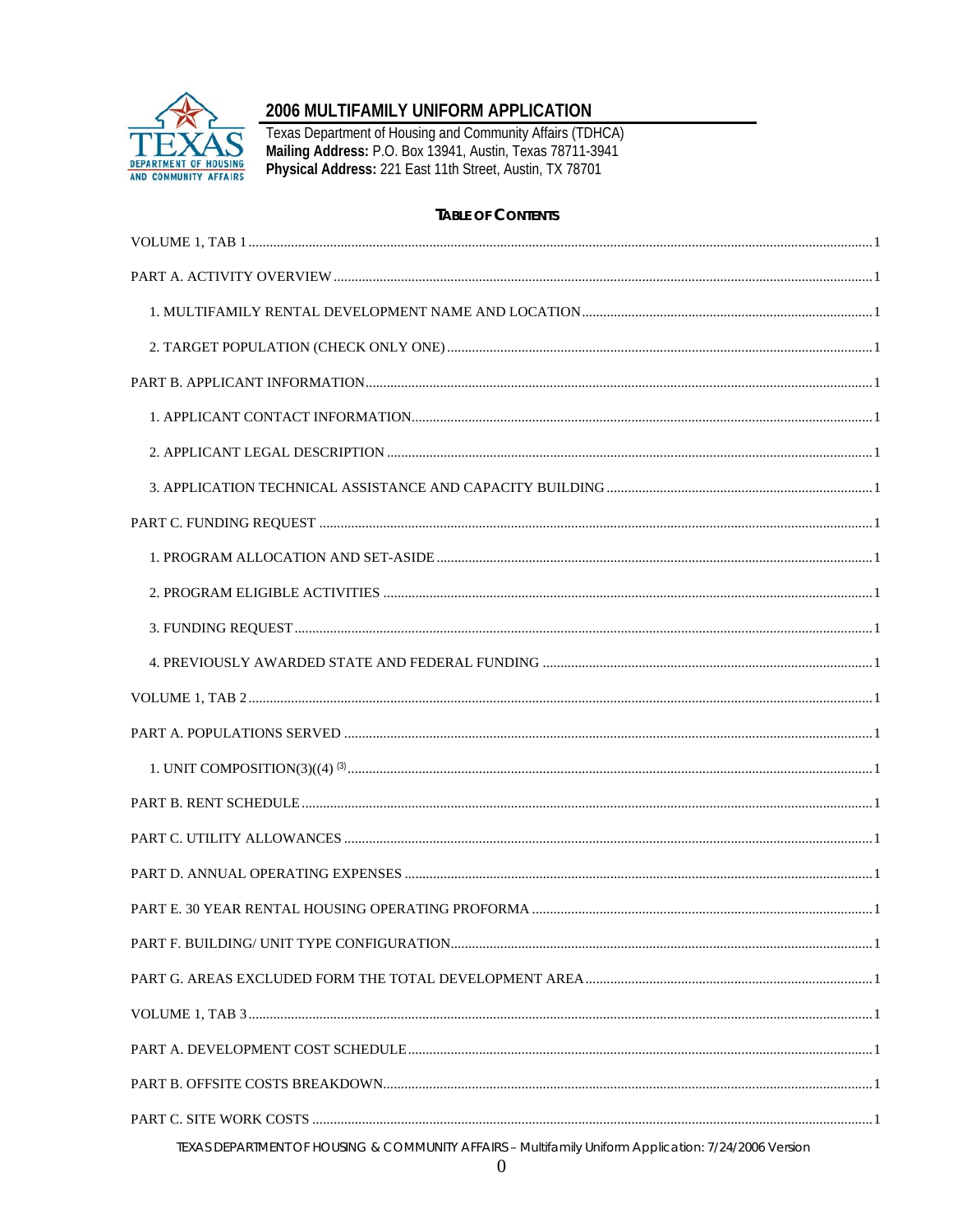

# 2006 MULTIFAMILY UNIFORM APPLICATION

Texas Department of Housing and Community Affairs (TDHCA)<br>Mailing Address: P.O. Box 13941, Austin, Texas 78711-3941<br>Physical Address: 221 East 11th Street, Austin, TX 78701

#### **TABLE OF CONTENTS**

| TEXAS DEPARTMENT OF HOUSING & COMMUNITY AFFAIRS - Multifamily Uniform Application: 7/24/2006 Version |
|------------------------------------------------------------------------------------------------------|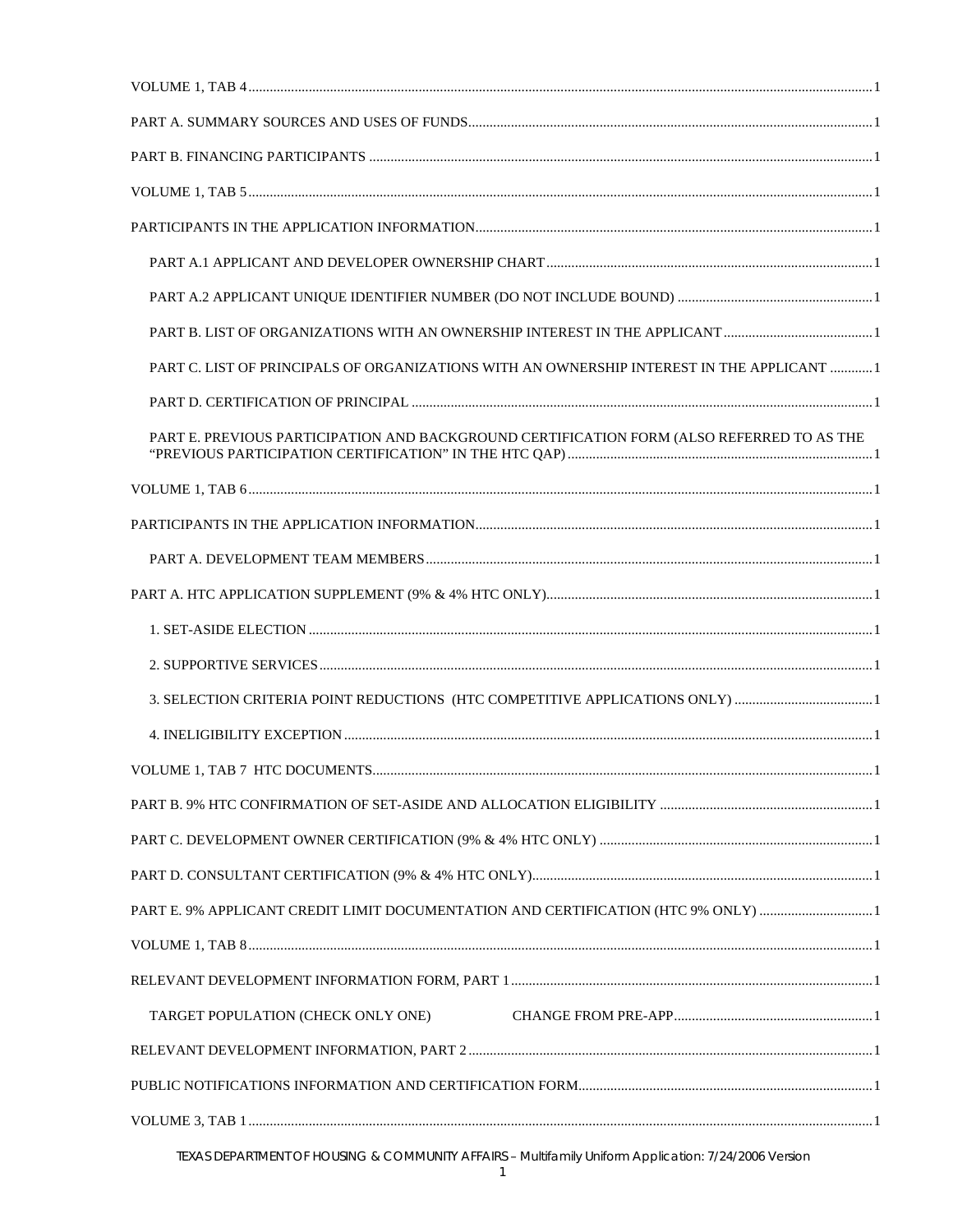| PART C. LIST OF PRINCIPALS OF ORGANIZATIONS WITH AN OWNERSHIP INTEREST IN THE APPLICANT  1 |
|--------------------------------------------------------------------------------------------|
|                                                                                            |
| PART E. PREVIOUS PARTICIPATION AND BACKGROUND CERTIFICATION FORM (ALSO REFERRED TO AS THE  |
|                                                                                            |
|                                                                                            |
|                                                                                            |
|                                                                                            |
|                                                                                            |
|                                                                                            |
| 3. SELECTION CRITERIA POINT REDUCTIONS (HTC COMPETITIVE APPLICATIONS ONLY) 1               |
|                                                                                            |
|                                                                                            |
|                                                                                            |
|                                                                                            |
|                                                                                            |
| PART E. 9% APPLICANT CREDIT LIMIT DOCUMENTATION AND CERTIFICATION (HTC 9% ONLY) 1          |
|                                                                                            |
|                                                                                            |
| TARGET POPULATION (CHECK ONLY ONE)                                                         |
|                                                                                            |
|                                                                                            |
|                                                                                            |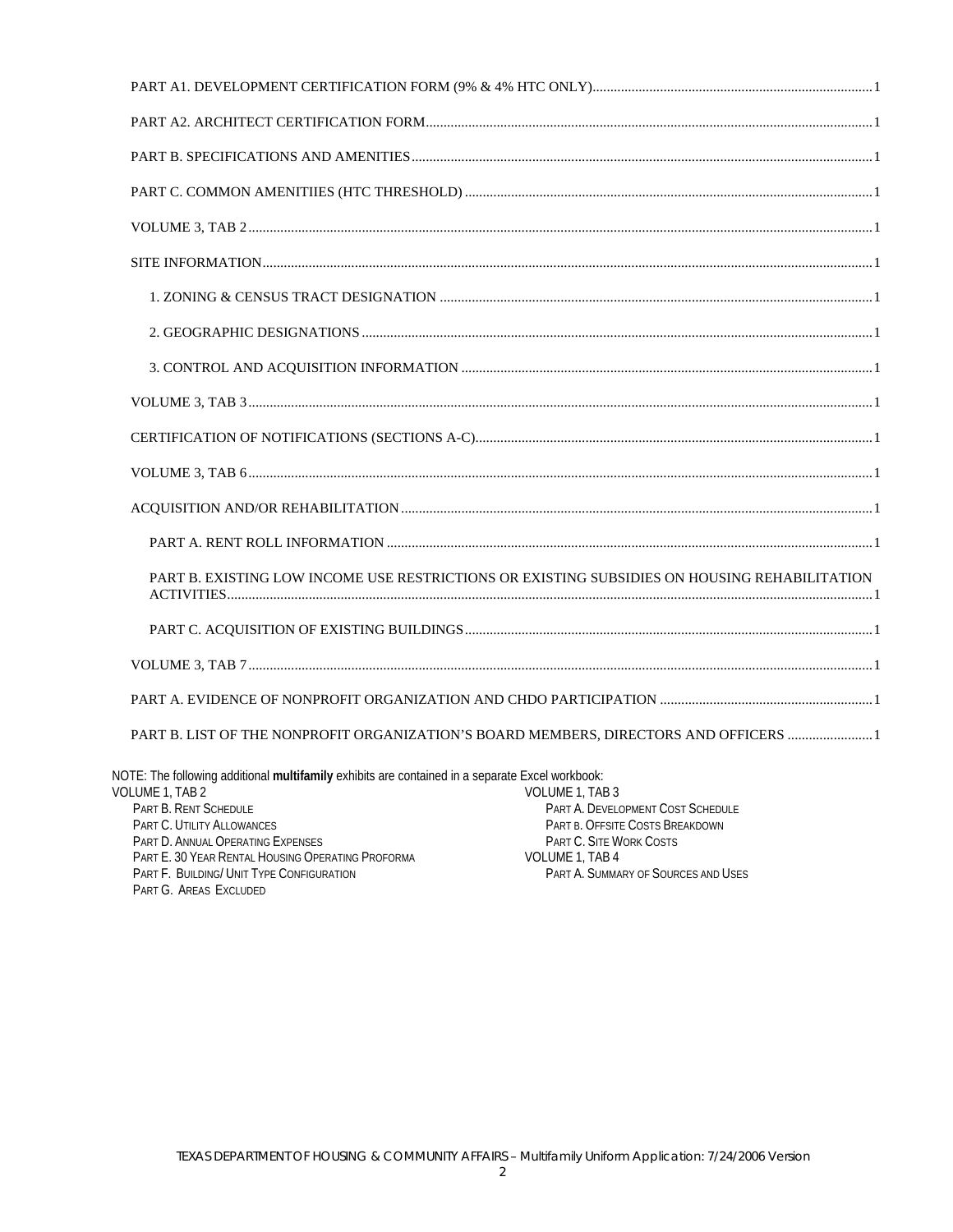|                                                                                                                                                                                                                                                                                                                                            | PART B. EXISTING LOW INCOME USE RESTRICTIONS OR EXISTING SUBSIDIES ON HOUSING REHABILITATION                                                                                 |
|--------------------------------------------------------------------------------------------------------------------------------------------------------------------------------------------------------------------------------------------------------------------------------------------------------------------------------------------|------------------------------------------------------------------------------------------------------------------------------------------------------------------------------|
|                                                                                                                                                                                                                                                                                                                                            |                                                                                                                                                                              |
|                                                                                                                                                                                                                                                                                                                                            |                                                                                                                                                                              |
|                                                                                                                                                                                                                                                                                                                                            |                                                                                                                                                                              |
|                                                                                                                                                                                                                                                                                                                                            | PART B. LIST OF THE NONPROFIT ORGANIZATION'S BOARD MEMBERS, DIRECTORS AND OFFICERS  1                                                                                        |
| NOTE: The following additional multifamily exhibits are contained in a separate Excel workbook:<br>VOLUME 1, TAB 2<br>PART B. RENT SCHEDULE<br>PART C. UTILITY ALLOWANCES<br>PART D. ANNUAL OPERATING EXPENSES<br>PART E. 30 YEAR RENTAL HOUSING OPERATING PROFORMA<br>PART F. BUILDING/ UNIT TYPE CONFIGURATION<br>PART G. AREAS EXCLUDED | VOLUME 1, TAB 3<br>PART A. DEVELOPMENT COST SCHEDULE<br>PART B. OFFSITE COSTS BREAKDOWN<br>PART C. SITE WORK COSTS<br>VOLUME 1, TAB 4<br>PART A. SUMMARY OF SOURCES AND USES |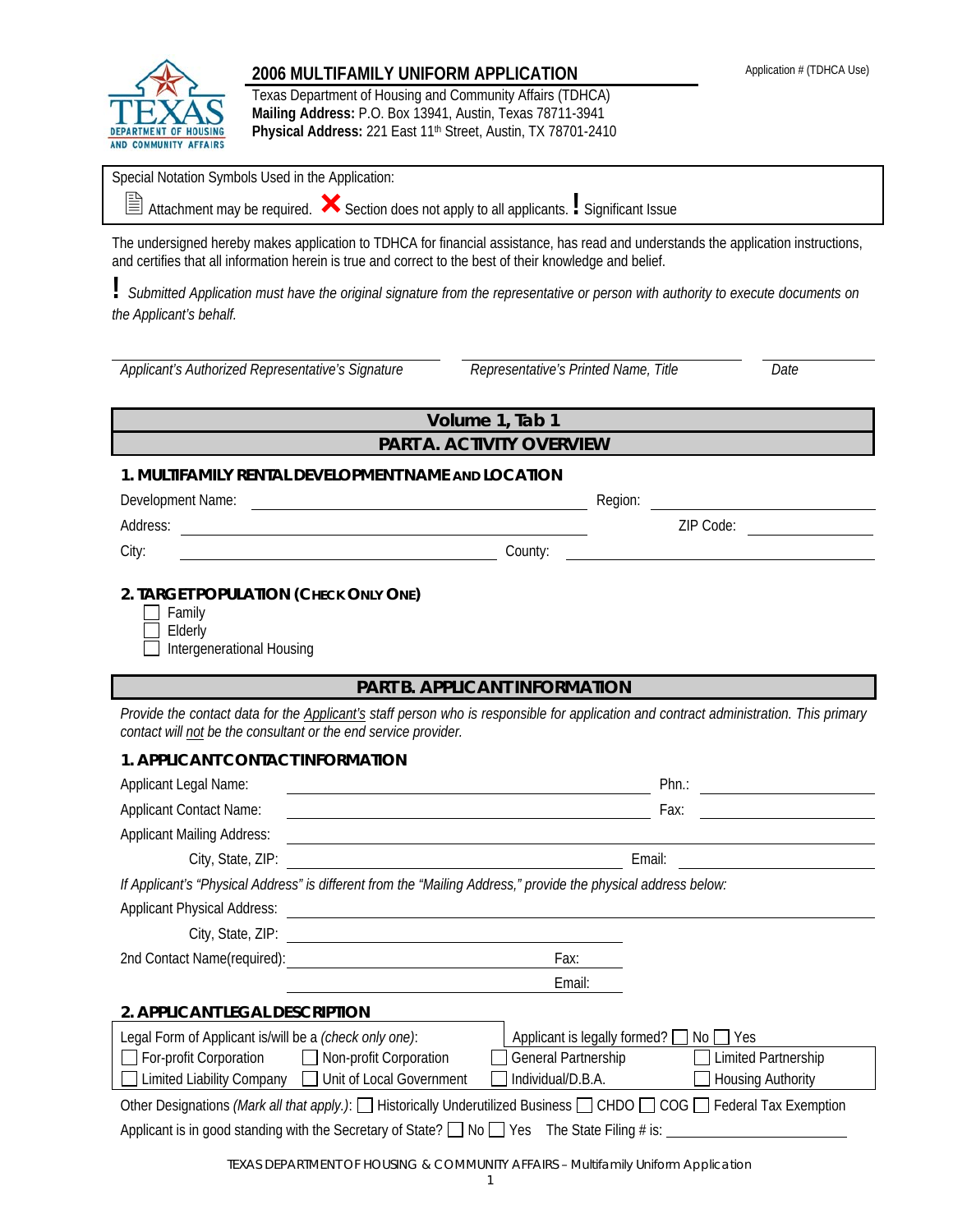

## **2006 MULTIFAMILY UNIFORM APPLICATION Application # (TDHCA Use)**

Texas Department of Housing and Community Affairs (TDHCA) **Mailing Address:** P.O. Box 13941, Austin, Texas 78711-3941 **Physical Address:** 221 East 11th Street, Austin, TX 78701-2410

| $\frac{1}{2}$ is the product of $\frac{1}{2}$ in the contract of $\frac{1}{2}$ is the product of $\frac{1}{2}$ in $\frac{1}{2}$ is the contract of $\frac{1}{2}$<br><b>AND COMMUNITY AFFAIRS</b> |                                                                                                                                                                                |
|--------------------------------------------------------------------------------------------------------------------------------------------------------------------------------------------------|--------------------------------------------------------------------------------------------------------------------------------------------------------------------------------|
| Special Notation Symbols Used in the Application:                                                                                                                                                |                                                                                                                                                                                |
| $\triangleq$ Attachment may be required. $\bigtimes$ Section does not apply to all applicants. I Significant Issue                                                                               |                                                                                                                                                                                |
| and certifies that all information herein is true and correct to the best of their knowledge and belief.                                                                                         | The undersigned hereby makes application to TDHCA for financial assistance, has read and understands the application instructions,                                             |
| the Applicant's behalf.                                                                                                                                                                          | Submitted Application must have the original signature from the representative or person with authority to execute documents on                                                |
| Applicant's Authorized Representative's Signature                                                                                                                                                | Representative's Printed Name, Title<br>Date                                                                                                                                   |
|                                                                                                                                                                                                  | Volume 1, Tab 1                                                                                                                                                                |
|                                                                                                                                                                                                  | PART A. ACTIVITY OVERVIEW                                                                                                                                                      |
| 1. MULTIFAMILY RENTAL DEVELOPMENT NAME AND LOCATION                                                                                                                                              |                                                                                                                                                                                |
| Development Name:                                                                                                                                                                                | Region:                                                                                                                                                                        |
| Address:<br><u> 1989 - Johann Barbara, martxa eta idazlea (h. 1989).</u>                                                                                                                         | ZIP Code:                                                                                                                                                                      |
| City:                                                                                                                                                                                            | County:                                                                                                                                                                        |
| Elderly<br>Intergenerational Housing                                                                                                                                                             |                                                                                                                                                                                |
| contact will not be the consultant or the end service provider.                                                                                                                                  | <b>PART B. APPLICANT INFORMATION</b><br>Provide the contact data for the Applicant's staff person who is responsible for application and contract administration. This primary |
| 1. APPLICANT CONTACT INFORMATION                                                                                                                                                                 |                                                                                                                                                                                |
| Applicant Legal Name:                                                                                                                                                                            | $Phn$ :                                                                                                                                                                        |
| <b>Applicant Contact Name:</b>                                                                                                                                                                   | Fax:                                                                                                                                                                           |
| <b>Applicant Mailing Address:</b>                                                                                                                                                                |                                                                                                                                                                                |
| City, State, ZIP:                                                                                                                                                                                | Email:                                                                                                                                                                         |
| If Applicant's "Physical Address" is different from the "Mailing Address," provide the physical address below:                                                                                   |                                                                                                                                                                                |
| <b>Applicant Physical Address:</b>                                                                                                                                                               | <u> 1980 - Johann John Stein, markin fizik eta idazleari (</u>                                                                                                                 |
| City, State, ZIP:                                                                                                                                                                                |                                                                                                                                                                                |
| 2nd Contact Name(required):                                                                                                                                                                      | Fax:                                                                                                                                                                           |
|                                                                                                                                                                                                  | Email:                                                                                                                                                                         |
| 2. APPLICANT LEGAL DESCRIPTION                                                                                                                                                                   |                                                                                                                                                                                |
| Legal Form of Applicant is/will be a (check only one):                                                                                                                                           | Applicant is legally formed?<br>Yes<br>No.                                                                                                                                     |
| For-profit Corporation<br>$\Box$ Non-profit Corporation                                                                                                                                          | General Partnership<br>Limited Partnership                                                                                                                                     |
| <b>Limited Liability Company</b><br>Unit of Local Government                                                                                                                                     | Individual/D.B.A.<br>Housing Authority                                                                                                                                         |
| Applicant is in good standing with the Secretary of State? $\Box$ No $\Box$ Yes The State Filing # is:                                                                                           | Other Designations (Mark all that apply.): [ Historically Underutilized Business [ CHDO [ COG [ Federal Tax Exemption                                                          |
|                                                                                                                                                                                                  |                                                                                                                                                                                |

TEXAS DEPARTMENT OF HOUSING & COMMUNITY AFFAIRS – Multifamily Uniform Application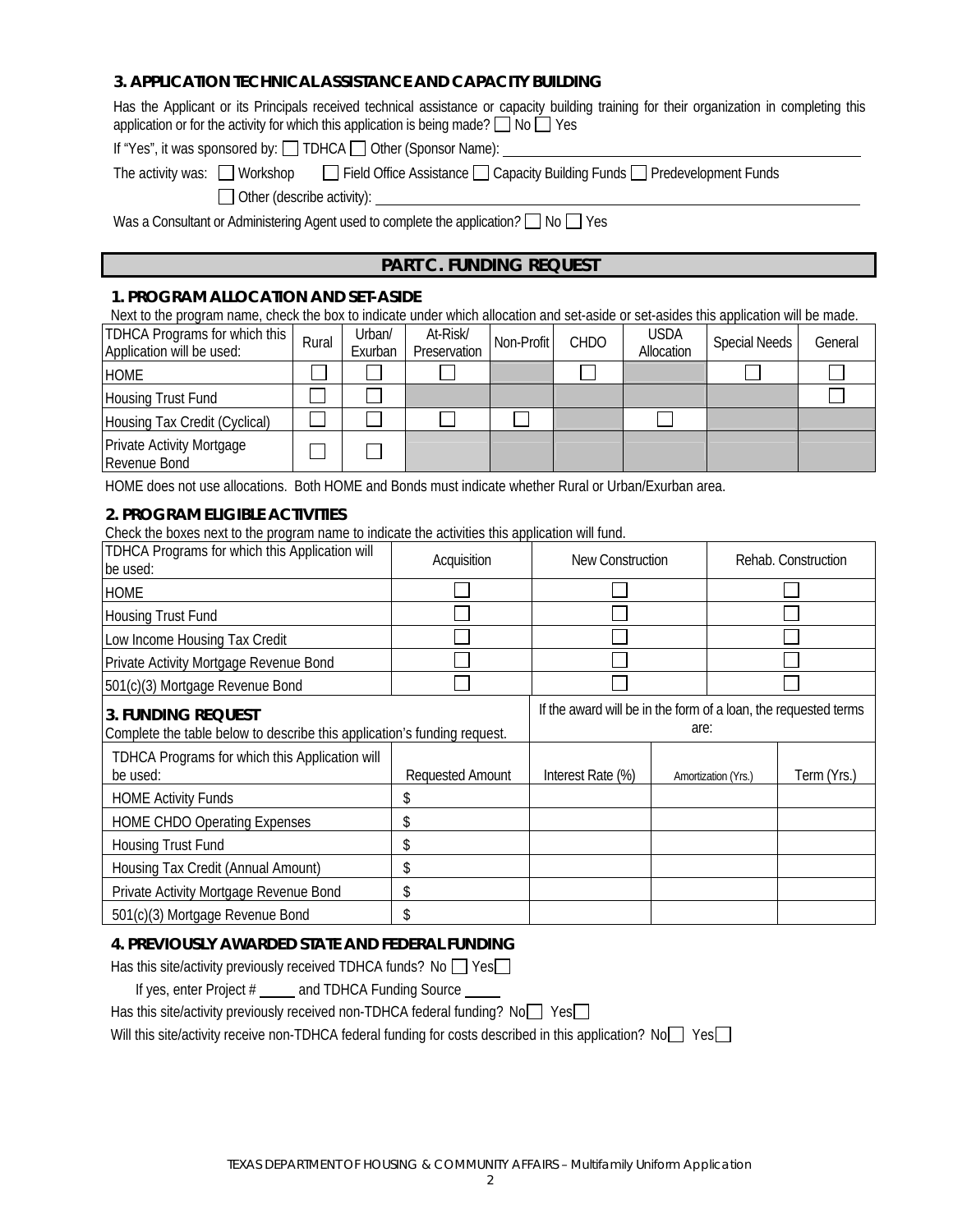#### **3. APPLICATION TECHNICAL ASSISTANCE AND CAPACITY BUILDING**

Has the Applicant or its Principals received technical assistance or capacity building training for their organization in completing this application or for the activity for which this application is being made?  $\Box$  No  $\Box$  Yes

If "Yes", it was sponsored by:  $\Box$  TDHCA  $\Box$  Other (Sponsor Name):

The activity was:  $\Box$  Workshop  $\Box$  Field Office Assistance  $\Box$  Capacity Building Funds  $\Box$  Predevelopment Funds

Other (describe activity):

Was a Consultant or Administering Agent used to complete the application ? No Yes

#### **PART C. FUNDING REQUEST**

#### **1. PROGRAM ALLOCATION AND SET-ASIDE**

| Next to the program name, check the box to indicate under which allocation and set-aside or set-asides this application will be made. |       |                   |                          |            |             |                           |                      |         |
|---------------------------------------------------------------------------------------------------------------------------------------|-------|-------------------|--------------------------|------------|-------------|---------------------------|----------------------|---------|
| TDHCA Programs for which this<br>Application will be used:                                                                            | Rural | Urban/<br>Exurban | At-Risk/<br>Preservation | Non-Profit | <b>CHDO</b> | <b>USDA</b><br>Allocation | <b>Special Needs</b> | General |
| <b>HOME</b>                                                                                                                           |       |                   |                          |            |             |                           |                      |         |
| <b>Housing Trust Fund</b>                                                                                                             |       |                   |                          |            |             |                           |                      |         |
| Housing Tax Credit (Cyclical)                                                                                                         |       |                   |                          |            |             |                           |                      |         |
| <b>Private Activity Mortgage</b><br>Revenue Bond                                                                                      |       |                   |                          |            |             |                           |                      |         |

HOME does not use allocations. Both HOME and Bonds must indicate whether Rural or Urban/Exurban area.

#### **2. PROGRAM ELIGIBLE ACTIVITIES**

Check the boxes next to the program name to indicate the activities this application will fund.

| TDHCA Programs for which this Application will<br>be used:                                     | Acquisition      | New Construction                                                |      | Rehab. Construction |             |
|------------------------------------------------------------------------------------------------|------------------|-----------------------------------------------------------------|------|---------------------|-------------|
| <b>HOME</b>                                                                                    |                  |                                                                 |      |                     |             |
| <b>Housing Trust Fund</b>                                                                      |                  |                                                                 |      |                     |             |
| Low Income Housing Tax Credit                                                                  |                  |                                                                 |      |                     |             |
| Private Activity Mortgage Revenue Bond                                                         |                  |                                                                 |      |                     |             |
| 501(c)(3) Mortgage Revenue Bond                                                                |                  |                                                                 |      |                     |             |
| 3. FUNDING REQUEST<br>Complete the table below to describe this application's funding request. |                  | If the award will be in the form of a loan, the requested terms | are: |                     |             |
| TDHCA Programs for which this Application will<br>be used:                                     | Requested Amount | Interest Rate (%)                                               |      | Amortization (Yrs.) | Term (Yrs.) |
| <b>HOME Activity Funds</b>                                                                     |                  |                                                                 |      |                     |             |
| <b>HOME CHDO Operating Expenses</b>                                                            | \$               |                                                                 |      |                     |             |
| <b>Housing Trust Fund</b>                                                                      |                  |                                                                 |      |                     |             |
| Housing Tax Credit (Annual Amount)                                                             | \$               |                                                                 |      |                     |             |
| Private Activity Mortgage Revenue Bond                                                         | \$               |                                                                 |      |                     |             |
| 501(c)(3) Mortgage Revenue Bond                                                                |                  |                                                                 |      |                     |             |

#### **4. PREVIOUSLY AWARDED STATE AND FEDERAL FUNDING**

| Has this site/activity previously received TDHCA funds? No $\Box$ Yes $\Box$                         |
|------------------------------------------------------------------------------------------------------|
| If yes, enter Project # ______ and TDHCA Funding Source ______                                       |
| Has this site/activity previously received non-TDHCA federal funding? $No$ Yes                       |
| . MPILIER ARTE DE REGIONE DE LA TINTIA A CALLA LA REGIONE DE LA LA LA REGIONE DE LA REGIONE DE LA ME |

Will this site/activity receive non-TDHCA federal funding for costs described in this application?  $No \Box Yes \Box$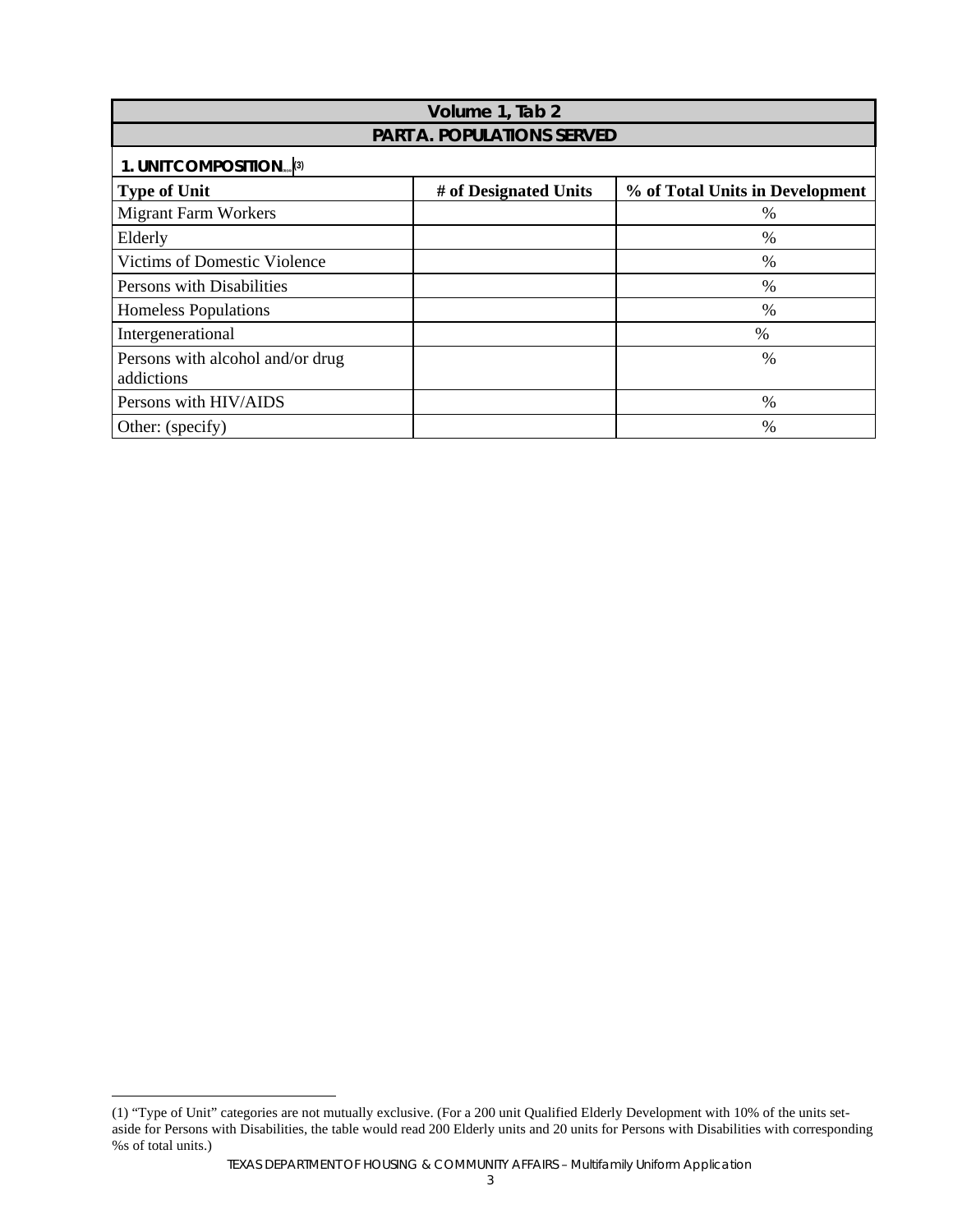| Volume 1, Tab 2                                |                       |                                 |  |  |
|------------------------------------------------|-----------------------|---------------------------------|--|--|
|                                                |                       |                                 |  |  |
| <b>PART A. POPULATIONS SERVED</b>              |                       |                                 |  |  |
| 1. UNIT COMPOSITION <sub>ass</sub> (3)         |                       |                                 |  |  |
| <b>Type of Unit</b>                            | # of Designated Units | % of Total Units in Development |  |  |
| <b>Migrant Farm Workers</b>                    |                       | $\%$                            |  |  |
| Elderly                                        |                       | %                               |  |  |
| Victims of Domestic Violence                   |                       | $\frac{0}{0}$                   |  |  |
| Persons with Disabilities                      |                       | $\%$                            |  |  |
| Homeless Populations                           |                       | %                               |  |  |
| Intergenerational                              |                       | $\%$                            |  |  |
| Persons with alcohol and/or drug<br>addictions |                       | %                               |  |  |
| Persons with HIV/AIDS                          |                       | %                               |  |  |
| Other: (specify)                               |                       | $\%$                            |  |  |

 $\overline{a}$ 

<sup>(1) &</sup>quot;Type of Unit" categories are not mutually exclusive. (For a 200 unit Qualified Elderly Development with 10% of the units setaside for Persons with Disabilities, the table would read 200 Elderly units and 20 units for Persons with Disabilities with corresponding %s of total units.)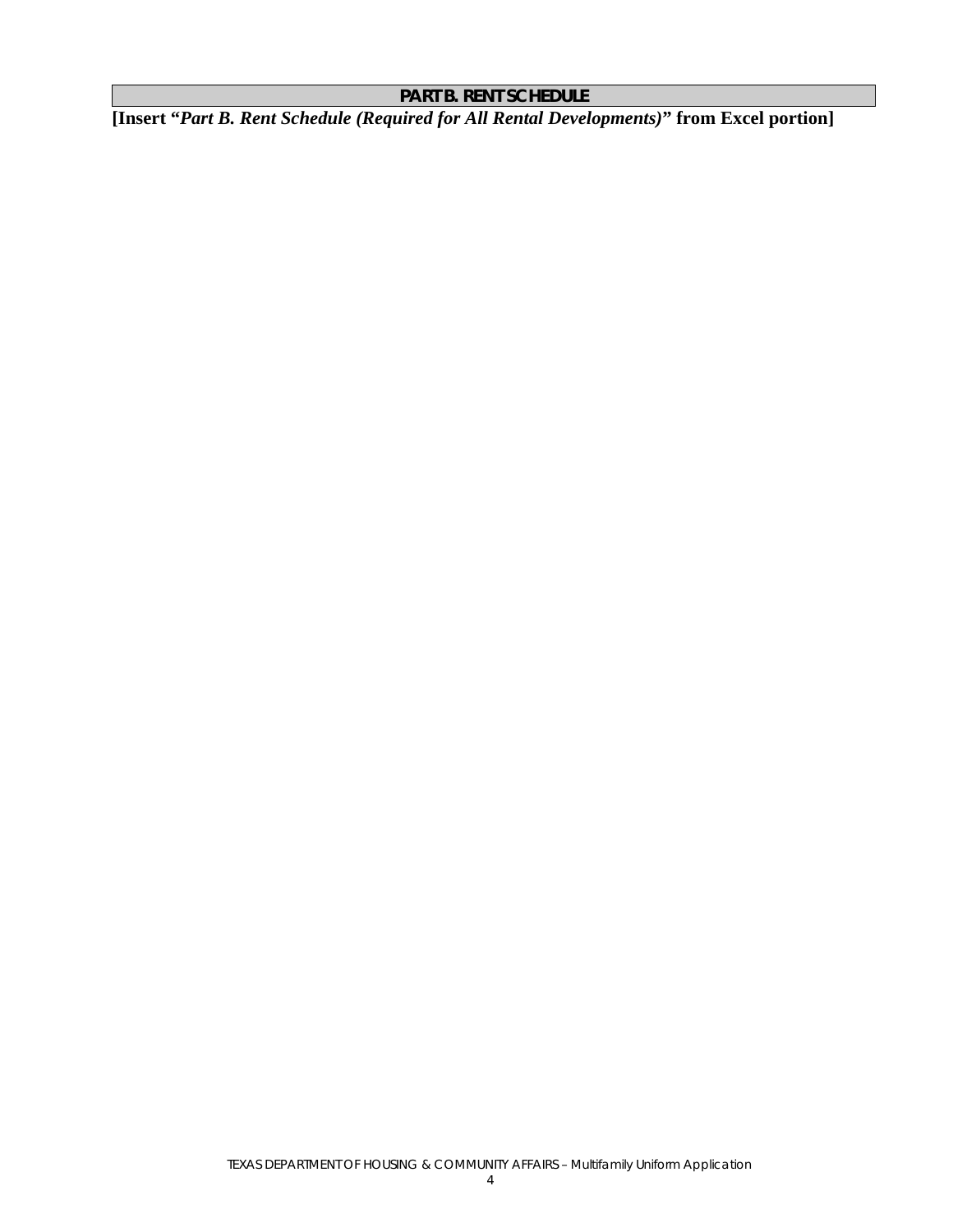# **PART B. RENT SCHEDULE**

**[Insert "***Part B. Rent Schedule (Required for All Rental Developments)***" from Excel portion]**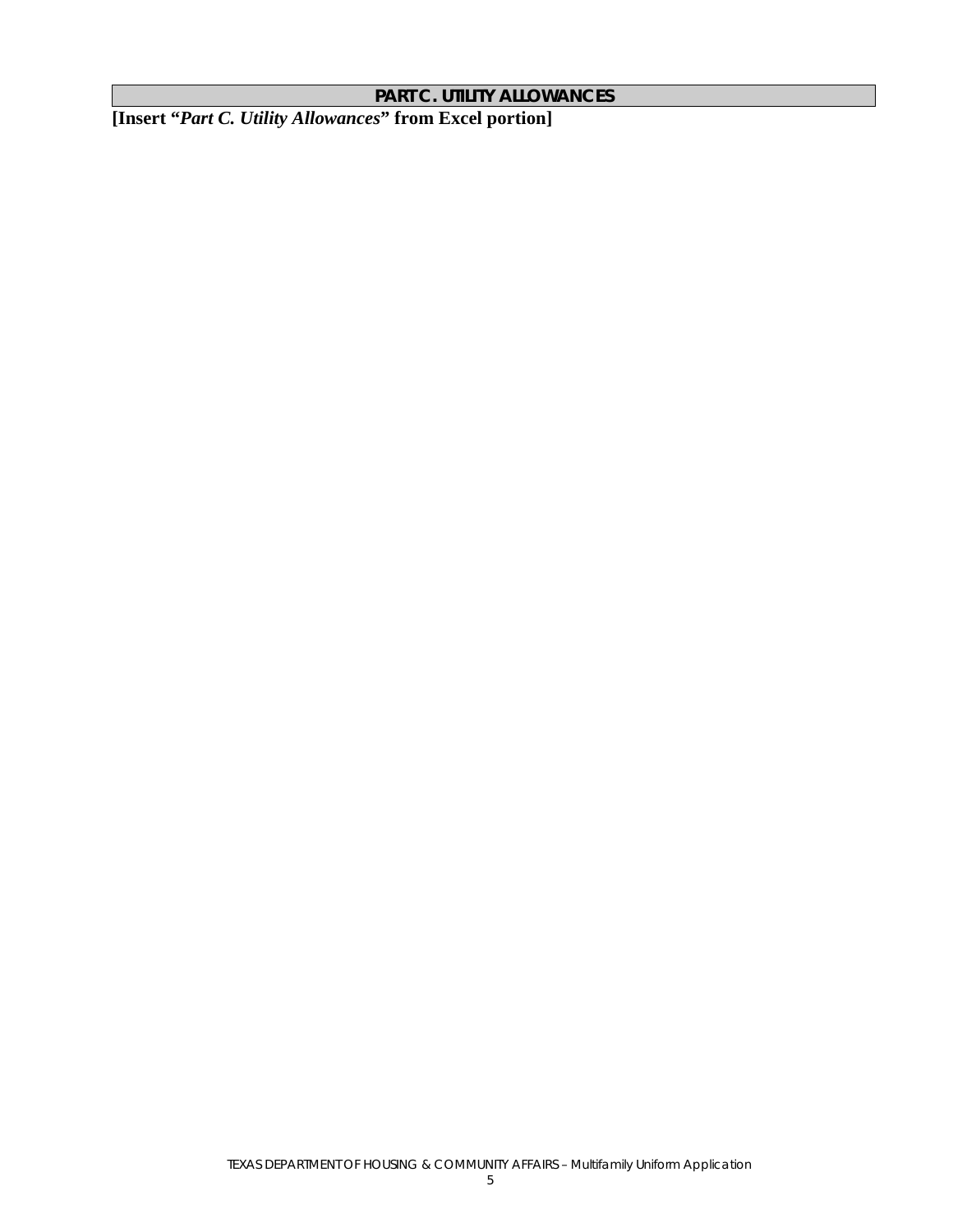#### **PART C. UTILITY ALLOWANCES**

**[Insert "***Part C. Utility Allowances***" from Excel portion]**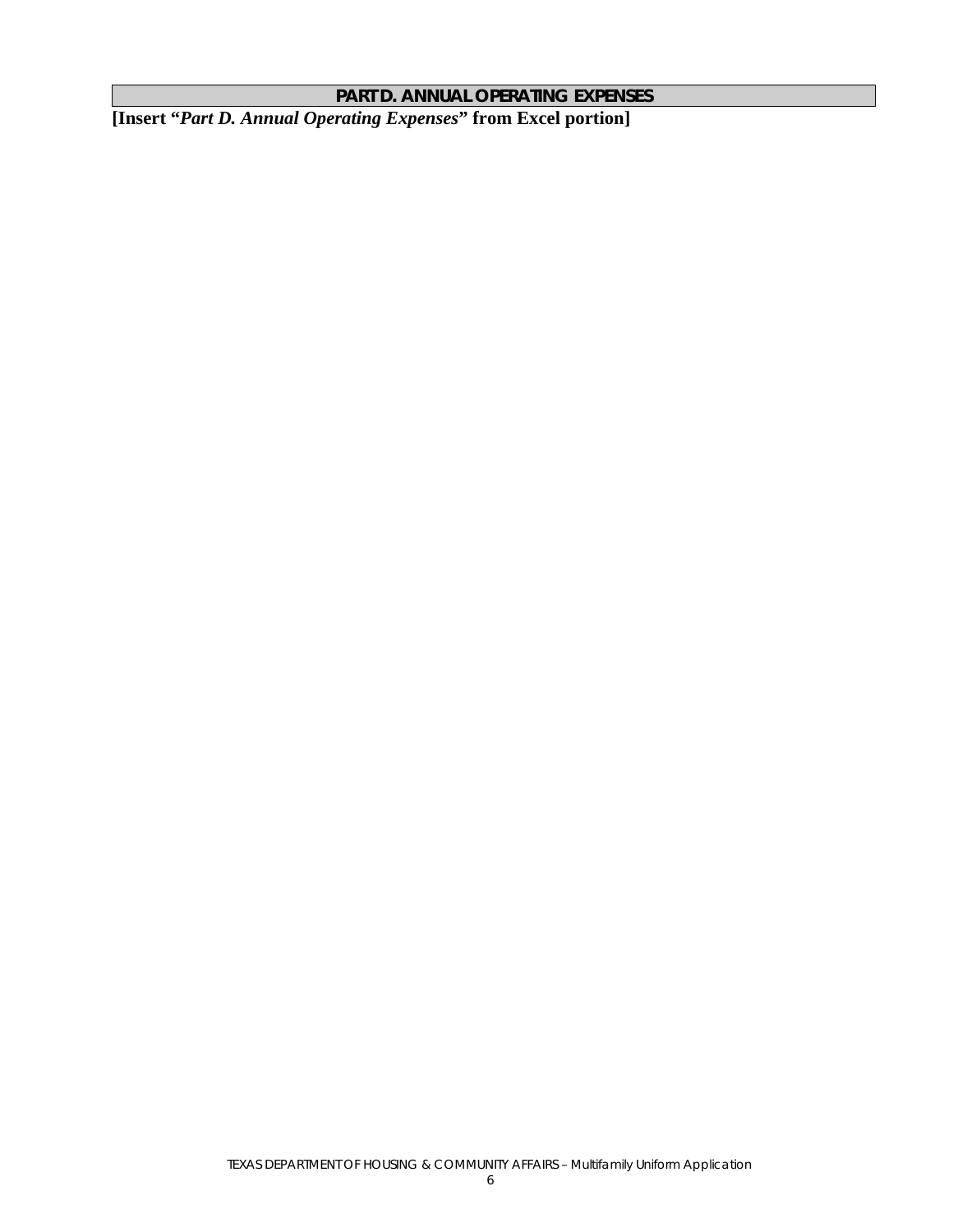# **PART D. ANNUAL OPERATING EXPENSES**

**[Insert "***Part D. Annual Operating Expenses***" from Excel portion]**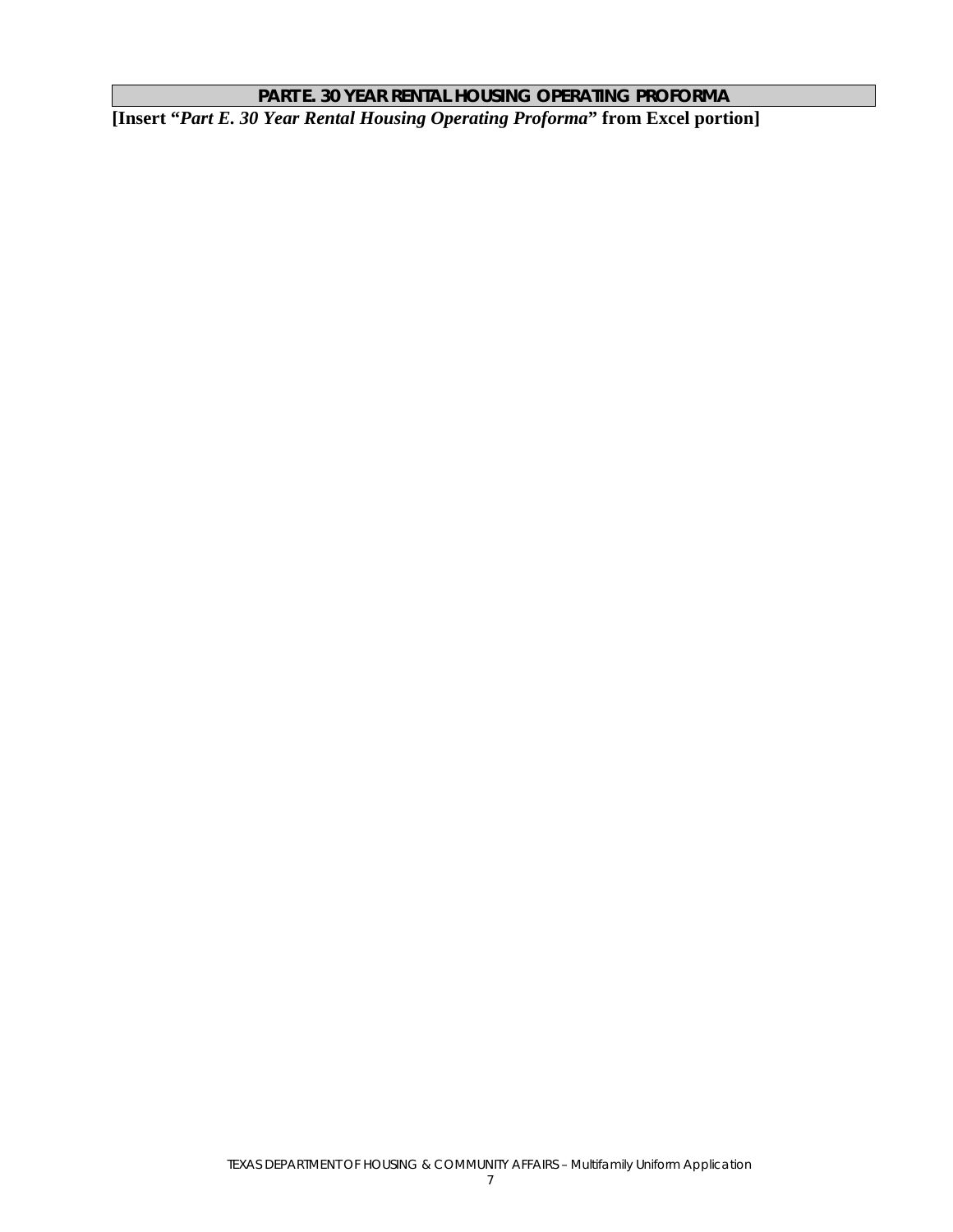# **PART E. 30 YEAR RENTAL HOUSING OPERATING PROFORMA**

**[Insert "***Part E. 30 Year Rental Housing Operating Proforma***" from Excel portion]**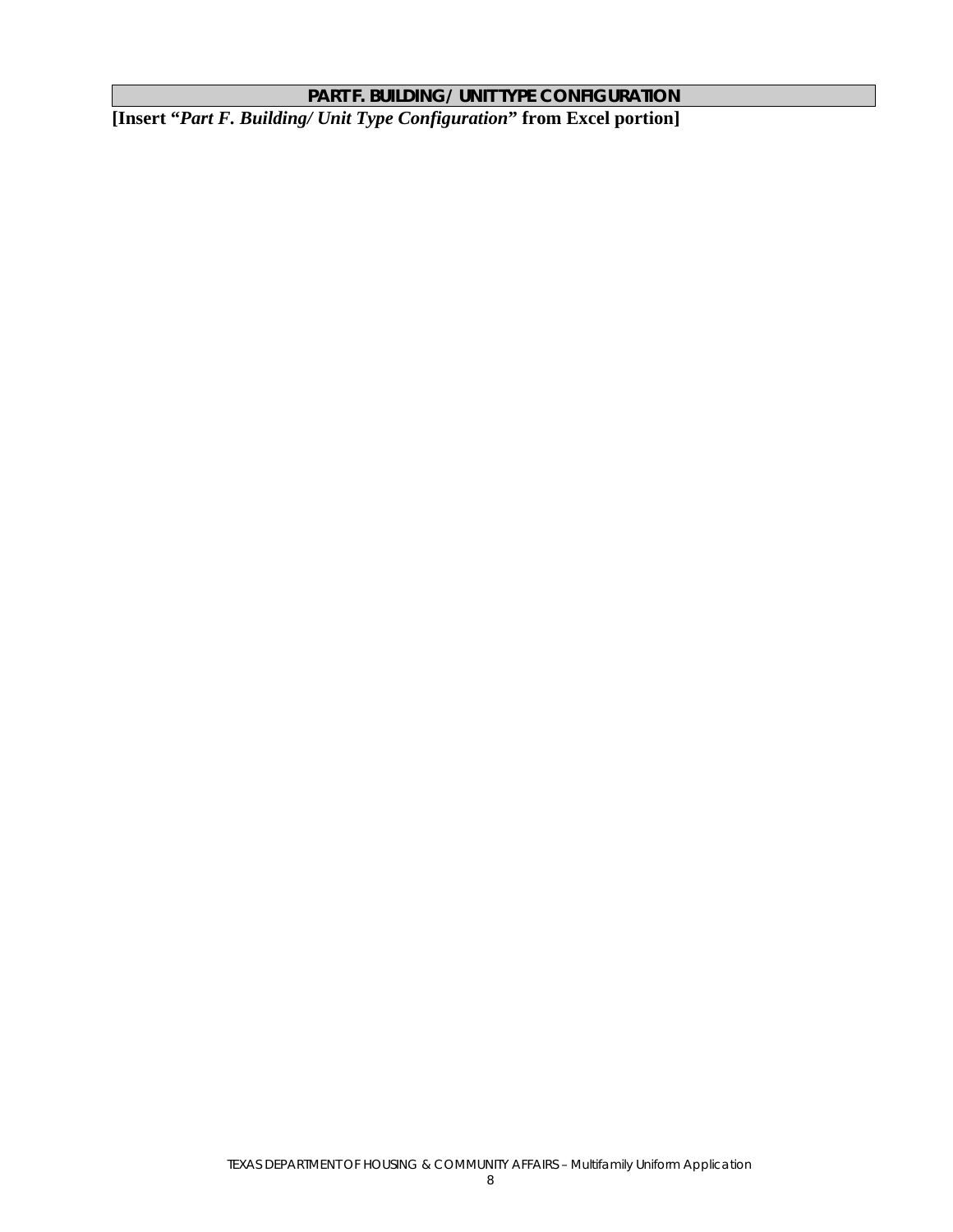# **PART F. BUILDING/ UNIT TYPE CONFIGURATION**

**[Insert "***Part F. Building/ Unit Type Configuration***" from Excel portion]**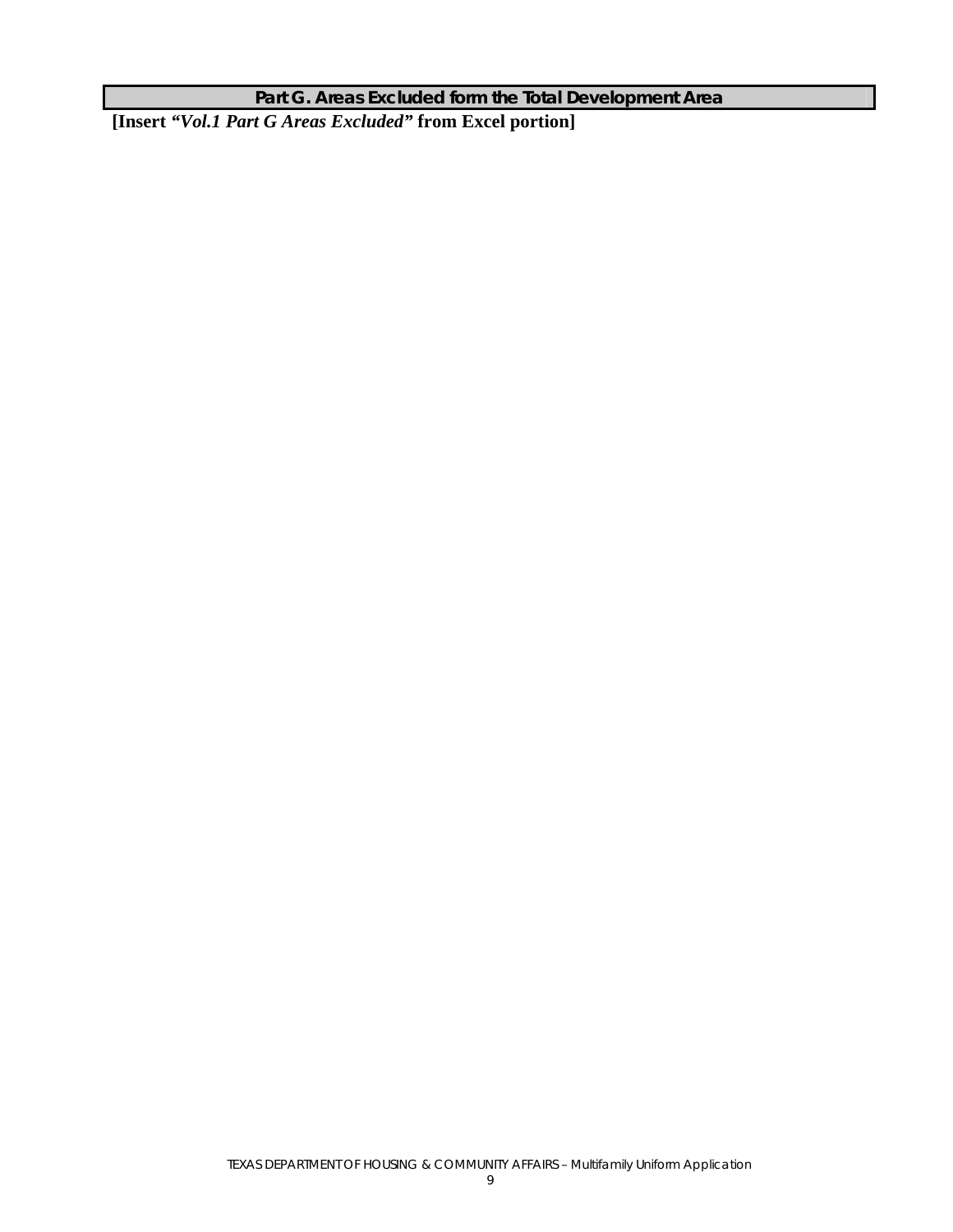# **Part G. Areas Excluded form the Total Development Area**

**[Insert** *"Vol.1 Part G Areas Excluded"* **from Excel portion]**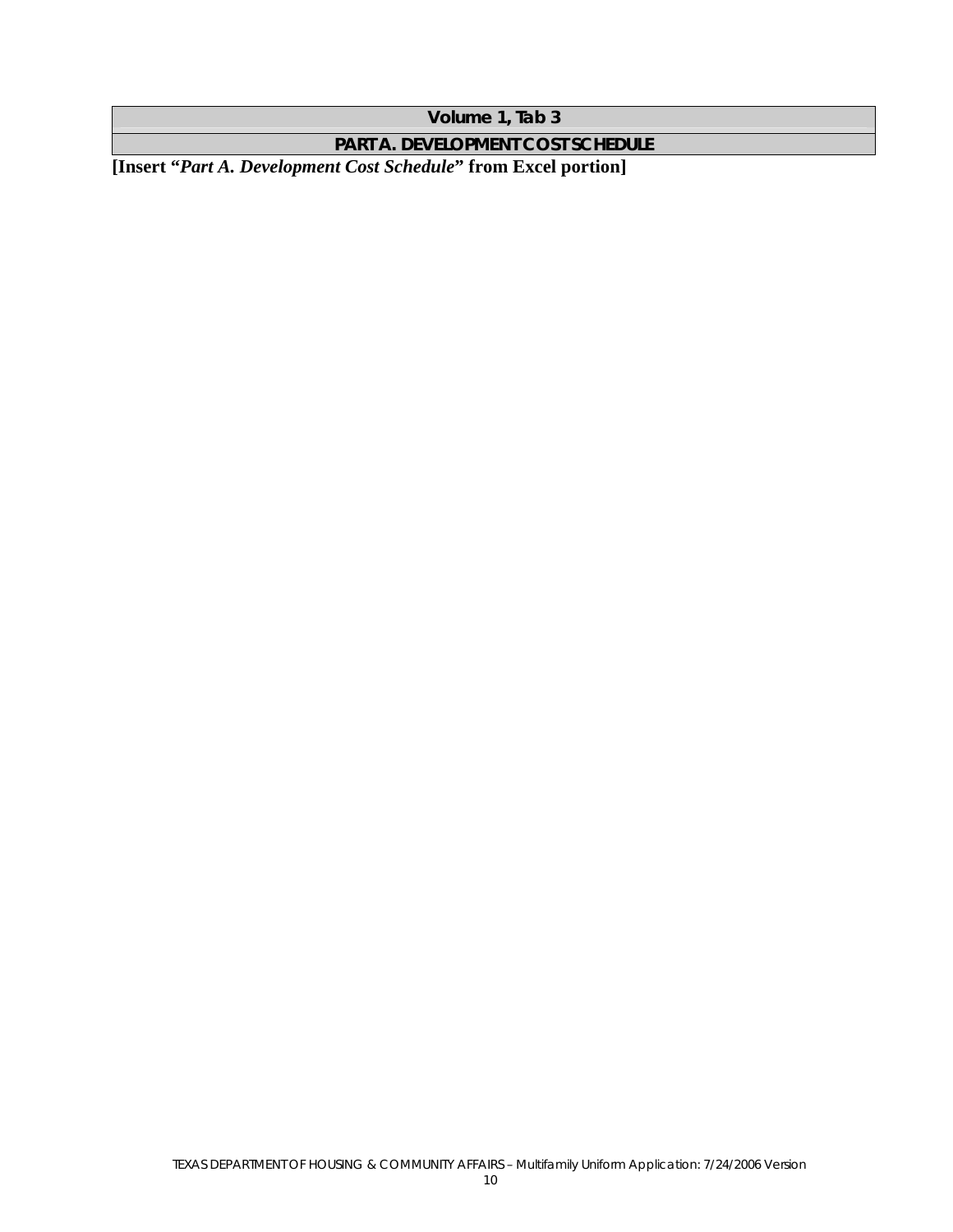**Volume 1, Tab 3** 

**PART A. DEVELOPMENT COST SCHEDULE** 

**[Insert "***Part A. Development Cost Schedule***" from Excel portion]**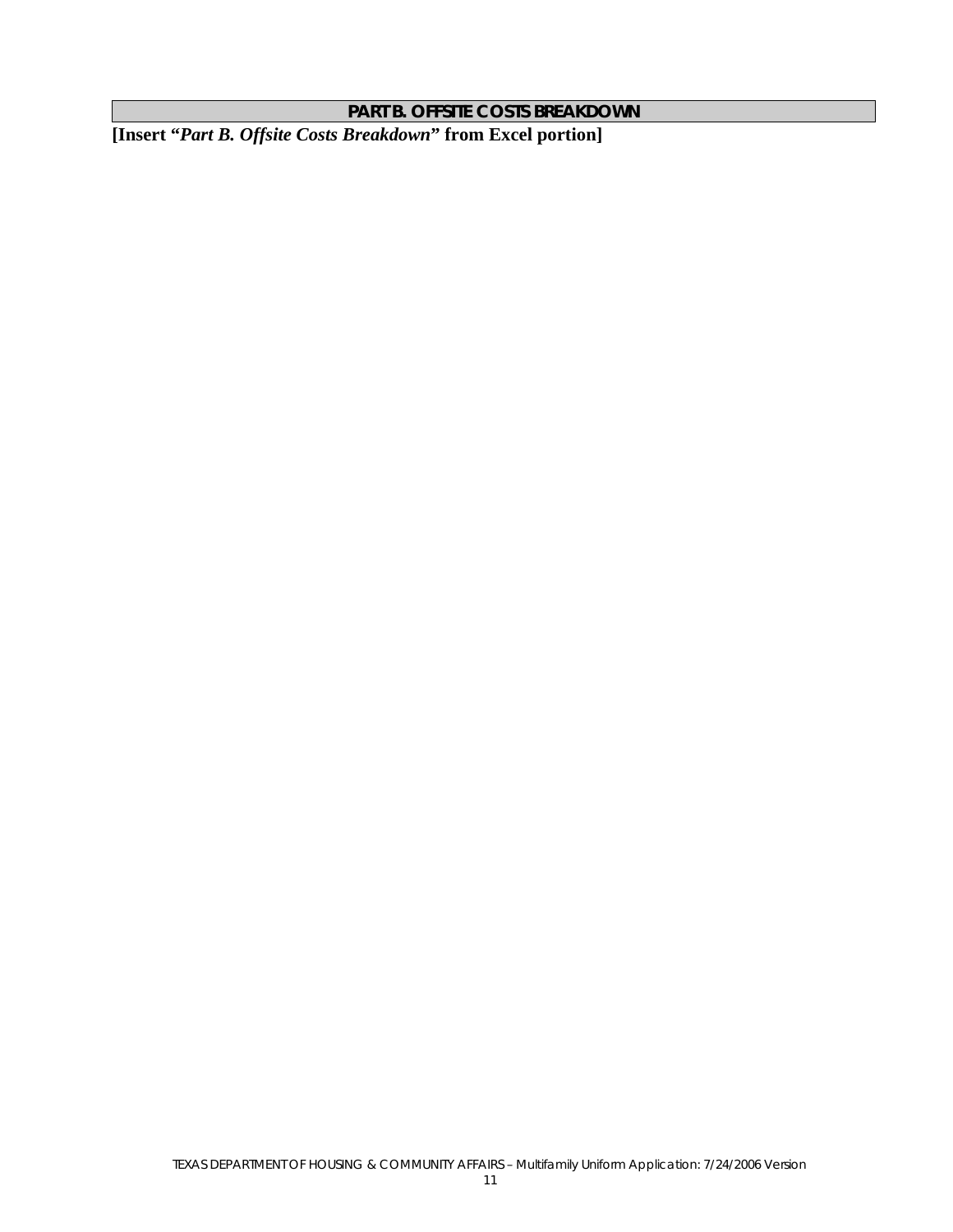**PART B. OFFSITE COSTS BREAKDOWN** 

**[Insert "***Part B. Offsite Costs Breakdown***" from Excel portion]**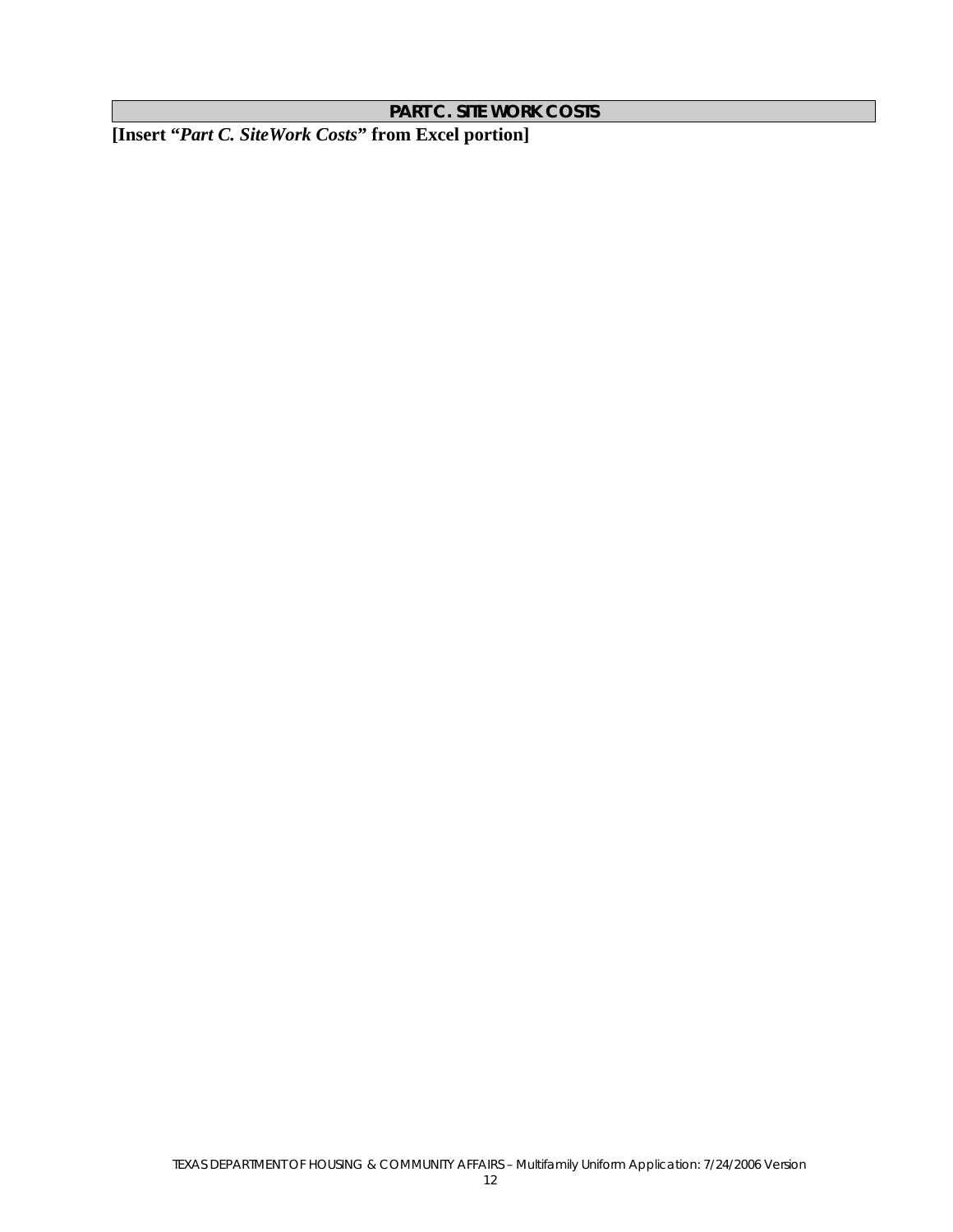**PART C. SITE WORK COSTS** 

**[Insert "***Part C. SiteWork Costs***" from Excel portion]**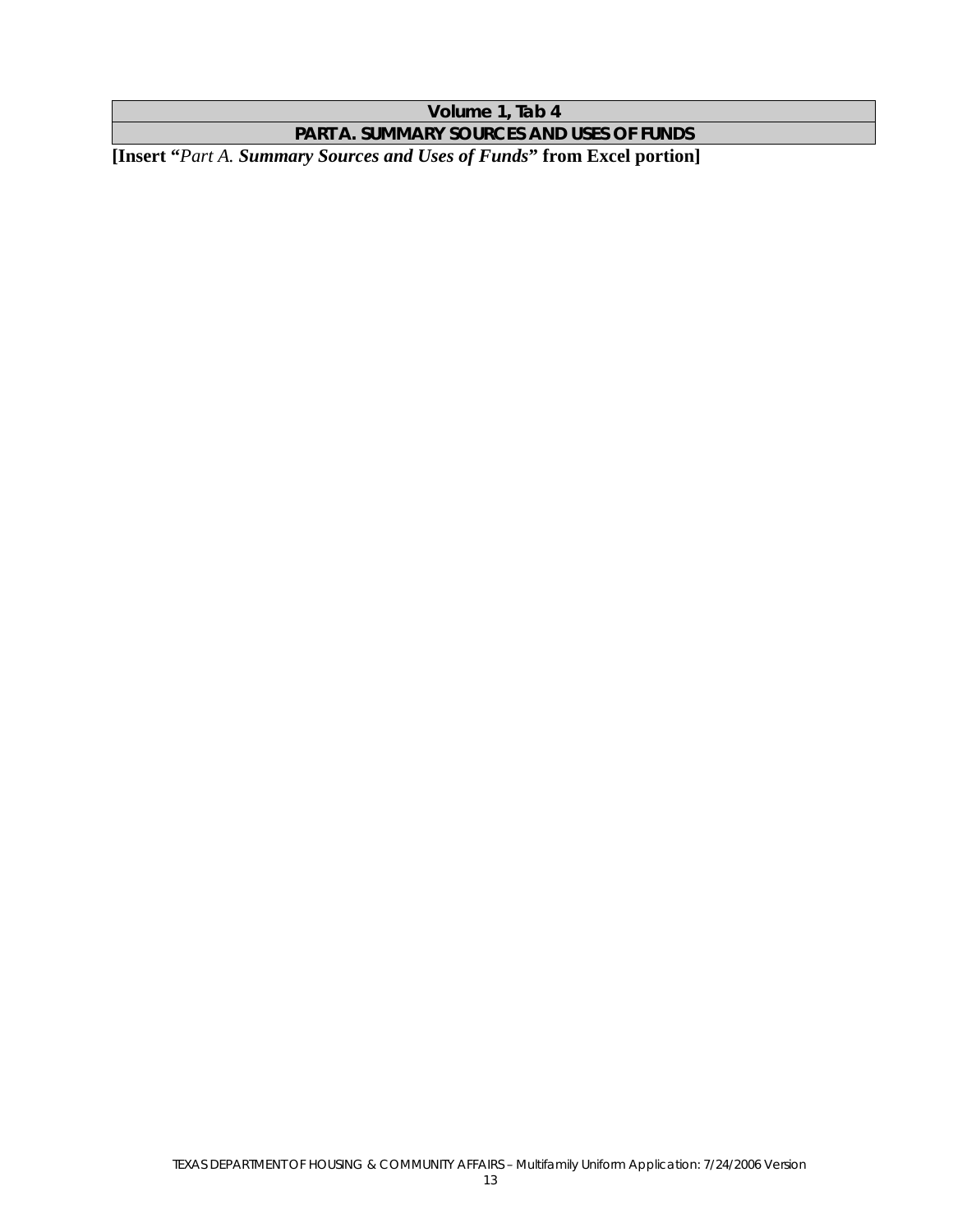**Volume 1, Tab 4** 

**PART A. SUMMARY SOURCES AND USES OF FUNDS** 

**[Insert "***Part A. Summary Sources and Uses of Funds***" from Excel portion]**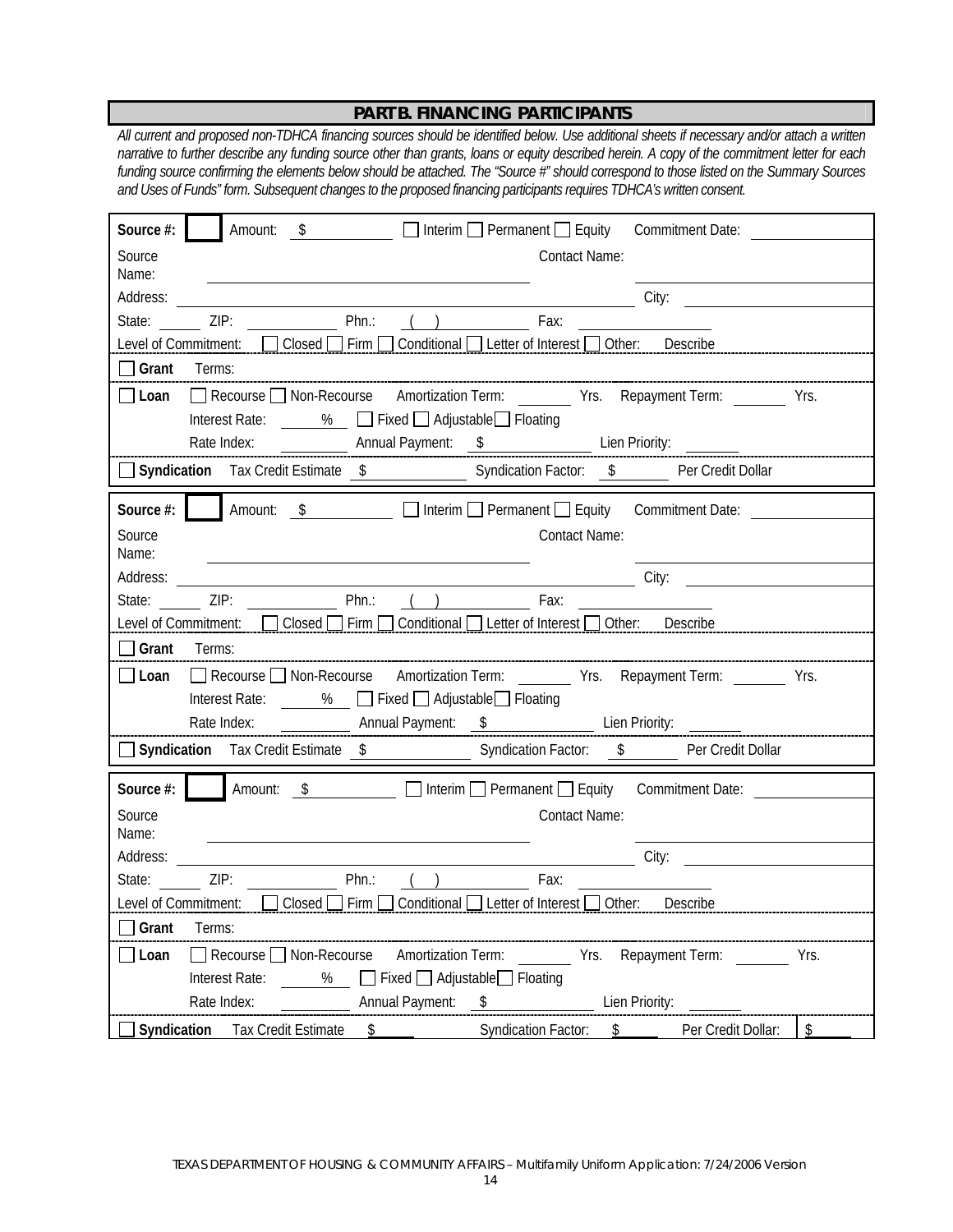## **PART B. FINANCING PARTICIPANTS**

*All current and proposed non-TDHCA financing sources should be identified below. Use additional sheets if necessary and/or attach a written narrative to further describe any funding source other than grants, loans or equity described herein. A copy of the commitment letter for each funding source confirming the elements below should be attached. The "Source #" should correspond to those listed on the Summary Sources and Uses of Funds" form. Subsequent changes to the proposed financing participants requires TDHCA's written consent.* 

| <b>Source #:</b> $\blacksquare$ Amount: $\$$ $\square$ Interim $\square$ Permanent $\square$ Equity Commitment Date:                                                                                                                       |
|--------------------------------------------------------------------------------------------------------------------------------------------------------------------------------------------------------------------------------------------|
| Source<br><b>Contact Name:</b><br>Name:                                                                                                                                                                                                    |
| Address: City: City:                                                                                                                                                                                                                       |
| State: ______ ZIP: ________________ Phn.: ___(__) _______________ Fax: ____________________________                                                                                                                                        |
|                                                                                                                                                                                                                                            |
| $\exists$ Grant Terms:                                                                                                                                                                                                                     |
| □Loan □ Recourse □ Non-Recourse Amortization Term: _______ Yrs. Repayment Term: ______ Yrs.                                                                                                                                                |
| Interest Rate: 2% Fixed Adjustable Floating                                                                                                                                                                                                |
|                                                                                                                                                                                                                                            |
|                                                                                                                                                                                                                                            |
| Source #: Amount: \$ Dinterim Dermanent DEquity Commitment Date: 2000                                                                                                                                                                      |
| Source<br><b>Contact Name:</b>                                                                                                                                                                                                             |
| Name:                                                                                                                                                                                                                                      |
| City:                                                                                                                                                                                                                                      |
|                                                                                                                                                                                                                                            |
| Level of Commitment: Consed Firm Conditional Letter of Interest Other: Describe                                                                                                                                                            |
| Grant Terms:                                                                                                                                                                                                                               |
| □Loan □ Recourse □ Non-Recourse Amortization Term: ________ Yrs. Repayment Term: _______ Yrs.                                                                                                                                              |
| Interest Rate: 2% Fixed Adjustable Floating                                                                                                                                                                                                |
|                                                                                                                                                                                                                                            |
|                                                                                                                                                                                                                                            |
| Source #: Amount: <u>\$</u>   Interim   Permanent   Equity Commitment Date:                                                                                                                                                                |
| Source<br><b>Contact Name:</b>                                                                                                                                                                                                             |
| Name:                                                                                                                                                                                                                                      |
| Address:<br>City: the contract of the contract of the contract of the contract of the contract of the contract of the contract of the contract of the contract of the contract of the contract of the contract of the contract of the cont |
| Phn.: $( )$<br>State: ZIP: _________<br>Fax:                                                                                                                                                                                               |
| Level of Commitment: □ Closed □ Firm □ Conditional □ Letter of Interest □ Other: Describe                                                                                                                                                  |
| Grant<br>Terms:                                                                                                                                                                                                                            |
| Amortization Term:<br>$\Box$ Recourse $\Box$ Non-Recourse<br>Yrs. Repayment Term:<br>Loan<br>Yrs.                                                                                                                                          |
| $\Box$ Fixed $\Box$ Adjustable $\Box$ Floating<br>Interest Rate:<br>$\%$                                                                                                                                                                   |
| Rate Index:<br>Annual Payment:<br>\$<br>Lien Priority:<br>Syndication Tax Credit Estimate<br><b>Syndication Factor:</b><br>Per Credit Dollar:                                                                                              |
| \$<br>\$<br>\$                                                                                                                                                                                                                             |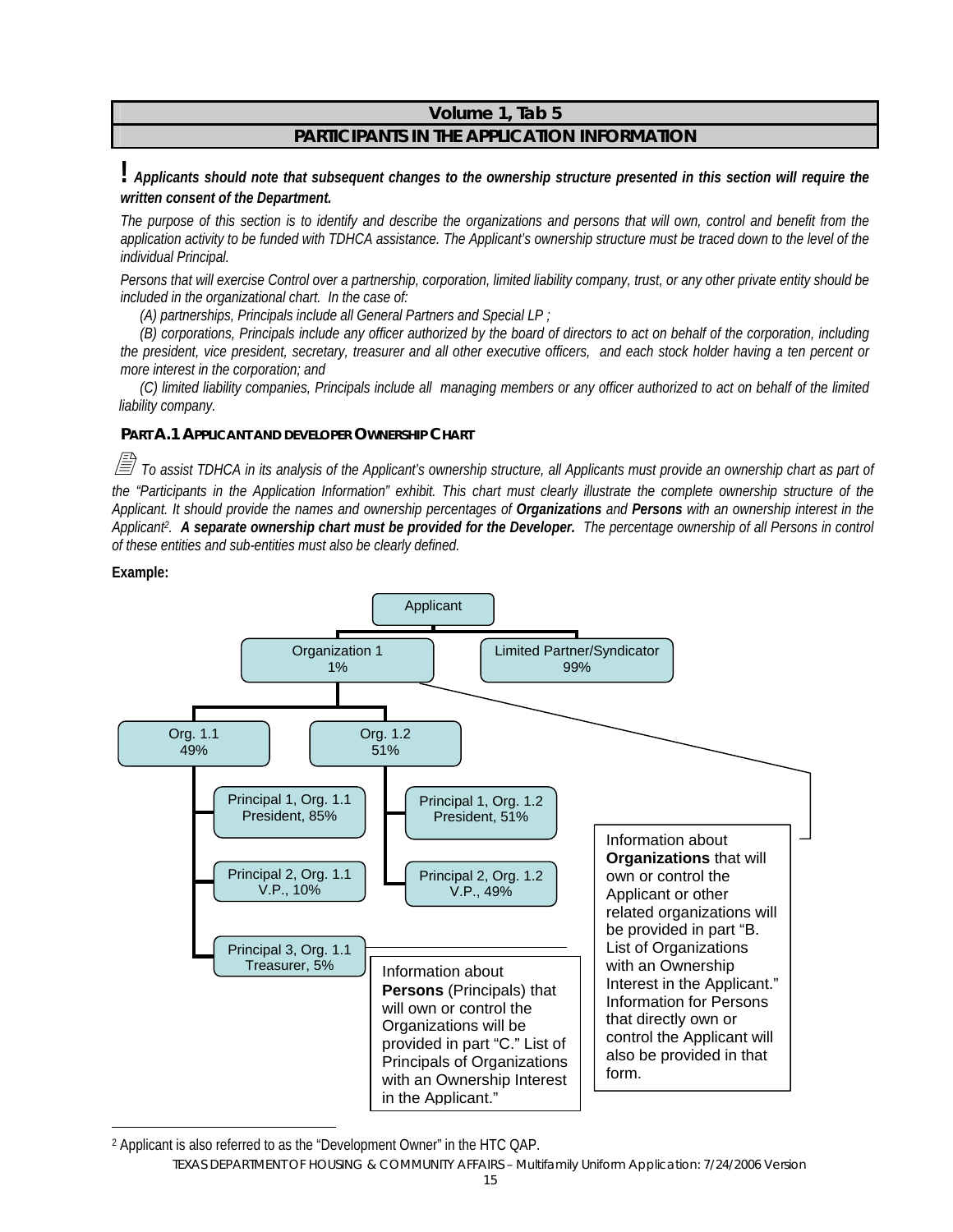#### **Volume 1, Tab 5 PARTICIPANTS IN THE APPLICATION INFORMATION**

**!** *Applicants should note that subsequent changes to the ownership structure presented in this section will require the written consent of the Department.* 

*The purpose of this section is to identify and describe the organizations and persons that will own, control and benefit from the application activity to be funded with TDHCA assistance. The Applicant's ownership structure must be traced down to the level of the individual Principal.* 

*Persons that will exercise Control over a partnership, corporation, limited liability company, trust, or any other private entity should be included in the organizational chart. In the case of:* 

*(A) partnerships, Principals include all General Partners and Special LP ;* 

*(B) corporations, Principals include any officer authorized by the board of directors to act on behalf of the corporation, including the president, vice president, secretary, treasurer and all other executive officers, and each stock holder having a ten percent or more interest in the corporation; and* 

*(C) limited liability companies, Principals include all managing members or any officer authorized to act on behalf of the limited liability company.*

#### **PART A.1 APPLICANT AND DEVELOPER OWNERSHIP CHART**

 *To assist TDHCA in its analysis of the Applicant's ownership structure, all Applicants must provide an ownership chart as part of the "Participants in the Application Information" exhibit. This chart must clearly illustrate the complete ownership structure of the Applicant. It should provide the names and ownership percentages of Organizations and Persons with an ownership interest in the Applicant2. A separate ownership chart must be provided for the Developer. The percentage ownership of all Persons in control of these entities and sub-entities must also be clearly defined.* 

#### **Example:**

 $\overline{a}$ 



2 Applicant is also referred to as the "Development Owner" in the HTC QAP.

TEXAS DEPARTMENT OF HOUSING & COMMUNITY AFFAIRS – Multifamily Uniform Application: 7/24/2006 Version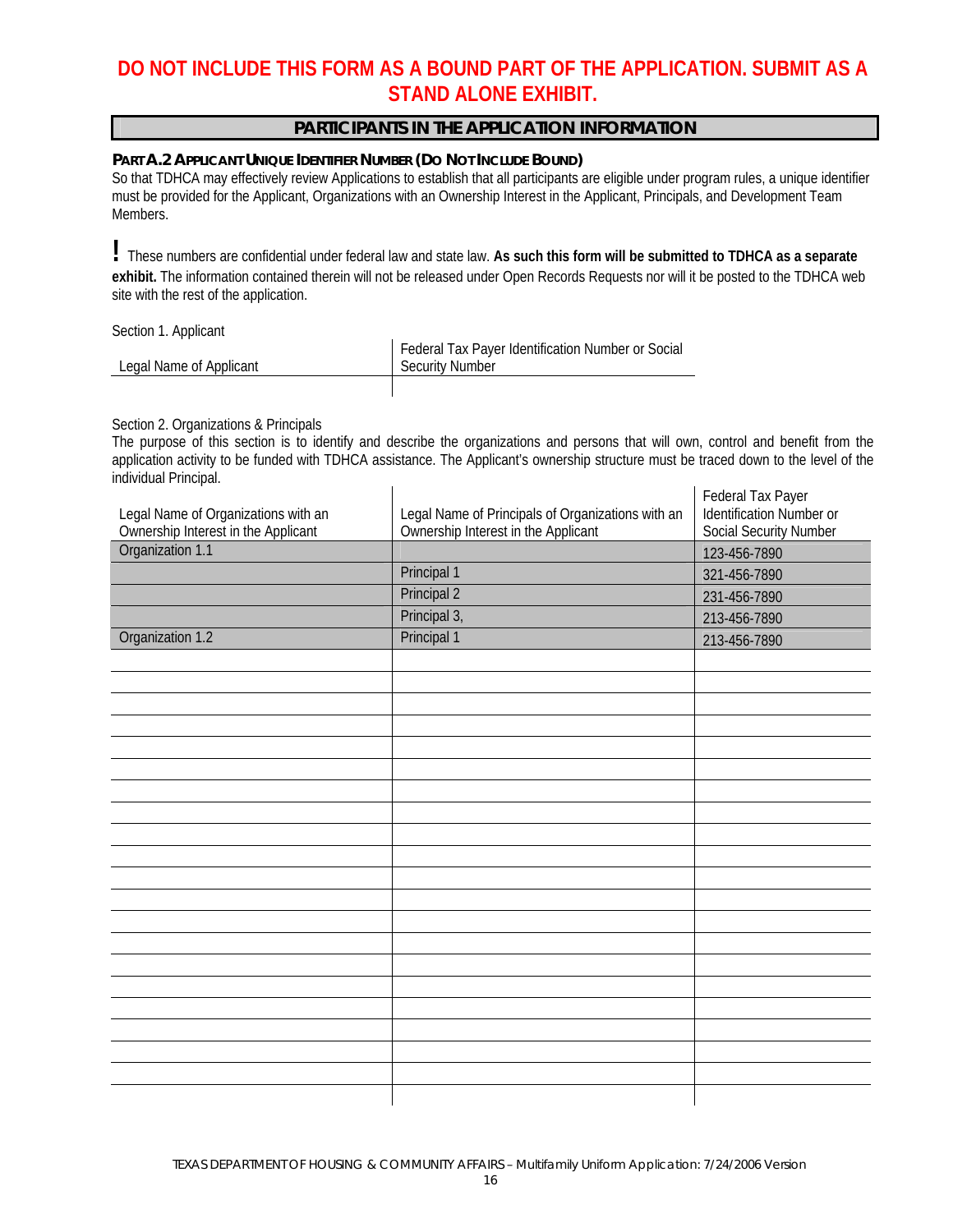# **DO NOT INCLUDE THIS FORM AS A BOUND PART OF THE APPLICATION. SUBMIT AS A STAND ALONE EXHIBIT.**

#### **PARTICIPANTS IN THE APPLICATION INFORMATION**

#### **PART A.2 APPLICANT UNIQUE IDENTIFIER NUMBER (DO NOT INCLUDE BOUND)**

So that TDHCA may effectively review Applications to establish that all participants are eligible under program rules, a unique identifier must be provided for the Applicant, Organizations with an Ownership Interest in the Applicant, Principals, and Development Team Members.

**!** These numbers are confidential under federal law and state law. **As such this form will be submitted to TDHCA as a separate exhibit.** The information contained therein will not be released under Open Records Requests nor will it be posted to the TDHCA web site with the rest of the application.

Section 1. Applicant

|                         | Federal Tax Payer Identification Number or Social |
|-------------------------|---------------------------------------------------|
| Legal Name of Applicant | Security Number                                   |
|                         |                                                   |

Section 2. Organizations & Principals

The purpose of this section is to identify and describe the organizations and persons that will own, control and benefit from the application activity to be funded with TDHCA assistance. The Applicant's ownership structure must be traced down to the level of the individual Principal.

|                                     |                                                   | Federal Tax Payer             |
|-------------------------------------|---------------------------------------------------|-------------------------------|
| Legal Name of Organizations with an | Legal Name of Principals of Organizations with an | Identification Number or      |
| Ownership Interest in the Applicant | Ownership Interest in the Applicant               | <b>Social Security Number</b> |
| Organization 1.1                    |                                                   | 123-456-7890                  |
|                                     | Principal 1                                       | 321-456-7890                  |
|                                     | Principal 2                                       | 231-456-7890                  |
|                                     | Principal 3,                                      | 213-456-7890                  |
| Organization 1.2                    | Principal 1                                       | 213-456-7890                  |
|                                     |                                                   |                               |
|                                     |                                                   |                               |
|                                     |                                                   |                               |
|                                     |                                                   |                               |
|                                     |                                                   |                               |
|                                     |                                                   |                               |
|                                     |                                                   |                               |
|                                     |                                                   |                               |
|                                     |                                                   |                               |
|                                     |                                                   |                               |
|                                     |                                                   |                               |
|                                     |                                                   |                               |
|                                     |                                                   |                               |
|                                     |                                                   |                               |
|                                     |                                                   |                               |
|                                     |                                                   |                               |
|                                     |                                                   |                               |
|                                     |                                                   |                               |
|                                     |                                                   |                               |
|                                     |                                                   |                               |
|                                     |                                                   |                               |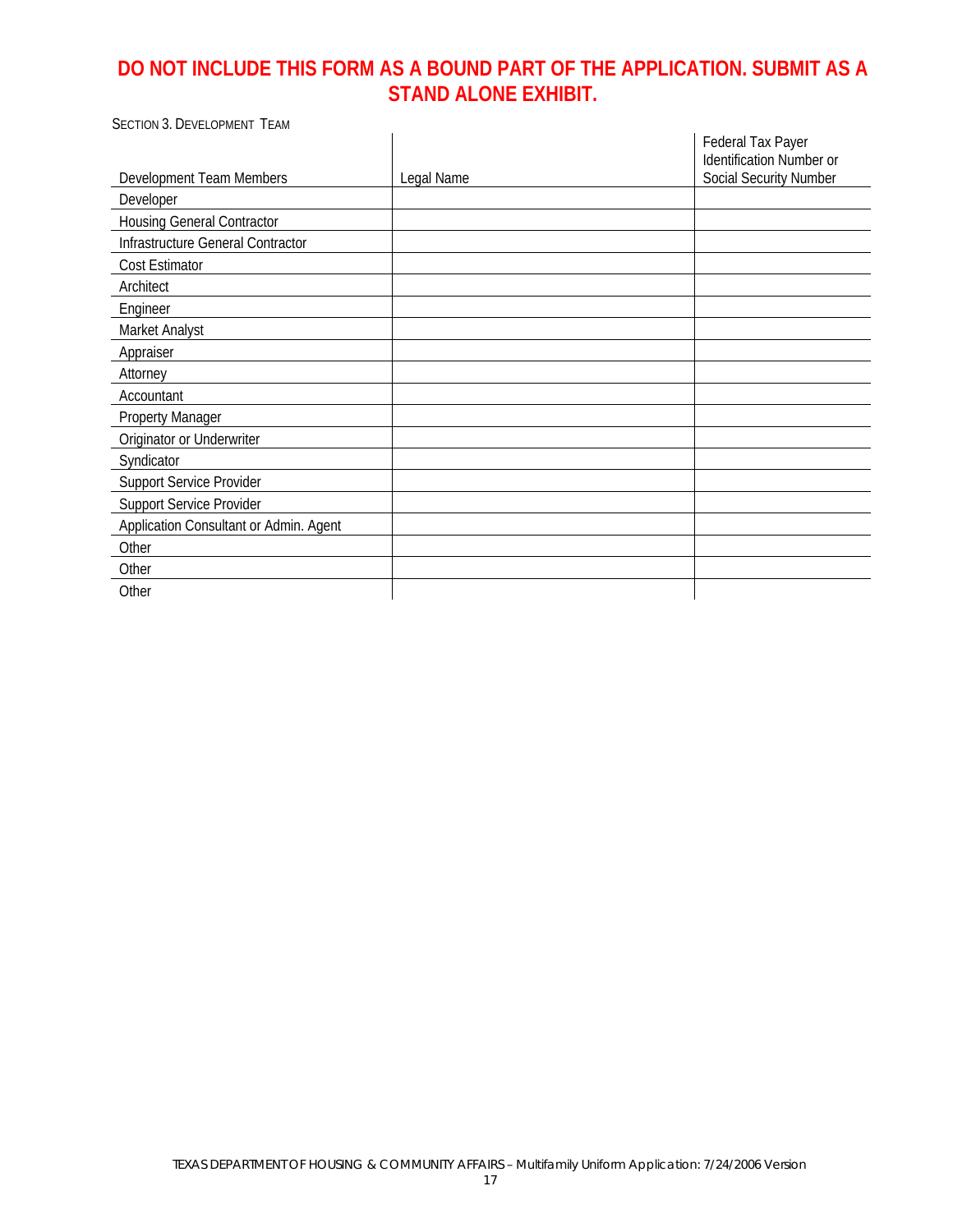# **DO NOT INCLUDE THIS FORM AS A BOUND PART OF THE APPLICATION. SUBMIT AS A STAND ALONE EXHIBIT.**

| <b>SECTION 3. DEVELOPMENT TEAM</b>     |            |                                                                         |
|----------------------------------------|------------|-------------------------------------------------------------------------|
| Development Team Members               | Legal Name | Federal Tax Payer<br>Identification Number or<br>Social Security Number |
|                                        |            |                                                                         |
| Developer                              |            |                                                                         |
| <b>Housing General Contractor</b>      |            |                                                                         |
| Infrastructure General Contractor      |            |                                                                         |
| Cost Estimator                         |            |                                                                         |
| Architect                              |            |                                                                         |
| Engineer                               |            |                                                                         |
| Market Analyst                         |            |                                                                         |
| Appraiser                              |            |                                                                         |
| Attorney                               |            |                                                                         |
| Accountant                             |            |                                                                         |
| <b>Property Manager</b>                |            |                                                                         |
| Originator or Underwriter              |            |                                                                         |
| Syndicator                             |            |                                                                         |
| <b>Support Service Provider</b>        |            |                                                                         |
| <b>Support Service Provider</b>        |            |                                                                         |
| Application Consultant or Admin. Agent |            |                                                                         |
| Other                                  |            |                                                                         |
| Other                                  |            |                                                                         |
| Other                                  |            |                                                                         |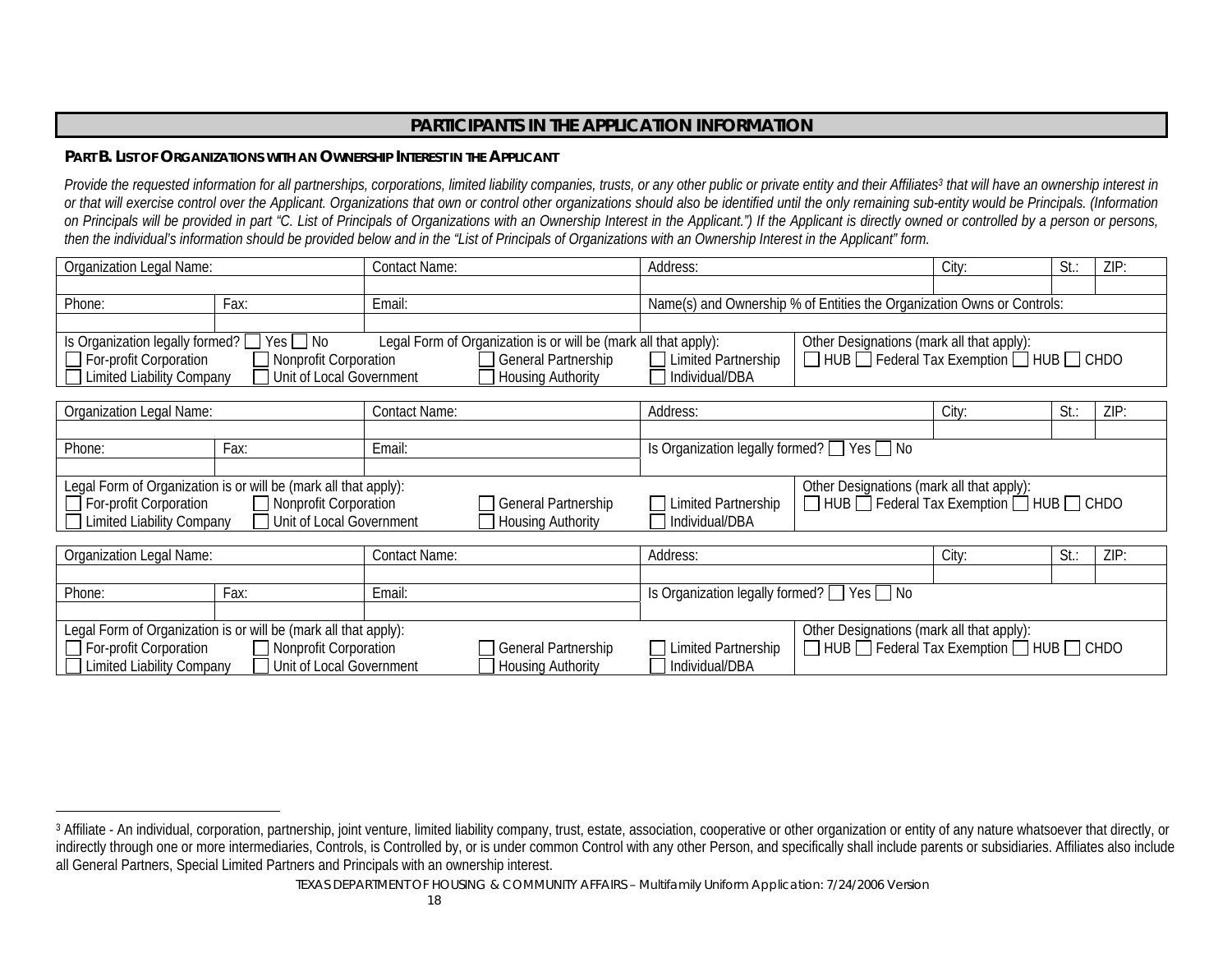#### **PART B. LIST OF ORGANIZATIONS WITH AN OWNERSHIP INTEREST IN THE APPLICANT**

Provide the requested information for all partnerships, corporations, limited liability companies, trusts, or any other public or private entity and their Affiliates<sup>3</sup> that will have an ownership interest in *or that will exercise control over the Applicant. Organizations that own or control other organizations should also be identified until the only remaining sub-entity would be Principals. (Information*  on Principals will be provided in part "C. List of Principals of Organizations with an Ownership Interest in the Applicant.") If the Applicant is directly owned or controlled by a person or persons, *then the individual's information should be provided below and in the "List of Principals of Organizations with an Ownership Interest in the Applicant" form.* 

| Organization Legal Name:               |                                                                 | <b>Contact Name:</b> |                                                                 | Address:                                                               |                                                                                         | City: | St: | ZIP: |
|----------------------------------------|-----------------------------------------------------------------|----------------------|-----------------------------------------------------------------|------------------------------------------------------------------------|-----------------------------------------------------------------------------------------|-------|-----|------|
|                                        |                                                                 |                      |                                                                 |                                                                        |                                                                                         |       |     |      |
| Phone:                                 | Fax:                                                            | Email:               |                                                                 | Name(s) and Ownership % of Entities the Organization Owns or Controls: |                                                                                         |       |     |      |
|                                        |                                                                 |                      |                                                                 |                                                                        |                                                                                         |       |     |      |
| Is Organization legally formed? $\Box$ | Yes No                                                          |                      | Legal Form of Organization is or will be (mark all that apply): |                                                                        | Other Designations (mark all that apply):                                               |       |     |      |
| $\Box$ For-profit Corporation          | <b>Nonprofit Corporation</b>                                    |                      | General Partnership                                             | Limited Partnership                                                    | $\Box$ HUB $\Box$ Federal Tax Exemption $\Box$ HUB $\Box$ CHDO                          |       |     |      |
| □ Limited Liability Company            | Unit of Local Government                                        |                      | <b>Housing Authority</b>                                        | Individual/DBA                                                         |                                                                                         |       |     |      |
|                                        |                                                                 |                      |                                                                 |                                                                        |                                                                                         |       |     |      |
| Organization Legal Name:               |                                                                 | Contact Name:        |                                                                 | Address:                                                               |                                                                                         | City: | St. | ZIP: |
|                                        |                                                                 |                      |                                                                 |                                                                        |                                                                                         |       |     |      |
| Phone:                                 | Fax:                                                            | Email:               |                                                                 | Is Organization legally formed? $\Box$ Yes $\Box$ No                   |                                                                                         |       |     |      |
|                                        |                                                                 |                      |                                                                 |                                                                        |                                                                                         |       |     |      |
|                                        | Legal Form of Organization is or will be (mark all that apply): |                      |                                                                 |                                                                        | Other Designations (mark all that apply):                                               |       |     |      |
| $\Box$ For-profit Corporation          | $\Box$ Nonprofit Corporation                                    |                      | General Partnership                                             | □ Limited Partnership                                                  | $\Box$ HUB $\Box$ Federal Tax Exemption $\Box$ HUB $\Box$ CHDO                          |       |     |      |
| □ Limited Liability Company            | Unit of Local Government                                        |                      | <b>Housing Authority</b>                                        | Individual/DBA                                                         |                                                                                         |       |     |      |
|                                        |                                                                 |                      |                                                                 |                                                                        |                                                                                         |       |     |      |
| Organization Legal Name:               |                                                                 | <b>Contact Name:</b> |                                                                 | Address:                                                               |                                                                                         | City: | St. | ZIP: |
|                                        |                                                                 |                      |                                                                 |                                                                        |                                                                                         |       |     |      |
| Phone:                                 | Fax:                                                            | Email:               |                                                                 | Is Organization legally formed? $\Box$ Yes $\Box$ No                   |                                                                                         |       |     |      |
|                                        |                                                                 |                      |                                                                 |                                                                        |                                                                                         |       |     |      |
|                                        | Legal Form of Organization is or will be (mark all that apply): |                      |                                                                 |                                                                        | Other Designations (mark all that apply):<br>□ HUB □ Federal Tax Exemption □ HUB □ CHDO |       |     |      |
| $\Box$ For-profit Corporation          | $\Box$ Nonprofit Corporation                                    |                      | General Partnership                                             | <b>Limited Partnership</b>                                             |                                                                                         |       |     |      |
| □ Limited Liability Company            | Unit of Local Government                                        |                      | <b>Housing Authority</b>                                        | Individual/DBA                                                         |                                                                                         |       |     |      |

<sup>&</sup>lt;sup>3</sup> Affiliate - An individual, corporation, partnership, joint venture, limited liability company, trust, estate, association, cooperative or other organization or entity of any nature whatsoever that directly, or indirectly through one or more intermediaries, Controls, is Controlled by, or is under common Control with any other Person, and specifically shall include parents or subsidiaries. Affiliates also include all General Partners, Special Limited Partners and Principals with an ownership interest.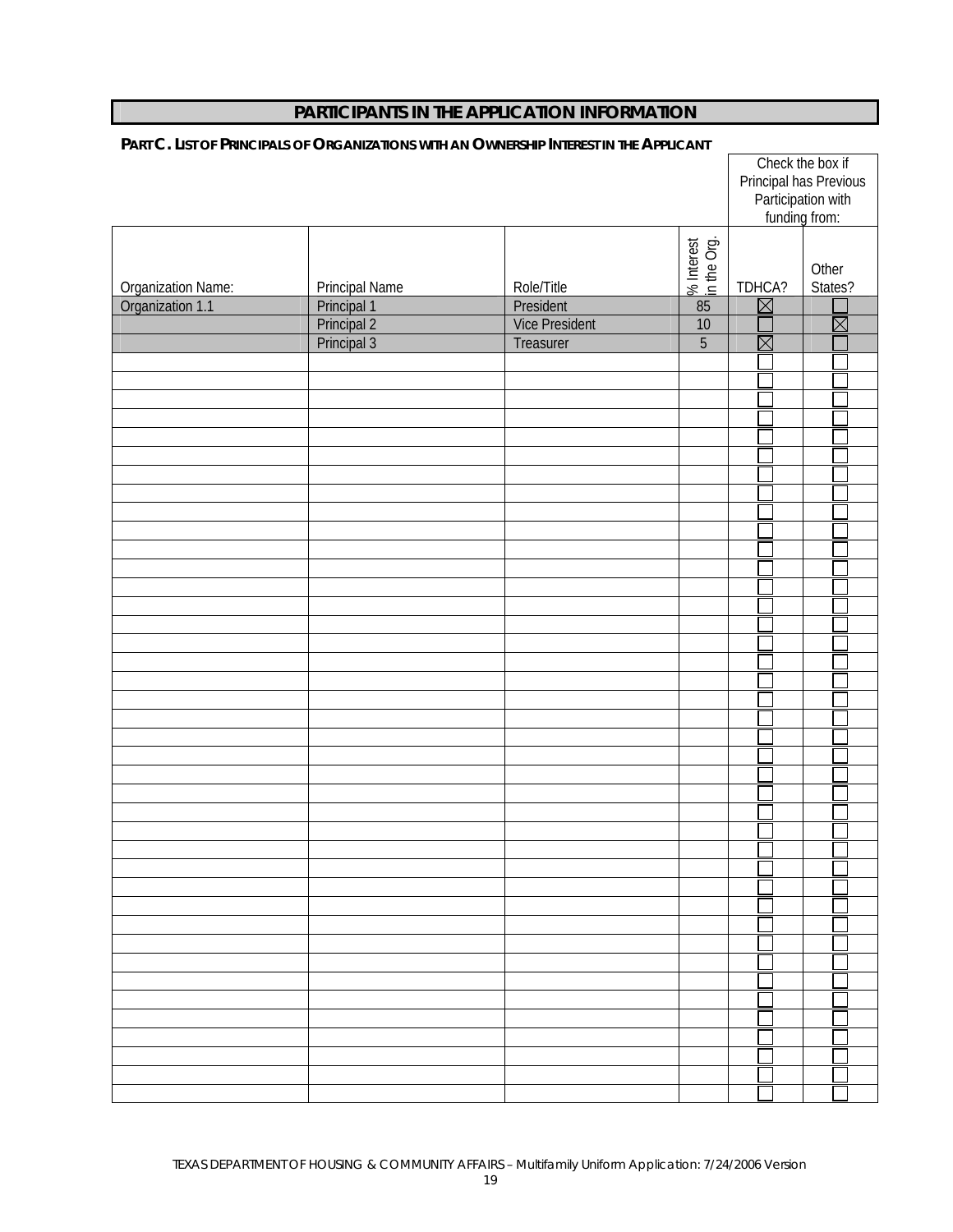|                    |                       |                       |                           | funding from:          | Check the box if<br>Principal has Previous<br>Participation with |
|--------------------|-----------------------|-----------------------|---------------------------|------------------------|------------------------------------------------------------------|
| Organization Name: | <b>Principal Name</b> | Role/Title            | % Interest<br>in the Org. | TDHCA?                 | Other<br>States?                                                 |
| Organization 1.1   | Principal 1           | President             | 85                        | $\boxtimes$            |                                                                  |
|                    | Principal 2           | <b>Vice President</b> | 10                        |                        | $\boxtimes$                                                      |
|                    | Principal 3           | Treasurer             | $\overline{5}$            | $\overline{\boxtimes}$ |                                                                  |
|                    |                       |                       |                           |                        |                                                                  |
|                    |                       |                       |                           |                        |                                                                  |
|                    |                       |                       |                           |                        |                                                                  |
|                    |                       |                       |                           |                        |                                                                  |
|                    |                       |                       |                           |                        |                                                                  |
|                    |                       |                       |                           |                        |                                                                  |
|                    |                       |                       |                           |                        |                                                                  |
|                    |                       |                       |                           |                        |                                                                  |
|                    |                       |                       |                           |                        |                                                                  |
|                    |                       |                       |                           |                        |                                                                  |
|                    |                       |                       |                           |                        |                                                                  |
|                    |                       |                       |                           |                        |                                                                  |
|                    |                       |                       |                           |                        |                                                                  |
|                    |                       |                       |                           |                        |                                                                  |
|                    |                       |                       |                           |                        |                                                                  |
|                    |                       |                       |                           |                        |                                                                  |
|                    |                       |                       |                           |                        |                                                                  |
|                    |                       |                       |                           |                        |                                                                  |
|                    |                       |                       |                           |                        |                                                                  |
|                    |                       |                       |                           |                        |                                                                  |
|                    |                       |                       |                           |                        |                                                                  |
|                    |                       |                       |                           |                        |                                                                  |
|                    |                       |                       |                           |                        |                                                                  |
|                    |                       |                       |                           |                        |                                                                  |
|                    |                       |                       |                           |                        |                                                                  |
|                    |                       |                       |                           |                        |                                                                  |
|                    |                       |                       |                           |                        |                                                                  |
|                    |                       |                       |                           |                        |                                                                  |
|                    |                       |                       |                           |                        |                                                                  |
|                    |                       |                       |                           |                        |                                                                  |
|                    |                       |                       |                           |                        |                                                                  |
|                    |                       |                       |                           |                        |                                                                  |
|                    |                       |                       |                           |                        |                                                                  |
|                    |                       |                       |                           |                        |                                                                  |
|                    |                       |                       |                           |                        |                                                                  |
|                    |                       |                       |                           |                        |                                                                  |
|                    |                       |                       |                           |                        |                                                                  |
|                    |                       |                       |                           |                        |                                                                  |

#### **PART C. LIST OF PRINCIPALS OF ORGANIZATIONS WITH AN OWNERSHIP INTEREST IN THE APPLICANT**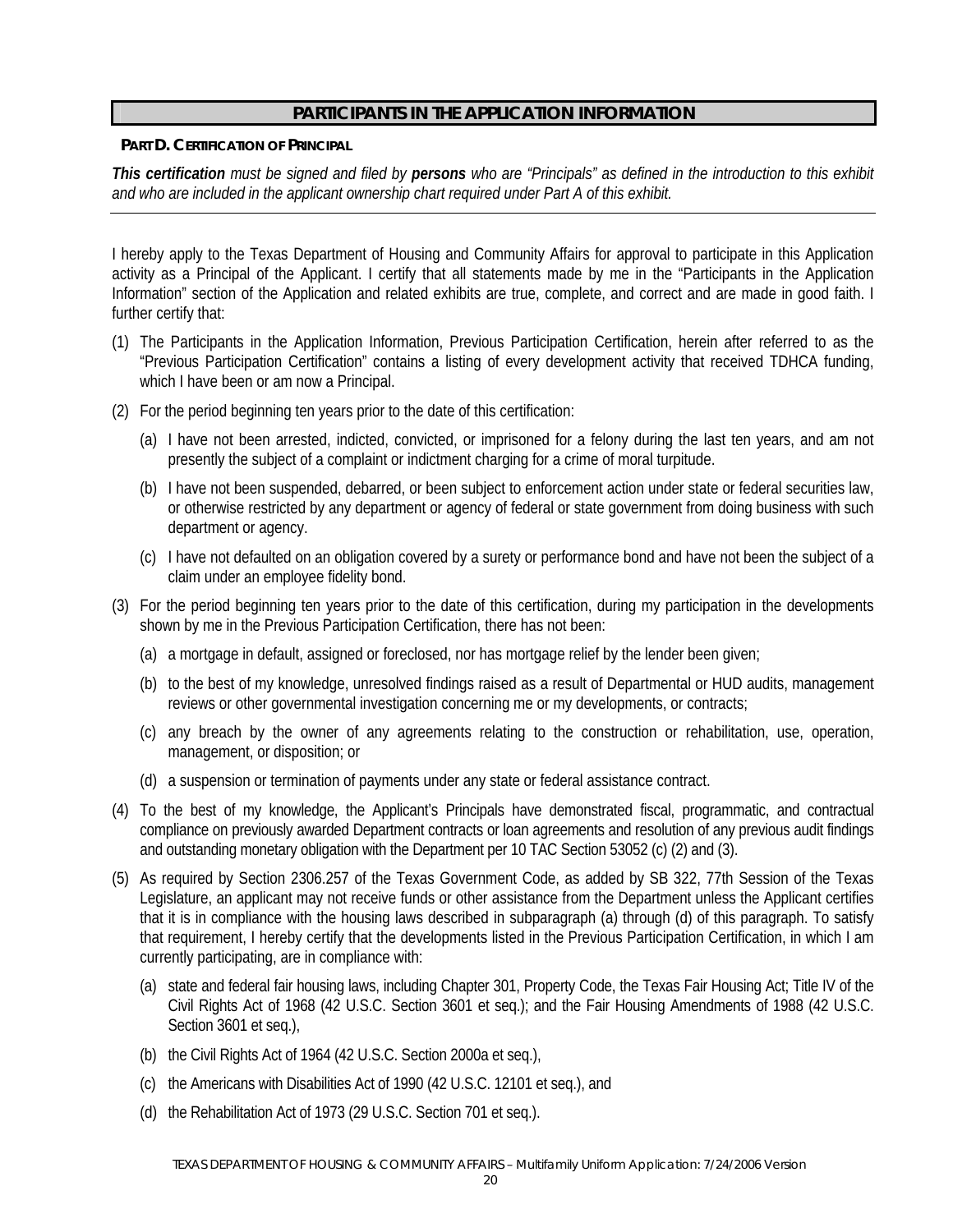#### **PART D. CERTIFICATION OF PRINCIPAL**

*This certification must be signed and filed by persons who are "Principals" as defined in the introduction to this exhibit and who are included in the applicant ownership chart required under Part A of this exhibit.* 

I hereby apply to the Texas Department of Housing and Community Affairs for approval to participate in this Application activity as a Principal of the Applicant. I certify that all statements made by me in the "Participants in the Application Information" section of the Application and related exhibits are true, complete, and correct and are made in good faith. I further certify that:

- (1) The Participants in the Application Information, Previous Participation Certification, herein after referred to as the "Previous Participation Certification" contains a listing of every development activity that received TDHCA funding, which I have been or am now a Principal.
- (2) For the period beginning ten years prior to the date of this certification:
	- (a) I have not been arrested, indicted, convicted, or imprisoned for a felony during the last ten years, and am not presently the subject of a complaint or indictment charging for a crime of moral turpitude.
	- (b) I have not been suspended, debarred, or been subject to enforcement action under state or federal securities law, or otherwise restricted by any department or agency of federal or state government from doing business with such department or agency.
	- (c) I have not defaulted on an obligation covered by a surety or performance bond and have not been the subject of a claim under an employee fidelity bond.
- (3) For the period beginning ten years prior to the date of this certification, during my participation in the developments shown by me in the Previous Participation Certification, there has not been:
	- (a) a mortgage in default, assigned or foreclosed, nor has mortgage relief by the lender been given;
	- (b) to the best of my knowledge, unresolved findings raised as a result of Departmental or HUD audits, management reviews or other governmental investigation concerning me or my developments, or contracts;
	- (c) any breach by the owner of any agreements relating to the construction or rehabilitation, use, operation, management, or disposition; or
	- (d) a suspension or termination of payments under any state or federal assistance contract.
- (4) To the best of my knowledge, the Applicant's Principals have demonstrated fiscal, programmatic, and contractual compliance on previously awarded Department contracts or loan agreements and resolution of any previous audit findings and outstanding monetary obligation with the Department per 10 TAC Section 53052 (c) (2) and (3).
- (5) As required by Section 2306.257 of the Texas Government Code, as added by SB 322, 77th Session of the Texas Legislature, an applicant may not receive funds or other assistance from the Department unless the Applicant certifies that it is in compliance with the housing laws described in subparagraph (a) through (d) of this paragraph. To satisfy that requirement, I hereby certify that the developments listed in the Previous Participation Certification, in which I am currently participating, are in compliance with:
	- (a) state and federal fair housing laws, including Chapter 301, Property Code, the Texas Fair Housing Act; Title IV of the Civil Rights Act of 1968 (42 U.S.C. Section 3601 et seq.); and the Fair Housing Amendments of 1988 (42 U.S.C. Section 3601 et seq.),
	- (b) the Civil Rights Act of 1964 (42 U.S.C. Section 2000a et seq.),
	- (c) the Americans with Disabilities Act of 1990 (42 U.S.C. 12101 et seq.), and
	- (d) the Rehabilitation Act of 1973 (29 U.S.C. Section 701 et seq.).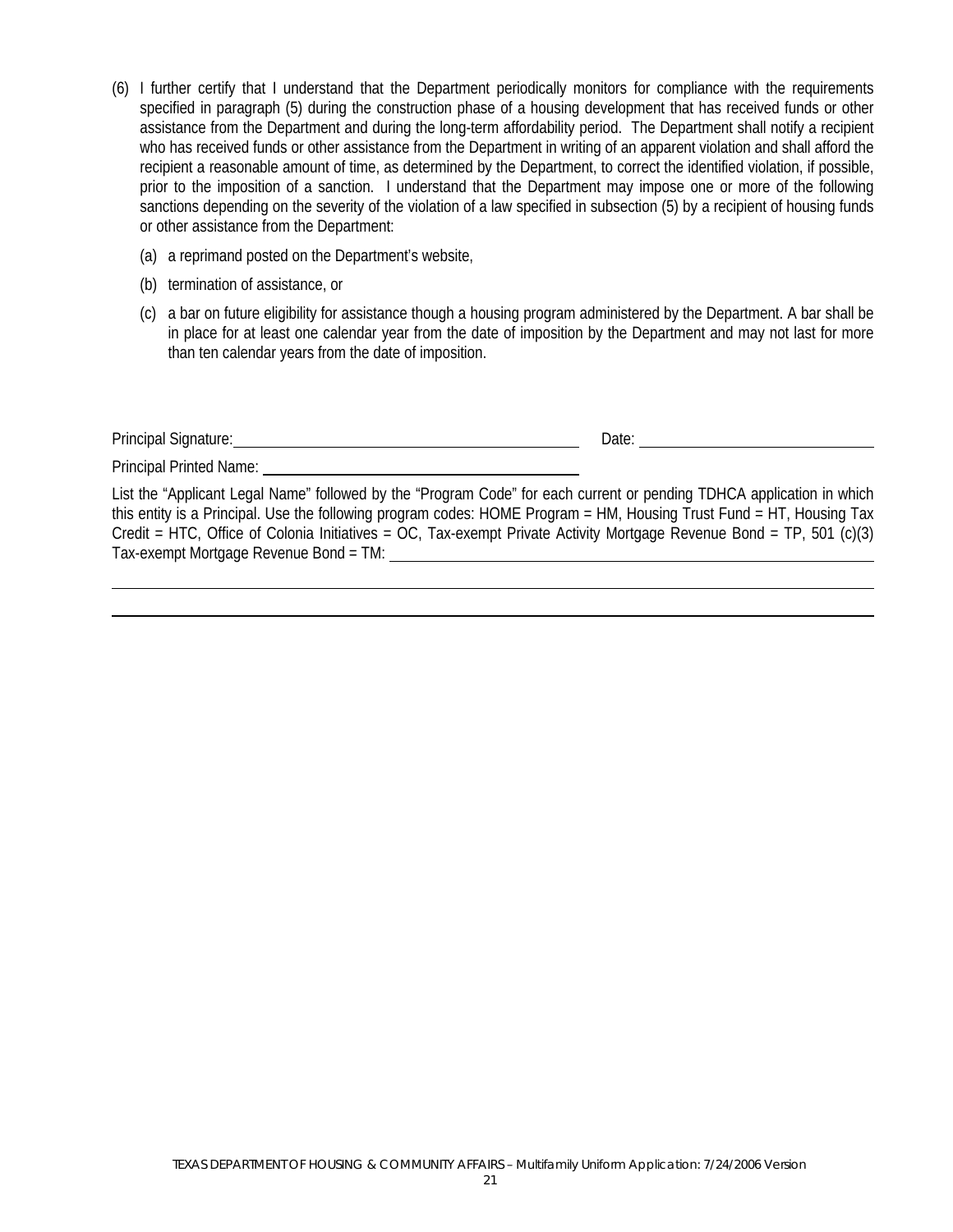- (6) I further certify that I understand that the Department periodically monitors for compliance with the requirements specified in paragraph (5) during the construction phase of a housing development that has received funds or other assistance from the Department and during the long-term affordability period. The Department shall notify a recipient who has received funds or other assistance from the Department in writing of an apparent violation and shall afford the recipient a reasonable amount of time, as determined by the Department, to correct the identified violation, if possible, prior to the imposition of a sanction. I understand that the Department may impose one or more of the following sanctions depending on the severity of the violation of a law specified in subsection (5) by a recipient of housing funds or other assistance from the Department:
	- (a) a reprimand posted on the Department's website,
	- (b) termination of assistance, or
	- (c) a bar on future eligibility for assistance though a housing program administered by the Department. A bar shall be in place for at least one calendar year from the date of imposition by the Department and may not last for more than ten calendar years from the date of imposition.

Principal Signature: <u>Date: Date: Date: Date: Date: Date: Date: Date: Date: Date: Date: Date: Date: Date: Date: Date: Date: Date: Date: Date: Date: Date: Date: Date: Date: Date: Date: Date: Date: Date: Date: Date: Date: Da</u>

Principal Printed Name:

List the "Applicant Legal Name" followed by the "Program Code" for each current or pending TDHCA application in which this entity is a Principal. Use the following program codes: HOME Program = HM, Housing Trust Fund = HT, Housing Tax Credit = HTC, Office of Colonia Initiatives = OC, Tax-exempt Private Activity Mortgage Revenue Bond = TP, 501 (c)(3) Tax-exempt Mortgage Revenue Bond = TM: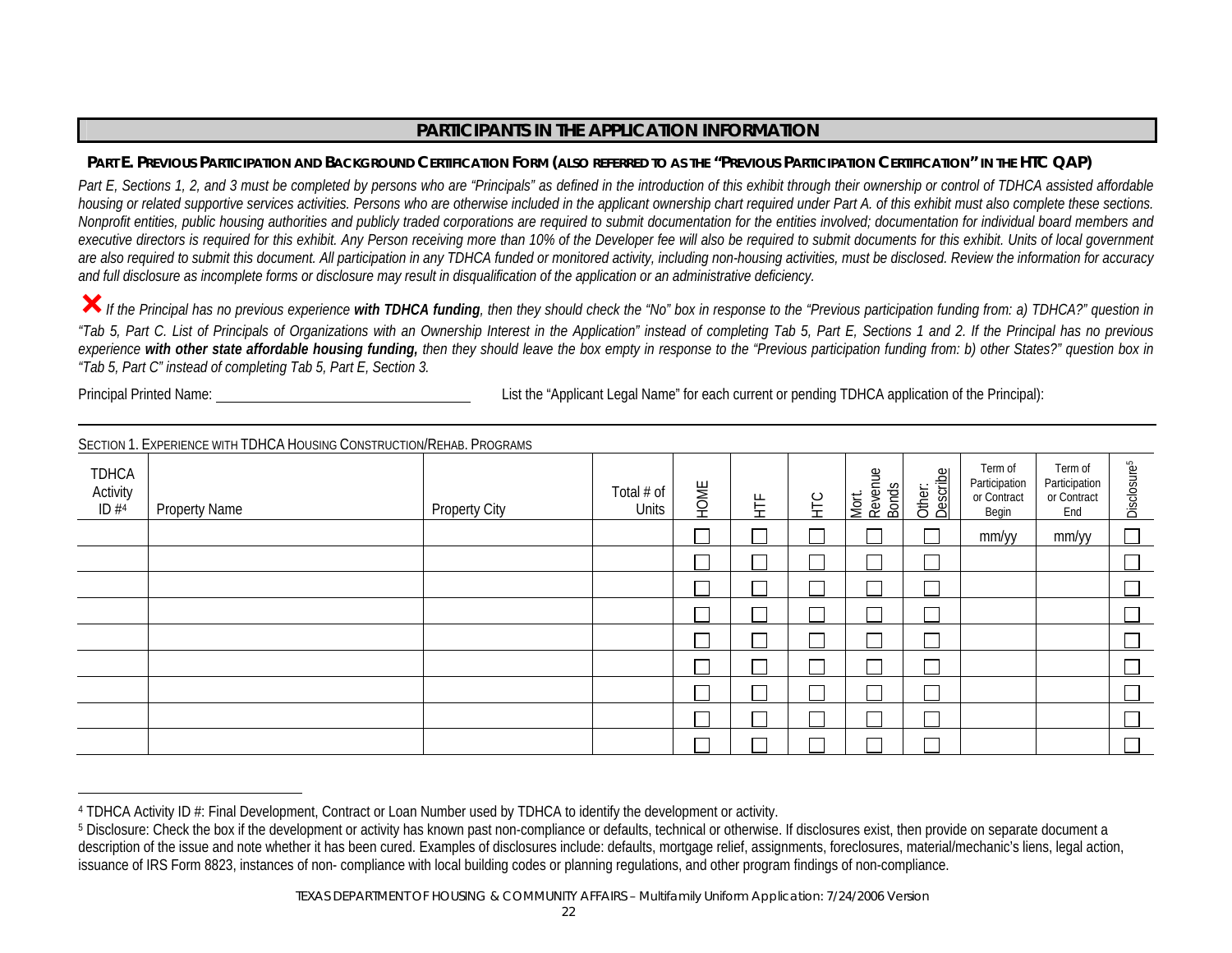#### Part E. Previous Participation and Background Certification Form (also referred to as the "Previous Participation Certification" in the HTC QAP)

Part E, Sections 1, 2, and 3 must be completed by persons who are "Principals" as defined in the introduction of this exhibit through their ownership or control of TDHCA assisted affordable *housing or related supportive services activities. Persons who are otherwise included in the applicant ownership chart required under Part A. of this exhibit must also complete these sections. Nonprofit entities, public housing authorities and publicly traded corporations are required to submit documentation for the entities involved; documentation for individual board members and*  executive directors is required for this exhibit. Any Person receiving more than 10% of the Developer fee will also be required to submit documents for this exhibit. Units of local government *are also required to submit this document. All participation in any TDHCA funded or monitored activity, including non-housing activities, must be disclosed. Review the information for accuracy and full disclosure as incomplete forms or disclosure may result in disqualification of the application or an administrative deficiency.* 

³*If the Principal has no previous experience with TDHCA funding, then they should check the "No" box in response to the "Previous participation funding from: a) TDHCA?" question in "Tab 5, Part C. List of Principals of Organizations with an Ownership Interest in the Application" instead of completing Tab 5, Part E, Sections 1 and 2. If the Principal has no previous experience with other state affordable housing funding, then they should leave the box empty in response to the "Previous participation funding from: b) other States?" question box in "Tab 5, Part C" instead of completing Tab 5, Part E, Section 3.* 

Principal Printed Name: List the "Applicant Legal Name" for each current or pending TDHCA application of the Principal):

|                           | <b>JEUTION T. EXPERIENCE WITH TUITUA HOUSING CONSTRUCTION/KEHAB. PROGRAMS</b> |                      |                     |      |   |           |                           |                    |                                                  |                                                |                          |
|---------------------------|-------------------------------------------------------------------------------|----------------------|---------------------|------|---|-----------|---------------------------|--------------------|--------------------------------------------------|------------------------------------------------|--------------------------|
| TDHCA<br>Activity<br>ID#4 | <b>Property Name</b>                                                          | <b>Property City</b> | Total # of<br>Units | HOME | 呈 | <b>HE</b> | Mort.<br>Revenue<br>Bonds | Describe<br>Other: | Term of<br>Participation<br>or Contract<br>Begin | Term of<br>Participation<br>or Contract<br>End | Disclosure <sup>5</sup>  |
|                           |                                                                               |                      |                     |      |   |           |                           |                    | mm/yy                                            | mm/yy                                          | $\Box$                   |
|                           |                                                                               |                      |                     |      |   |           |                           |                    |                                                  |                                                | $\Box$                   |
|                           |                                                                               |                      |                     |      |   |           |                           |                    |                                                  |                                                | $\Box$                   |
|                           |                                                                               |                      |                     |      |   |           |                           |                    |                                                  |                                                | $\overline{\phantom{0}}$ |
|                           |                                                                               |                      |                     |      |   |           |                           |                    |                                                  |                                                |                          |
|                           |                                                                               |                      |                     |      |   |           |                           |                    |                                                  |                                                | $\Box$                   |
|                           |                                                                               |                      |                     |      |   |           |                           |                    |                                                  |                                                | $\Box$                   |
|                           |                                                                               |                      |                     |      |   |           |                           |                    |                                                  |                                                | $\Box$                   |
|                           |                                                                               |                      |                     |      |   |           |                           |                    |                                                  |                                                |                          |

SECTION 1. EXPERIENCE WITH TDHCA HOUSING CONSTRUCTION/REHAB. PROGRAMS

<sup>&</sup>lt;sup>4</sup> TDHCA Activity ID #: Final Development, Contract or Loan Number used by TDHCA to identify the development or activity.<br><sup>5</sup> Disclosure: Check the box if the development or activity has known past non-compliance or defau description of the issue and note whether it has been cured. Examples of disclosures include: defaults, mortgage relief, assignments, foreclosures, material/mechanic's liens, legal action, issuance of IRS Form 8823, instances of non- compliance with local building codes or planning regulations, and other program findings of non-compliance.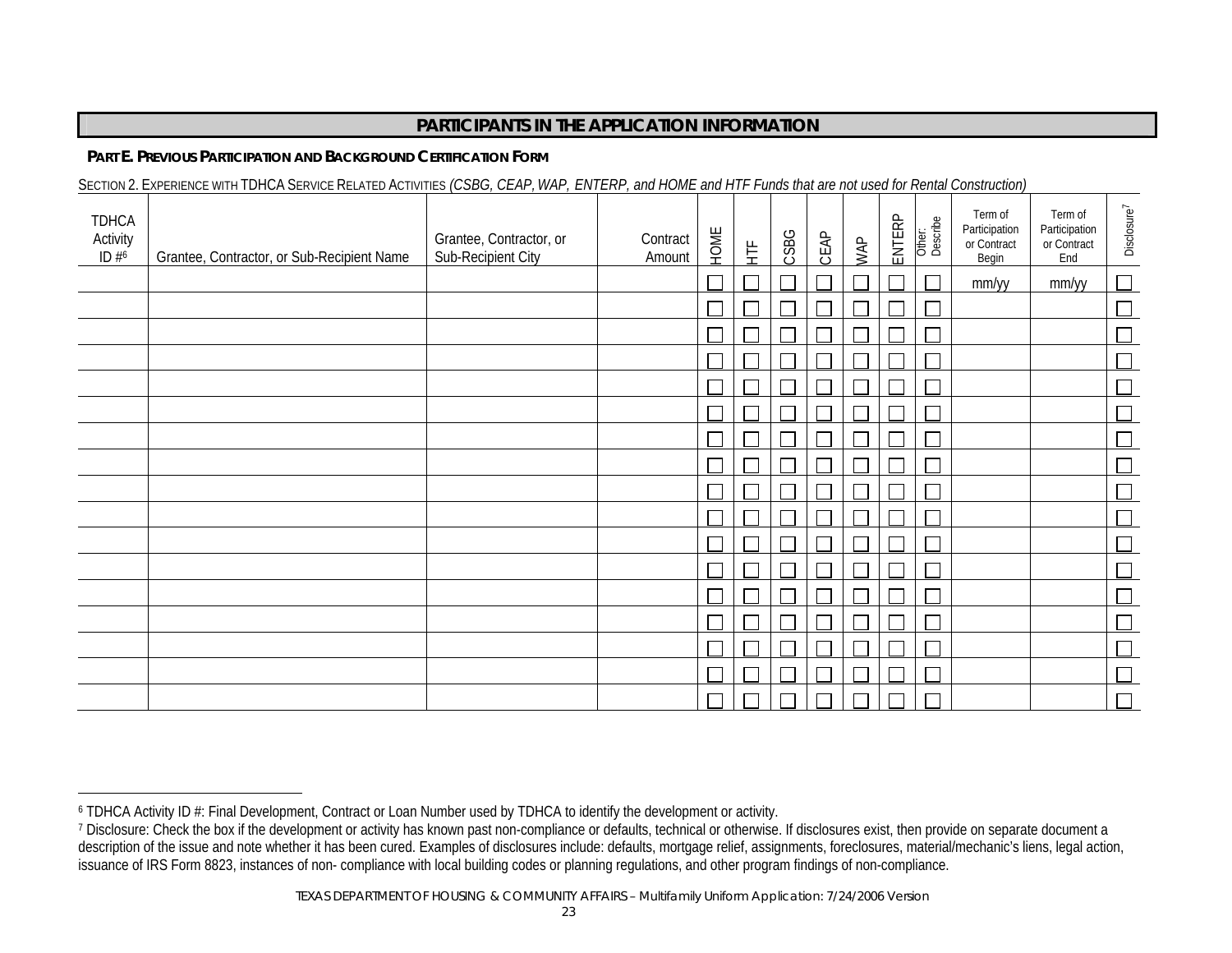#### **PART E. PREVIOUS PARTICIPATION AND BACKGROUND CERTIFICATION FORM**

SECTION 2. EXPERIENCE WITH TDHCA SERVICE RELATED ACTIVITIES *(CSBG, CEAP, WAP, ENTERP, and HOME and HTF Funds that are not used for Rental Construction)* 

| <b>TDHCA</b><br>Activity<br>ID $#6$ | Grantee, Contractor, or Sub-Recipient Name | Grantee, Contractor, or<br>Sub-Recipient City | Contract<br>Amount | HOME | 堂  | CSBG | CEAP | WAP    | ENTERP      | Other:<br>Describe | Term of<br>Participation<br>or Contract<br>Begin | Term of<br>Participation<br>or Contract<br>End | Disclosure <sup>7</sup> |
|-------------------------------------|--------------------------------------------|-----------------------------------------------|--------------------|------|----|------|------|--------|-------------|--------------------|--------------------------------------------------|------------------------------------------------|-------------------------|
|                                     |                                            |                                               |                    |      | ٦  |      |      | $\Box$ |             |                    | mm/yy                                            | mm/yy                                          |                         |
|                                     |                                            |                                               |                    |      |    |      |      |        |             |                    |                                                  |                                                |                         |
|                                     |                                            |                                               |                    |      |    |      |      |        |             |                    |                                                  |                                                |                         |
|                                     |                                            |                                               |                    |      |    |      |      |        |             |                    |                                                  |                                                |                         |
|                                     |                                            |                                               |                    |      |    |      |      |        |             | $\Box$             |                                                  |                                                |                         |
|                                     |                                            |                                               |                    |      |    |      |      |        |             |                    |                                                  |                                                |                         |
|                                     |                                            |                                               |                    |      |    |      |      |        |             |                    |                                                  |                                                |                         |
|                                     |                                            |                                               |                    |      |    |      |      |        |             |                    |                                                  |                                                |                         |
|                                     |                                            |                                               |                    |      |    |      |      |        |             |                    |                                                  |                                                |                         |
|                                     |                                            |                                               |                    |      |    |      |      |        |             |                    |                                                  |                                                |                         |
|                                     |                                            |                                               |                    |      |    |      |      |        |             |                    |                                                  |                                                |                         |
|                                     |                                            |                                               |                    |      |    |      |      | ┌      |             | ┍                  |                                                  |                                                |                         |
|                                     |                                            |                                               |                    |      | J. |      | T.   | $\Box$ | $\sqsubset$ | $\Box$             |                                                  |                                                |                         |
|                                     |                                            |                                               |                    |      |    |      |      | $\Box$ |             | ┌                  |                                                  |                                                |                         |
|                                     |                                            |                                               |                    |      |    |      |      |        |             | ┌                  |                                                  |                                                |                         |
|                                     |                                            |                                               |                    |      |    |      |      |        |             | ┍                  |                                                  |                                                |                         |
|                                     |                                            |                                               |                    |      |    |      |      |        |             |                    |                                                  |                                                | $\Box$                  |

<sup>&</sup>lt;sup>6</sup> TDHCA Activity ID #: Final Development, Contract or Loan Number used by TDHCA to identify the development or activity.<br><sup>7</sup> Disclosure: Check the box if the development or activity has known past non-compliance or defau description of the issue and note whether it has been cured. Examples of disclosures include: defaults, mortgage relief, assignments, foreclosures, material/mechanic's liens, legal action, issuance of IRS Form 8823, instances of non-compliance with local building codes or planning regulations, and other program findings of non-compliance.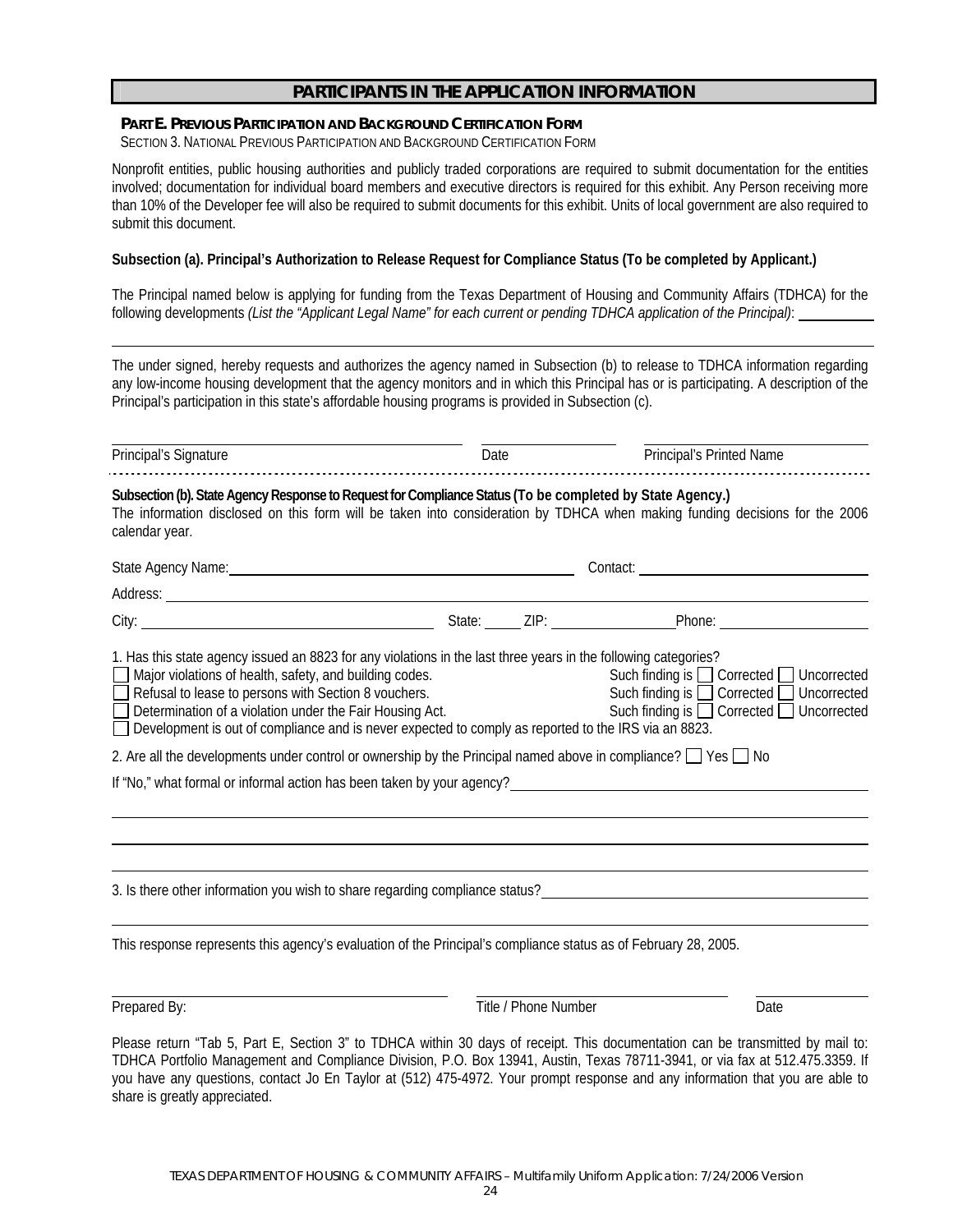#### **PART E. PREVIOUS PARTICIPATION AND BACKGROUND CERTIFICATION FORM**

SECTION 3. NATIONAL PREVIOUS PARTICIPATION AND BACKGROUND CERTIFICATION FORM

Nonprofit entities, public housing authorities and publicly traded corporations are required to submit documentation for the entities involved; documentation for individual board members and executive directors is required for this exhibit. Any Person receiving more than 10% of the Developer fee will also be required to submit documents for this exhibit. Units of local government are also required to submit this document.

#### **Subsection (a). Principal's Authorization to Release Request for Compliance Status (To be completed by Applicant.)**

The Principal named below is applying for funding from the Texas Department of Housing and Community Affairs (TDHCA) for the following developments *(List the "Applicant Legal Name" for each current or pending TDHCA application of the Principal)*:

The under signed, hereby requests and authorizes the agency named in Subsection (b) to release to TDHCA information regarding any low-income housing development that the agency monitors and in which this Principal has or is participating. A description of the Principal's participation in this state's affordable housing programs is provided in Subsection (c).

| Principal's Signature                                                                                                                                                                                                                                                                                                                                                                                                                                                                                                                                                                                       | Date |                      | Principal's Printed Name                                                                                                            |
|-------------------------------------------------------------------------------------------------------------------------------------------------------------------------------------------------------------------------------------------------------------------------------------------------------------------------------------------------------------------------------------------------------------------------------------------------------------------------------------------------------------------------------------------------------------------------------------------------------------|------|----------------------|-------------------------------------------------------------------------------------------------------------------------------------|
| Subsection (b). State Agency Response to Request for Compliance Status (To be completed by State Agency.)<br>The information disclosed on this form will be taken into consideration by TDHCA when making funding decisions for the 2006<br>calendar year.                                                                                                                                                                                                                                                                                                                                                  |      |                      |                                                                                                                                     |
| State Agency Name: 1997 Contract Contract Contract Contract Contract Contract Contract Contract Contract Contract Contract Contract Contract Contract Contract Contract Contract Contract Contract Contract Contract Contract                                                                                                                                                                                                                                                                                                                                                                               |      |                      |                                                                                                                                     |
|                                                                                                                                                                                                                                                                                                                                                                                                                                                                                                                                                                                                             |      |                      |                                                                                                                                     |
|                                                                                                                                                                                                                                                                                                                                                                                                                                                                                                                                                                                                             |      |                      |                                                                                                                                     |
| 1. Has this state agency issued an 8823 for any violations in the last three years in the following categories?<br>Major violations of health, safety, and building codes.<br>Refusal to lease to persons with Section 8 vouchers.<br>Determination of a violation under the Fair Housing Act.<br>Development is out of compliance and is never expected to comply as reported to the IRS via an 8823.<br>2. Are all the developments under control or ownership by the Principal named above in compliance? $\Box$ Yes $\Box$ No<br>If "No," what formal or informal action has been taken by your agency? |      |                      | Such finding is □ Corrected □ Uncorrected<br>Such finding is □ Corrected □ Uncorrected<br>Such finding is □ Corrected □ Uncorrected |
| 3. Is there other information you wish to share regarding compliance status?<br>San Donald States and Donald States and Donald States and Donald States and Donald States and Donald States a                                                                                                                                                                                                                                                                                                                                                                                                               |      |                      |                                                                                                                                     |
| This response represents this agency's evaluation of the Principal's compliance status as of February 28, 2005.                                                                                                                                                                                                                                                                                                                                                                                                                                                                                             |      |                      |                                                                                                                                     |
| Prepared By:                                                                                                                                                                                                                                                                                                                                                                                                                                                                                                                                                                                                |      | Title / Phone Number | Date                                                                                                                                |
|                                                                                                                                                                                                                                                                                                                                                                                                                                                                                                                                                                                                             |      |                      |                                                                                                                                     |

Please return "Tab 5, Part E, Section 3" to TDHCA within 30 days of receipt. This documentation can be transmitted by mail to: TDHCA Portfolio Management and Compliance Division, P.O. Box 13941, Austin, Texas 78711-3941, or via fax at 512.475.3359. If you have any questions, contact Jo En Taylor at (512) 475-4972. Your prompt response and any information that you are able to share is greatly appreciated.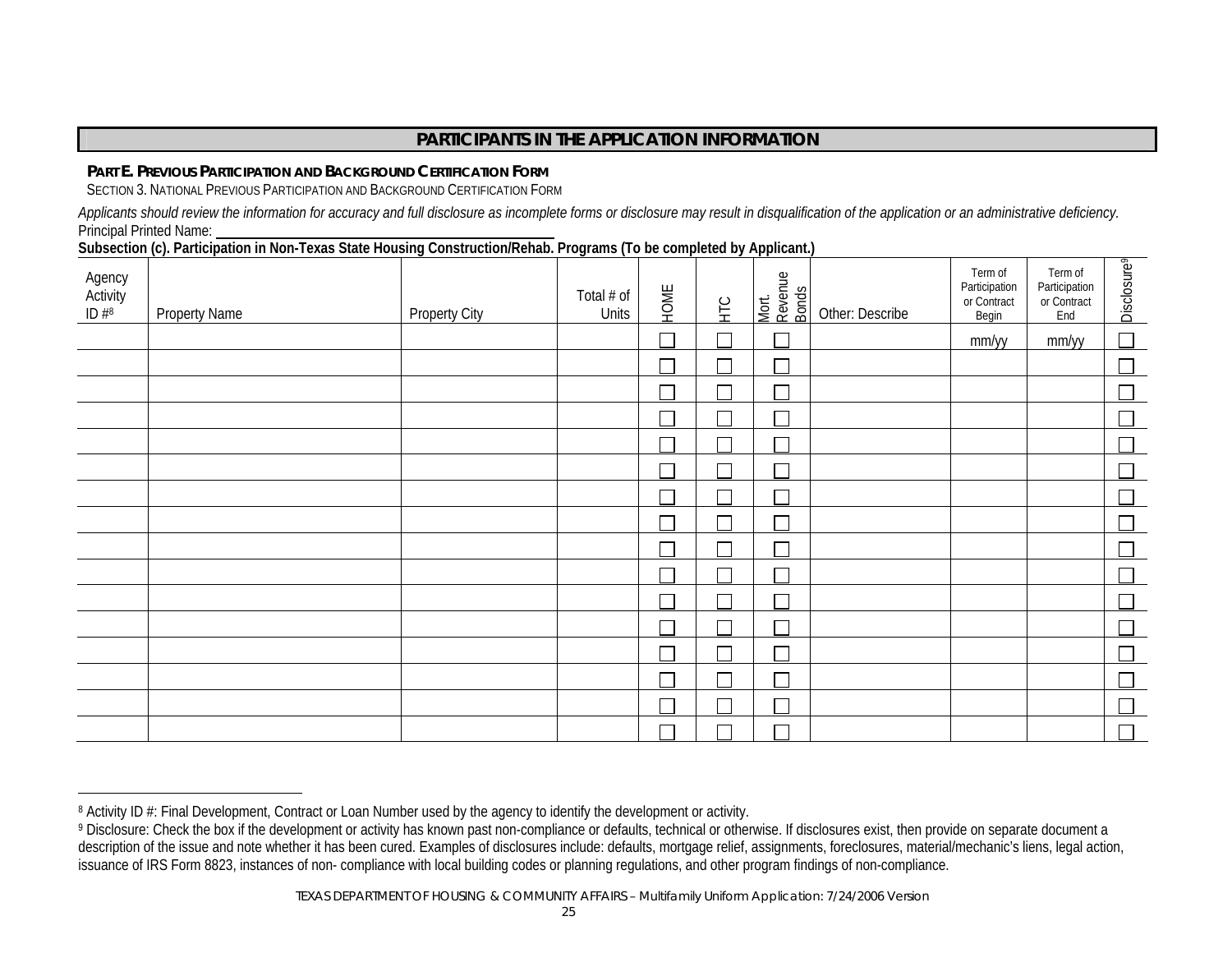#### **PART E. PREVIOUS PARTICIPATION AND BACKGROUND CERTIFICATION FORM**

SECTION 3. NATIONAL PREVIOUS PARTICIPATION AND BACKGROUND CERTIFICATION FORM

*Applicants should review the information for accuracy and full disclosure as incomplete forms or disclosure may result in disqualification of the application or an administrative deficiency.*  Principal Printed Name:

**Subsection (c). Participation in Non-Texas State Housing Construction/Rehab. Programs (To be completed by Applicant.)** 

| Agency<br>Activity<br>ID #8 | <b>Property Name</b> | <b>Property City</b> | Total # of<br>Units | HOME | НC | Mort.<br>Revenue<br>Bonds | Other: Describe | Term of<br>Participation<br>or Contract<br>Begin | Term of<br>Participation<br>or Contract<br>End | Disclosure <sup>9</sup> |
|-----------------------------|----------------------|----------------------|---------------------|------|----|---------------------------|-----------------|--------------------------------------------------|------------------------------------------------|-------------------------|
|                             |                      |                      |                     |      |    | Ξ                         |                 | mm/yy                                            | mm/yy                                          | $\Box$                  |
|                             |                      |                      |                     |      |    | Τ                         |                 |                                                  |                                                |                         |
|                             |                      |                      |                     |      |    | Г                         |                 |                                                  |                                                |                         |
|                             |                      |                      |                     |      |    | П                         |                 |                                                  |                                                |                         |
|                             |                      |                      |                     |      |    | П                         |                 |                                                  |                                                |                         |
|                             |                      |                      |                     |      |    | Г                         |                 |                                                  |                                                |                         |
|                             |                      |                      |                     |      |    | Τ                         |                 |                                                  |                                                |                         |
|                             |                      |                      |                     |      |    | Г                         |                 |                                                  |                                                |                         |
|                             |                      |                      |                     |      |    | Г                         |                 |                                                  |                                                |                         |
|                             |                      |                      |                     |      |    |                           |                 |                                                  |                                                |                         |
|                             |                      |                      |                     |      |    | Ξ                         |                 |                                                  |                                                |                         |
|                             |                      |                      |                     |      |    | Ξ                         |                 |                                                  |                                                |                         |
|                             |                      |                      |                     |      |    | Ξ                         |                 |                                                  |                                                |                         |
|                             |                      |                      |                     |      |    | Ξ                         |                 |                                                  |                                                |                         |
|                             |                      |                      |                     |      |    |                           |                 |                                                  |                                                |                         |
|                             |                      |                      |                     |      |    |                           |                 |                                                  |                                                |                         |

<sup>&</sup>lt;sup>8</sup> Activity ID #: Final Development, Contract or Loan Number used by the agency to identify the development or activity.<br><sup>9</sup> Disclosure: Check the box if the development or activity has known past non-compliance or defaul description of the issue and note whether it has been cured. Examples of disclosures include: defaults, mortgage relief, assignments, foreclosures, material/mechanic's liens, legal action, issuance of IRS Form 8823, instances of non- compliance with local building codes or planning regulations, and other program findings of non-compliance.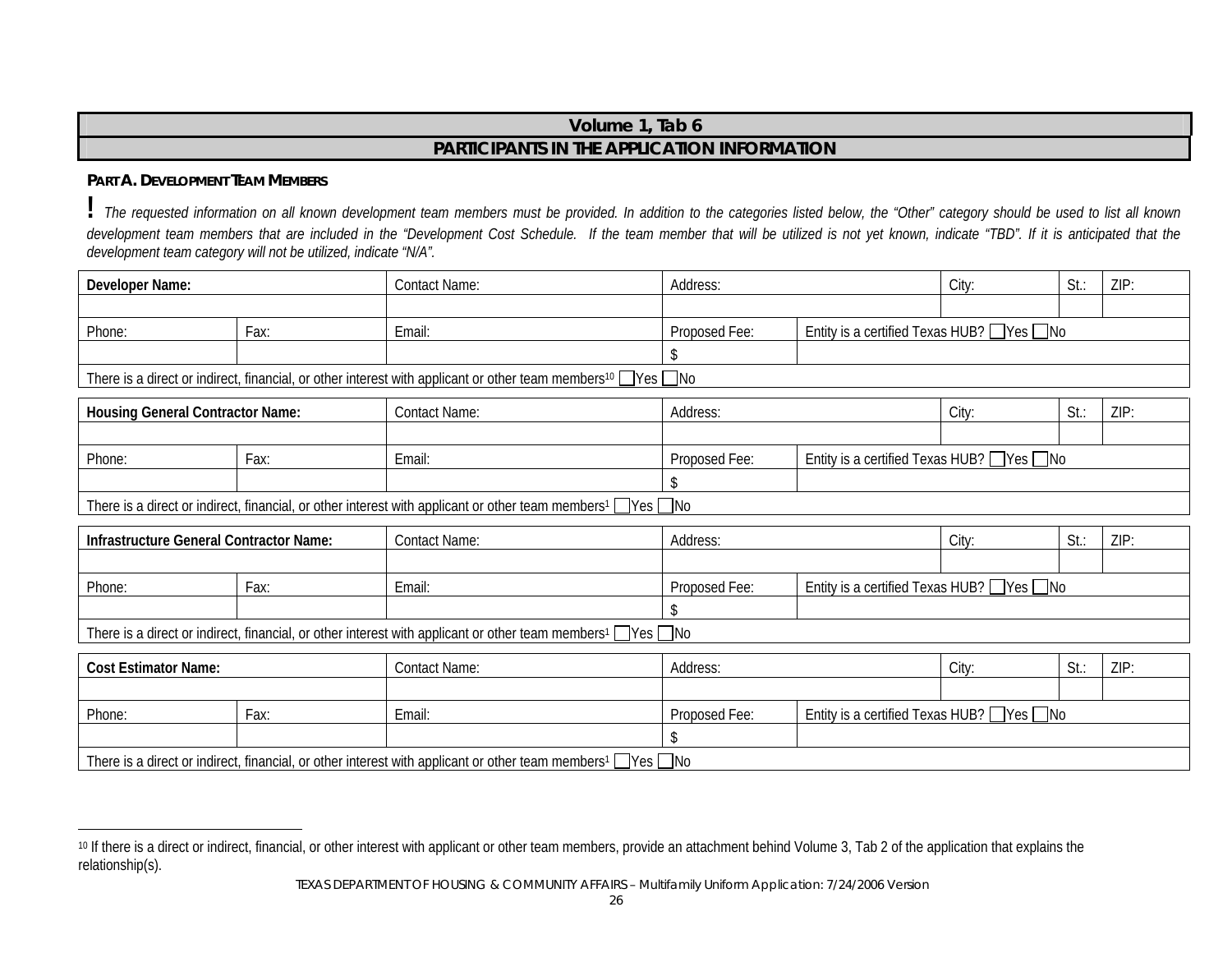# **Volume 1, Tab 6 PARTICIPANTS IN THE APPLICATION INFORMATION**

#### **PART A.DEVELOPMENT TEAM MEMBERS**

**!** *The requested information on all known development team members must be provided. In addition to the categories listed below, the "Other" category should be used to list all known*  development team members that are included in the "Development Cost Schedule. If the team member that will be utilized is not yet known, indicate "TBD". If it is anticipated that the *development team category will not be utilized, indicate "N/A".*

| Developer Name:                         |      | <b>Contact Name:</b>                                                                                                                | Address:      |                                                       | City:                                                 | St.:    | ZIP: |
|-----------------------------------------|------|-------------------------------------------------------------------------------------------------------------------------------------|---------------|-------------------------------------------------------|-------------------------------------------------------|---------|------|
|                                         |      |                                                                                                                                     |               |                                                       |                                                       |         |      |
| Phone:                                  | Fax: | Email:                                                                                                                              | Proposed Fee: | Entity is a certified Texas HUB? $\Box$ Yes $\Box$ No |                                                       |         |      |
|                                         |      |                                                                                                                                     |               |                                                       |                                                       |         |      |
|                                         |      | There is a direct or indirect, financial, or other interest with applicant or other team members <sup>10</sup> $\Box$ Yes $\Box$ No |               |                                                       |                                                       |         |      |
| <b>Housing General Contractor Name:</b> |      | <b>Contact Name:</b>                                                                                                                | Address:      |                                                       | City:                                                 | $St.$ : | ZIP  |
|                                         |      |                                                                                                                                     |               |                                                       |                                                       |         |      |
| Phone:                                  | Fax: | Email:                                                                                                                              | Proposed Fee: |                                                       | Entity is a certified Texas HUB? $\Box$ Yes $\Box$ No |         |      |
|                                         |      |                                                                                                                                     |               |                                                       |                                                       |         |      |
|                                         |      | There is a direct or indirect, financial, or other interest with applicant or other team members <sup>1</sup> $\Box$ Yes $\Box$ No  |               |                                                       |                                                       |         |      |
| Infrastructure General Contractor Name: |      | <b>Contact Name:</b>                                                                                                                | Address:      |                                                       | City:                                                 | St.:    | ZIP: |
|                                         |      |                                                                                                                                     |               |                                                       |                                                       |         |      |
| Phone:                                  | Fax: | Email:                                                                                                                              | Proposed Fee: | Entity is a certified Texas HUB? $\Box$ Yes $\Box$ No |                                                       |         |      |
|                                         |      |                                                                                                                                     |               |                                                       |                                                       |         |      |
|                                         |      | There is a direct or indirect, financial, or other interest with applicant or other team members <sup>1</sup> $\Box$ Yes $\Box$ No  |               |                                                       |                                                       |         |      |
| <b>Cost Estimator Name:</b>             |      | <b>Contact Name:</b>                                                                                                                | Address:      |                                                       | City:                                                 | $St.$ : | ZIP: |
|                                         |      |                                                                                                                                     |               |                                                       |                                                       |         |      |
| Phone:                                  | Fax: | Email:                                                                                                                              | Proposed Fee: | Entity is a certified Texas HUB? $\Box$ Yes $\Box$ No |                                                       |         |      |
|                                         |      |                                                                                                                                     |               |                                                       |                                                       |         |      |
|                                         |      | There is a direct or indirect, financial, or other interest with applicant or other team members <sup>1</sup> $\Box$ Yes $\Box$ No  |               |                                                       |                                                       |         |      |

<sup>10</sup> If there is a direct or indirect, financial, or other interest with applicant or other team members, provide an attachment behind Volume 3, Tab 2 of the application that explains the relationship(s).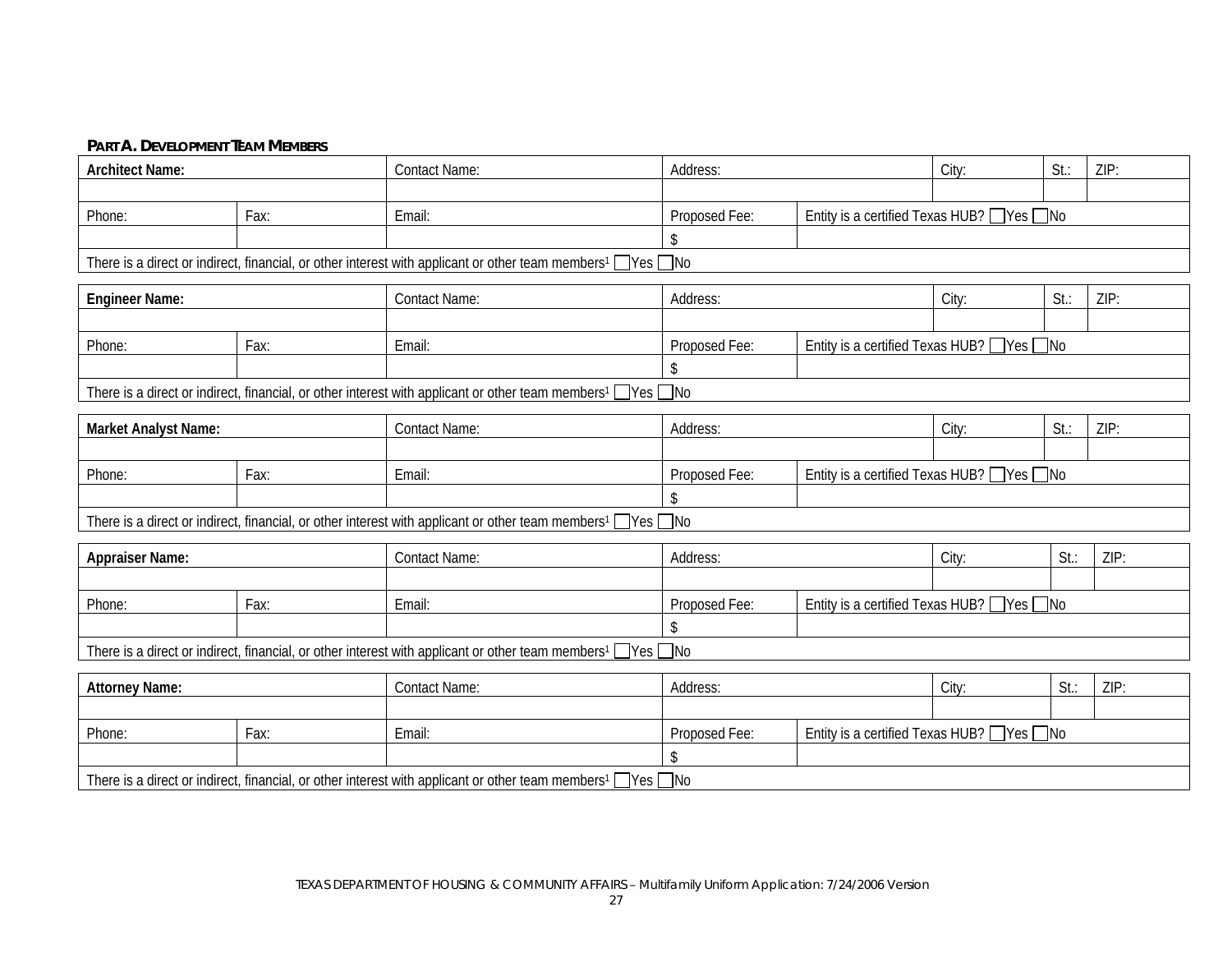#### **PART A. DEVELOPMENT TEAM MEMBERS**

| <b>Architect Name:</b> |      | <b>Contact Name:</b>                                                                                                               | Address:          |                                             | City:                                       | $St.$ : | ZIP: |
|------------------------|------|------------------------------------------------------------------------------------------------------------------------------------|-------------------|---------------------------------------------|---------------------------------------------|---------|------|
|                        |      |                                                                                                                                    |                   |                                             |                                             |         |      |
| Phone:                 | Fax: | Email:                                                                                                                             | Proposed Fee:     | Entity is a certified Texas HUB? ■ Yes ■ No |                                             |         |      |
|                        |      |                                                                                                                                    | \$                |                                             |                                             |         |      |
|                        |      | There is a direct or indirect, financial, or other interest with applicant or other team members <sup>1</sup> Nes ONo              |                   |                                             |                                             |         |      |
| <b>Engineer Name:</b>  |      | <b>Contact Name:</b>                                                                                                               | Address:          |                                             | City:                                       | $St.$ : | ZIP: |
|                        |      |                                                                                                                                    |                   |                                             |                                             |         |      |
| Phone:                 | Fax: | Email:                                                                                                                             | Proposed Fee:     | Entity is a certified Texas HUB? Ves ONo    |                                             |         |      |
|                        |      |                                                                                                                                    | \$                |                                             |                                             |         |      |
|                        |      | There is a direct or indirect, financial, or other interest with applicant or other team members <sup>1</sup> Nes ONo              |                   |                                             |                                             |         |      |
| Market Analyst Name:   |      | <b>Contact Name:</b>                                                                                                               | City:<br>Address: |                                             |                                             | St.:    | ZIP: |
|                        |      |                                                                                                                                    |                   |                                             |                                             |         |      |
| Phone:                 | Fax: | Email:                                                                                                                             | Proposed Fee:     |                                             | Entity is a certified Texas HUB? ■ Yes ■ No |         |      |
|                        |      |                                                                                                                                    | \$                |                                             |                                             |         |      |
|                        |      | There is a direct or indirect, financial, or other interest with applicant or other team members <sup>1</sup> Ves no               |                   |                                             |                                             |         |      |
| <b>Appraiser Name:</b> |      | <b>Contact Name:</b>                                                                                                               | Address:          |                                             | City:                                       | $St.$ : | ZIP: |
|                        |      |                                                                                                                                    |                   |                                             |                                             |         |      |
| Phone:                 | Fax: | Email:                                                                                                                             | Proposed Fee:     | Entity is a certified Texas HUB? Ves ONo    |                                             |         |      |
|                        |      |                                                                                                                                    |                   |                                             |                                             |         |      |
|                        |      | There is a direct or indirect, financial, or other interest with applicant or other team members <sup>1</sup> Yes no               |                   |                                             |                                             |         |      |
| <b>Attorney Name:</b>  |      | <b>Contact Name:</b>                                                                                                               | Address:          |                                             | City:                                       | $St.$ : | ZIP  |
|                        |      |                                                                                                                                    |                   |                                             |                                             |         |      |
| Phone:                 | Fax: | Email:                                                                                                                             | Proposed Fee:     |                                             | Entity is a certified Texas HUB? ■ Yes ■ No |         |      |
|                        |      |                                                                                                                                    | \$                |                                             |                                             |         |      |
|                        |      | There is a direct or indirect, financial, or other interest with applicant or other team members <sup>1</sup> $\Box$ Yes $\Box$ No |                   |                                             |                                             |         |      |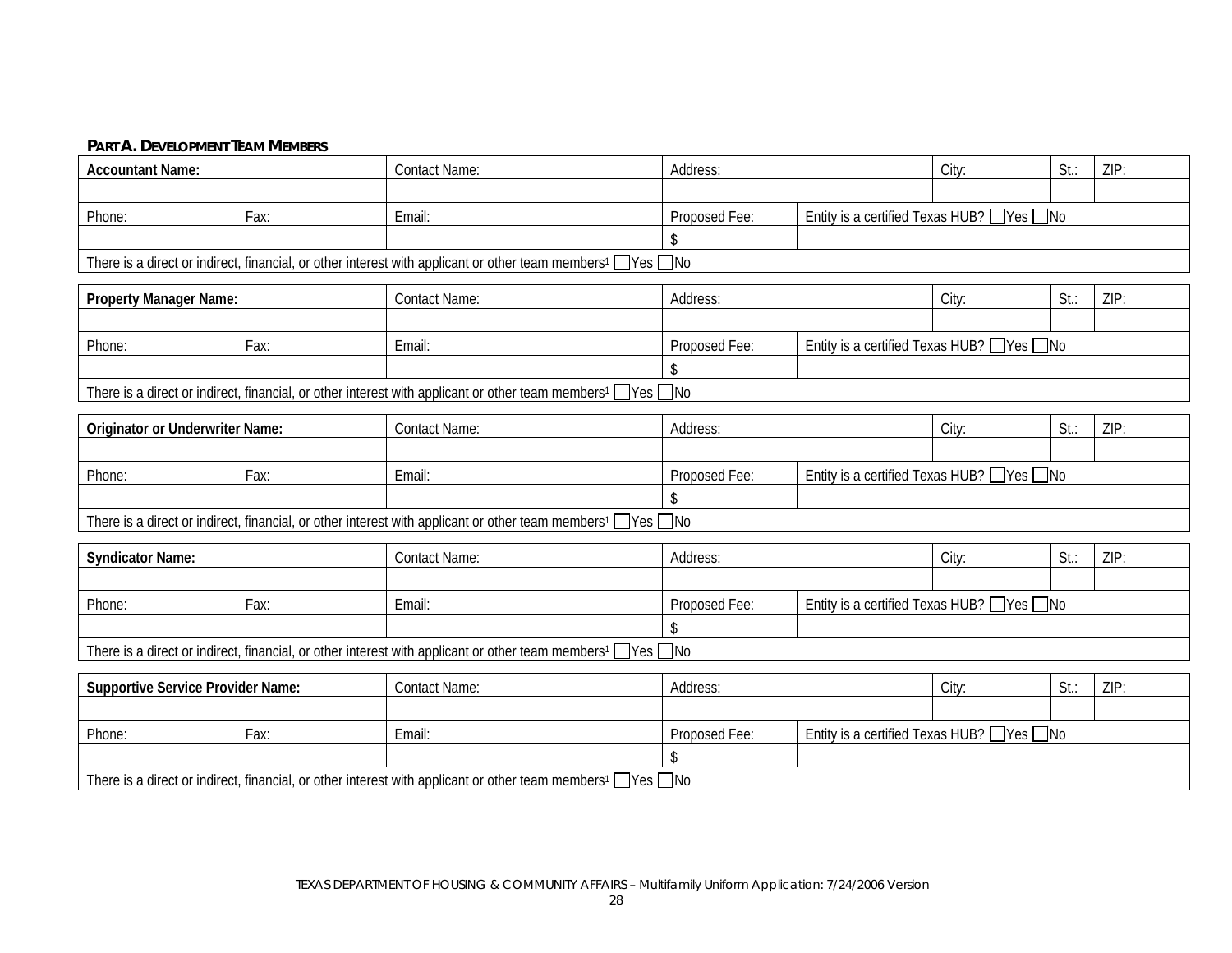#### **PART A. DEVELOPMENT TEAM MEMBERS**

| <b>Accountant Name:</b>                  |      | <b>Contact Name:</b>                                                                                                               | Address:                                                     |                                             | City: | St.:    | ZIP: |  |
|------------------------------------------|------|------------------------------------------------------------------------------------------------------------------------------------|--------------------------------------------------------------|---------------------------------------------|-------|---------|------|--|
|                                          |      |                                                                                                                                    |                                                              |                                             |       |         |      |  |
| Phone:                                   | Fax: | Email:                                                                                                                             | Proposed Fee:                                                | Entity is a certified Texas HUB? □ Yes □ No |       |         |      |  |
|                                          |      |                                                                                                                                    | \$                                                           |                                             |       |         |      |  |
|                                          |      | There is a direct or indirect, financial, or other interest with applicant or other team members <sup>1</sup> Ves no               |                                                              |                                             |       |         |      |  |
| <b>Property Manager Name:</b>            |      | <b>Contact Name:</b>                                                                                                               | Address:                                                     |                                             | City: | St.:    | ZIP: |  |
|                                          |      |                                                                                                                                    |                                                              |                                             |       |         |      |  |
| Phone:                                   | Fax: | Email:                                                                                                                             | Entity is a certified Texas HUB? ■ Yes ■ No<br>Proposed Fee: |                                             |       |         |      |  |
|                                          |      |                                                                                                                                    | \$                                                           |                                             |       |         |      |  |
|                                          |      | There is a direct or indirect, financial, or other interest with applicant or other team members <sup>1</sup> Ves ONo              |                                                              |                                             |       |         |      |  |
|                                          |      |                                                                                                                                    |                                                              |                                             |       |         |      |  |
| <b>Originator or Underwriter Name:</b>   |      | <b>Contact Name:</b>                                                                                                               | Address:                                                     |                                             | City: | $St.$ : | ZIP: |  |
|                                          |      |                                                                                                                                    |                                                              |                                             |       |         |      |  |
| Phone:                                   | Fax: | Email:                                                                                                                             | Entity is a certified Texas HUB? □ Yes □ No<br>Proposed Fee: |                                             |       |         |      |  |
|                                          |      |                                                                                                                                    |                                                              |                                             |       |         |      |  |
|                                          |      | There is a direct or indirect, financial, or other interest with applicant or other team members <sup>1</sup> $\Box$ Yes $\Box$ No |                                                              |                                             |       |         |      |  |
| <b>Syndicator Name:</b>                  |      | <b>Contact Name:</b>                                                                                                               | Address:                                                     |                                             | City: | $St.$ : | ZIP: |  |
|                                          |      |                                                                                                                                    |                                                              |                                             |       |         |      |  |
| Phone:                                   | Fax: | Email:                                                                                                                             | Proposed Fee:                                                | Entity is a certified Texas HUB? Ves ONo    |       |         |      |  |
|                                          |      |                                                                                                                                    |                                                              |                                             |       |         |      |  |
|                                          |      | There is a direct or indirect, financial, or other interest with applicant or other team members <sup>1</sup> Nes ONo              |                                                              |                                             |       |         |      |  |
|                                          |      |                                                                                                                                    |                                                              |                                             |       |         |      |  |
| <b>Supportive Service Provider Name:</b> |      | <b>Contact Name:</b>                                                                                                               | Address:                                                     |                                             | City: | St.:    | ZIP: |  |
|                                          |      |                                                                                                                                    |                                                              |                                             |       |         |      |  |
| Phone:                                   | Fax: | Email:                                                                                                                             | Proposed Fee:                                                | Entity is a certified Texas HUB? Ves ONo    |       |         |      |  |
|                                          |      |                                                                                                                                    |                                                              |                                             |       |         |      |  |
|                                          |      | There is a direct or indirect, financial, or other interest with applicant or other team members <sup>1</sup> Ves ONo              |                                                              |                                             |       |         |      |  |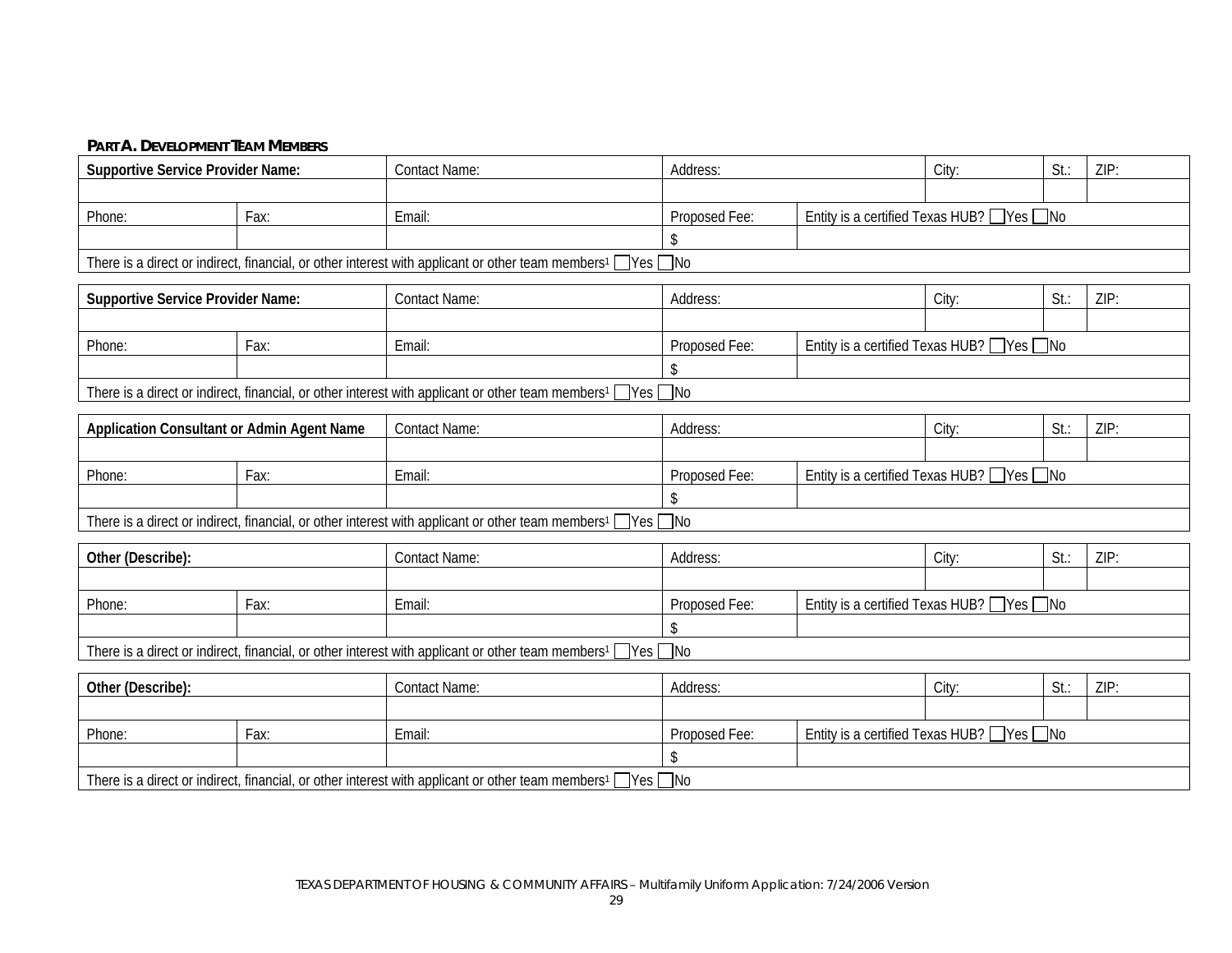#### **PART A. DEVELOPMENT TEAM MEMBERS**

| <b>Supportive Service Provider Name:</b>   | <b>Contact Name:</b>                                                                                                               | Address:                                                  |  | City:                                       | $St.$ : | ZIP: |
|--------------------------------------------|------------------------------------------------------------------------------------------------------------------------------------|-----------------------------------------------------------|--|---------------------------------------------|---------|------|
|                                            |                                                                                                                                    |                                                           |  |                                             |         |      |
| Phone:<br>Fax:                             | Email:                                                                                                                             | Proposed Fee:                                             |  | Entity is a certified Texas HUB? Ves ONo    |         |      |
|                                            |                                                                                                                                    |                                                           |  |                                             |         |      |
|                                            | There is a direct or indirect, financial, or other interest with applicant or other team members <sup>1</sup> □ Yes □ No           |                                                           |  |                                             |         |      |
| <b>Supportive Service Provider Name:</b>   | <b>Contact Name:</b>                                                                                                               | Address:                                                  |  | City:                                       | $St.$ : | ZIP: |
|                                            |                                                                                                                                    |                                                           |  |                                             |         |      |
| Phone:<br>Fax:                             | Email:                                                                                                                             | Proposed Fee:                                             |  | Entity is a certified Texas HUB? ■ Yes ■ No |         |      |
|                                            |                                                                                                                                    |                                                           |  |                                             |         |      |
|                                            | There is a direct or indirect, financial, or other interest with applicant or other team members <sup>1</sup> Ves ONo              |                                                           |  |                                             |         |      |
|                                            |                                                                                                                                    |                                                           |  |                                             |         |      |
| Application Consultant or Admin Agent Name | <b>Contact Name:</b>                                                                                                               | Address:                                                  |  | City:                                       | St.:    | ZIP: |
|                                            |                                                                                                                                    |                                                           |  |                                             |         |      |
| Phone:<br>Fax:                             | Email:                                                                                                                             | Entity is a certified Texas HUB? Ves ONo<br>Proposed Fee: |  |                                             |         |      |
|                                            |                                                                                                                                    | \$                                                        |  |                                             |         |      |
|                                            | There is a direct or indirect, financial, or other interest with applicant or other team members <sup>1</sup> □ Yes □ No           |                                                           |  |                                             |         |      |
| Other (Describe):                          | <b>Contact Name:</b>                                                                                                               | Address:                                                  |  | City:                                       | St:     | ZIP: |
|                                            |                                                                                                                                    |                                                           |  |                                             |         |      |
| Phone:<br>Fax:                             | Email:                                                                                                                             | Proposed Fee:                                             |  | Entity is a certified Texas HUB? □ Yes □ No |         |      |
|                                            |                                                                                                                                    |                                                           |  |                                             |         |      |
|                                            | There is a direct or indirect, financial, or other interest with applicant or other team members <sup>1</sup> $\Box$ Yes $\Box$ No |                                                           |  |                                             |         |      |
| Other (Describe):                          | <b>Contact Name:</b>                                                                                                               | Address:                                                  |  | City:                                       | St:     | ZIP: |
|                                            |                                                                                                                                    |                                                           |  |                                             |         |      |
| Phone:<br>Fax:                             | Email:                                                                                                                             | Proposed Fee:                                             |  | Entity is a certified Texas HUB? Ves ONo    |         |      |
|                                            |                                                                                                                                    | \$                                                        |  |                                             |         |      |
|                                            | There is a direct or indirect, financial, or other interest with applicant or other team members <sup>1</sup> $\Box$ Yes $\Box$ No |                                                           |  |                                             |         |      |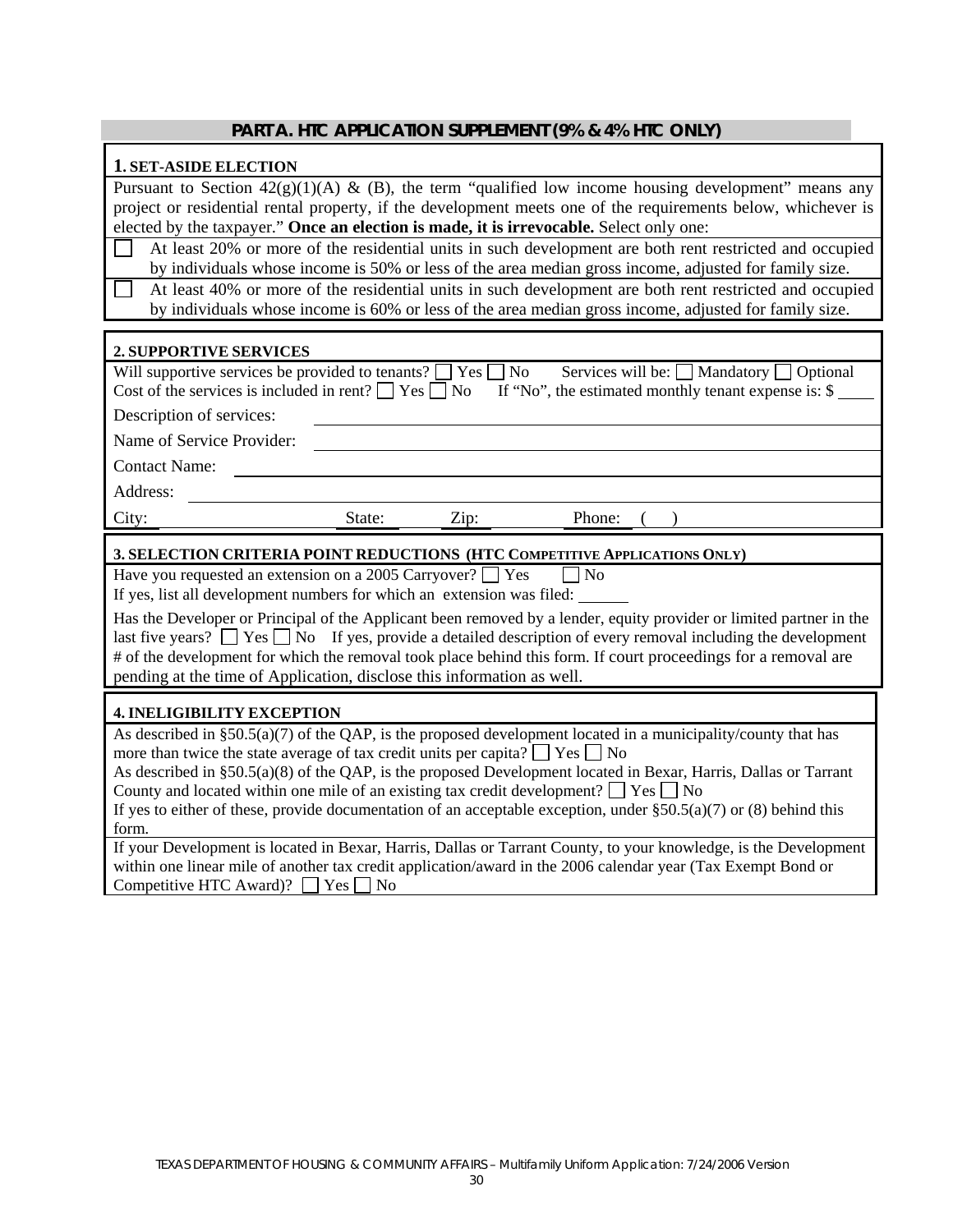#### **PART A. HTC APPLICATION SUPPLEMENT (9% & 4% HTC ONLY)**

#### **1. SET-ASIDE ELECTION**

Pursuant to Section  $42(g)(1)(A) \& (B)$ , the term "qualified low income housing development" means any project or residential rental property, if the development meets one of the requirements below, whichever is elected by the taxpayer." **Once an election is made, it is irrevocable.** Select only one:

 At least 20% or more of the residential units in such development are both rent restricted and occupied by individuals whose income is 50% or less of the area median gross income, adjusted for family size.

 At least 40% or more of the residential units in such development are both rent restricted and occupied by individuals whose income is 60% or less of the area median gross income, adjusted for family size.

#### **2. SUPPORTIVE SERVICES**

Have you requested an extension on a 2005 Carryover?  $\Box$  Yes  $\Box$  No

If yes, list all development numbers for which an extension was filed:

Has the Developer or Principal of the Applicant been removed by a lender, equity provider or limited partner in the last five years?  $\Box$  Yes  $\Box$  No If yes, provide a detailed description of every removal including the development # of the development for which the removal took place behind this form. If court proceedings for a removal are pending at the time of Application, disclose this information as well.

#### **4. INELIGIBILITY EXCEPTION**

As described in  $\S50.5(a)(7)$  of the QAP, is the proposed development located in a municipality/county that has more than twice the state average of tax credit units per capita?  $\Box$  Yes  $\Box$  No

As described in §50.5(a)(8) of the QAP, is the proposed Development located in Bexar, Harris, Dallas or Tarrant County and located within one mile of an existing tax credit development?  $\Box$  Yes  $\Box$  No

If yes to either of these, provide documentation of an acceptable exception, under  $\S50.5(a)(7)$  or (8) behind this form.

If your Development is located in Bexar, Harris, Dallas or Tarrant County, to your knowledge, is the Development within one linear mile of another tax credit application/award in the 2006 calendar year (Tax Exempt Bond or Competitive HTC Award)?  $\Box$  Yes  $\Box$  No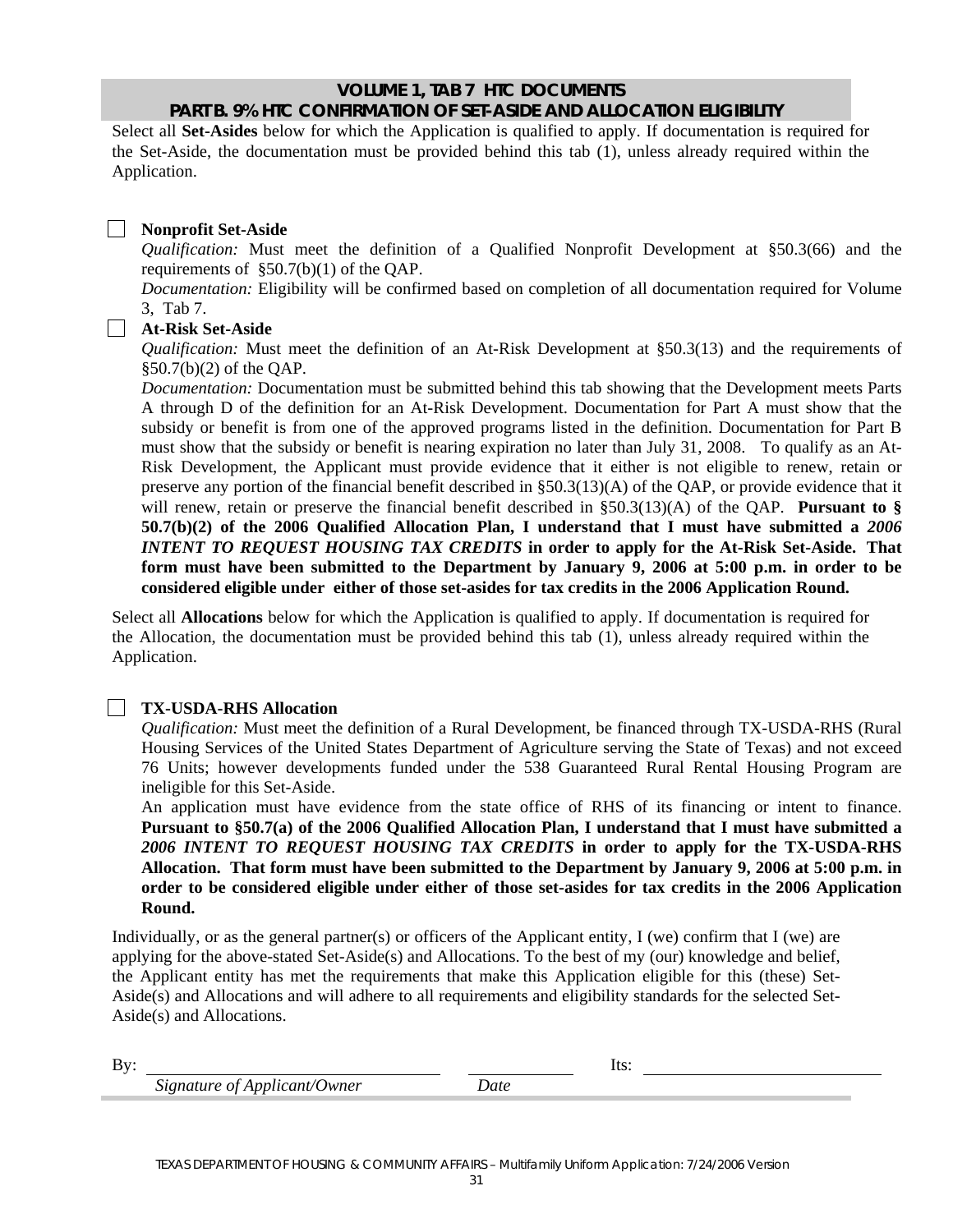## **VOLUME 1, TAB 7 HTC DOCUMENTS PART B. 9% HTC CONFIRMATION OF SET-ASIDE AND ALLOCATION ELIGIBILITY**

Select all **Set-Asides** below for which the Application is qualified to apply. If documentation is required for the Set-Aside, the documentation must be provided behind this tab (1), unless already required within the Application.

#### $\Box$ **Nonprofit Set-Aside**

*Qualification:* Must meet the definition of a Qualified Nonprofit Development at §50.3(66) and the requirements of §50.7(b)(1) of the QAP.

*Documentation:* Eligibility will be confirmed based on completion of all documentation required for Volume 3, Tab 7.

#### **At-Risk Set-Aside**

*Qualification:* Must meet the definition of an At-Risk Development at §50.3(13) and the requirements of §50.7(b)(2) of the QAP.

*Documentation:* Documentation must be submitted behind this tab showing that the Development meets Parts A through D of the definition for an At-Risk Development. Documentation for Part A must show that the subsidy or benefit is from one of the approved programs listed in the definition. Documentation for Part B must show that the subsidy or benefit is nearing expiration no later than July 31, 2008. To qualify as an At-Risk Development, the Applicant must provide evidence that it either is not eligible to renew, retain or preserve any portion of the financial benefit described in §50.3(13)(A) of the QAP, or provide evidence that it will renew, retain or preserve the financial benefit described in §50.3(13)(A) of the QAP. **Pursuant to § 50.7(b)(2) of the 2006 Qualified Allocation Plan, I understand that I must have submitted a** *2006 INTENT TO REQUEST HOUSING TAX CREDITS* **in order to apply for the At-Risk Set-Aside. That form must have been submitted to the Department by January 9, 2006 at 5:00 p.m. in order to be considered eligible under either of those set-asides for tax credits in the 2006 Application Round.** 

Select all **Allocations** below for which the Application is qualified to apply. If documentation is required for the Allocation, the documentation must be provided behind this tab (1), unless already required within the Application.

#### **TX-USDA-RHS Allocation**

*Qualification:* Must meet the definition of a Rural Development, be financed through TX-USDA-RHS (Rural Housing Services of the United States Department of Agriculture serving the State of Texas) and not exceed 76 Units; however developments funded under the 538 Guaranteed Rural Rental Housing Program are ineligible for this Set-Aside.

An application must have evidence from the state office of RHS of its financing or intent to finance. **Pursuant to §50.7(a) of the 2006 Qualified Allocation Plan, I understand that I must have submitted a**  *2006 INTENT TO REQUEST HOUSING TAX CREDITS* **in order to apply for the TX-USDA-RHS Allocation. That form must have been submitted to the Department by January 9, 2006 at 5:00 p.m. in order to be considered eligible under either of those set-asides for tax credits in the 2006 Application Round.** 

Individually, or as the general partner(s) or officers of the Applicant entity, I (we) confirm that I (we) are applying for the above-stated Set-Aside(s) and Allocations. To the best of my (our) knowledge and belief, the Applicant entity has met the requirements that make this Application eligible for this (these) Set-Aside(s) and Allocations and will adhere to all requirements and eligibility standards for the selected Set-Aside(s) and Allocations.

| $\mathbf{D}$<br><br>௶ |           | . |  |
|-----------------------|-----------|---|--|
|                       | Jwner<br> |   |  |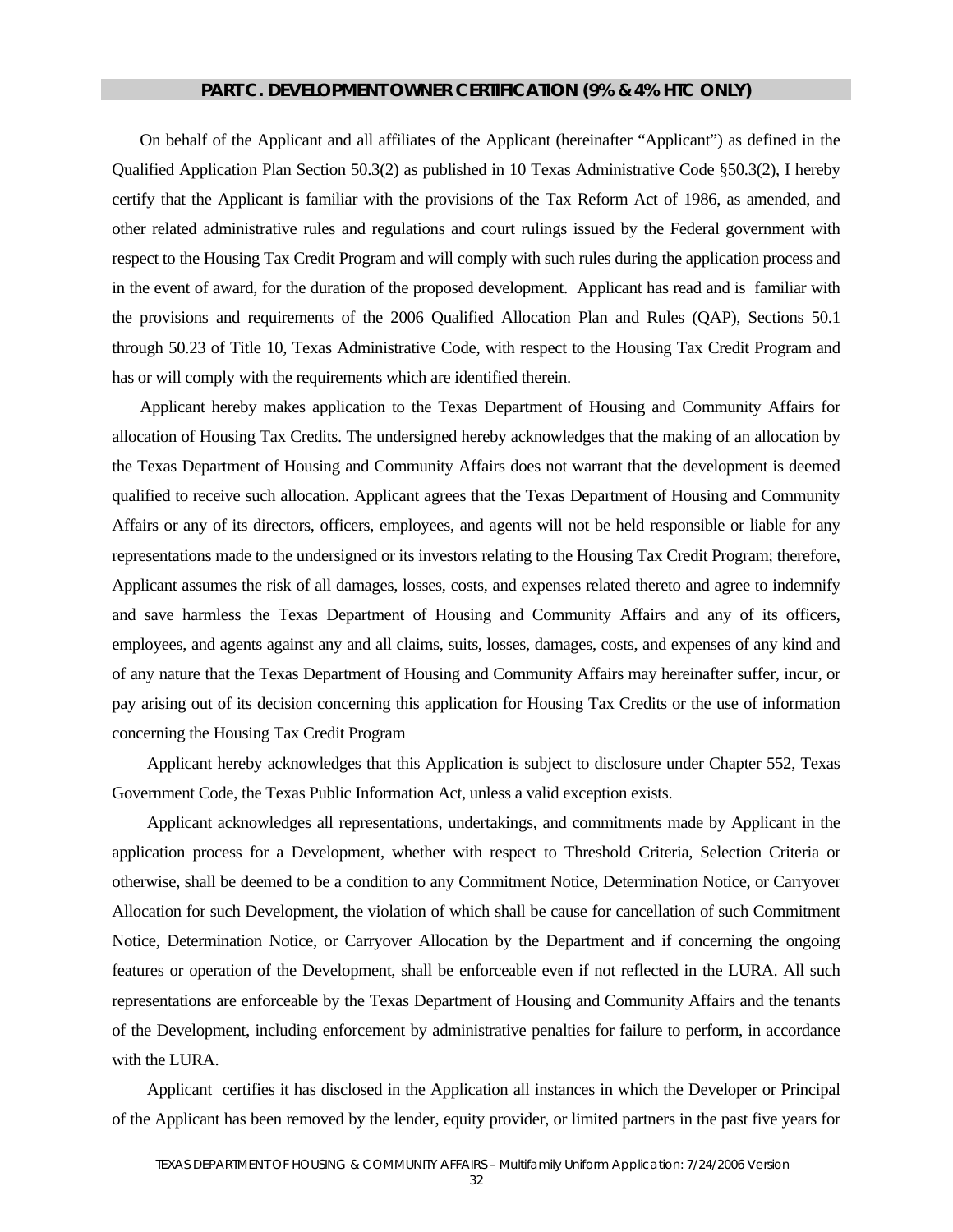#### **PART C. DEVELOPMENT OWNER CERTIFICATION (9% & 4% HTC ONLY)**

On behalf of the Applicant and all affiliates of the Applicant (hereinafter "Applicant") as defined in the Qualified Application Plan Section 50.3(2) as published in 10 Texas Administrative Code §50.3(2), I hereby certify that the Applicant is familiar with the provisions of the Tax Reform Act of 1986, as amended, and other related administrative rules and regulations and court rulings issued by the Federal government with respect to the Housing Tax Credit Program and will comply with such rules during the application process and in the event of award, for the duration of the proposed development. Applicant has read and is familiar with the provisions and requirements of the 2006 Qualified Allocation Plan and Rules (QAP), Sections 50.1 through 50.23 of Title 10, Texas Administrative Code, with respect to the Housing Tax Credit Program and has or will comply with the requirements which are identified therein.

Applicant hereby makes application to the Texas Department of Housing and Community Affairs for allocation of Housing Tax Credits. The undersigned hereby acknowledges that the making of an allocation by the Texas Department of Housing and Community Affairs does not warrant that the development is deemed qualified to receive such allocation. Applicant agrees that the Texas Department of Housing and Community Affairs or any of its directors, officers, employees, and agents will not be held responsible or liable for any representations made to the undersigned or its investors relating to the Housing Tax Credit Program; therefore, Applicant assumes the risk of all damages, losses, costs, and expenses related thereto and agree to indemnify and save harmless the Texas Department of Housing and Community Affairs and any of its officers, employees, and agents against any and all claims, suits, losses, damages, costs, and expenses of any kind and of any nature that the Texas Department of Housing and Community Affairs may hereinafter suffer, incur, or pay arising out of its decision concerning this application for Housing Tax Credits or the use of information concerning the Housing Tax Credit Program

Applicant hereby acknowledges that this Application is subject to disclosure under Chapter 552, Texas Government Code, the Texas Public Information Act, unless a valid exception exists.

Applicant acknowledges all representations, undertakings, and commitments made by Applicant in the application process for a Development, whether with respect to Threshold Criteria, Selection Criteria or otherwise, shall be deemed to be a condition to any Commitment Notice, Determination Notice, or Carryover Allocation for such Development, the violation of which shall be cause for cancellation of such Commitment Notice, Determination Notice, or Carryover Allocation by the Department and if concerning the ongoing features or operation of the Development, shall be enforceable even if not reflected in the LURA. All such representations are enforceable by the Texas Department of Housing and Community Affairs and the tenants of the Development, including enforcement by administrative penalties for failure to perform, in accordance with the LURA.

Applicant certifies it has disclosed in the Application all instances in which the Developer or Principal of the Applicant has been removed by the lender, equity provider, or limited partners in the past five years for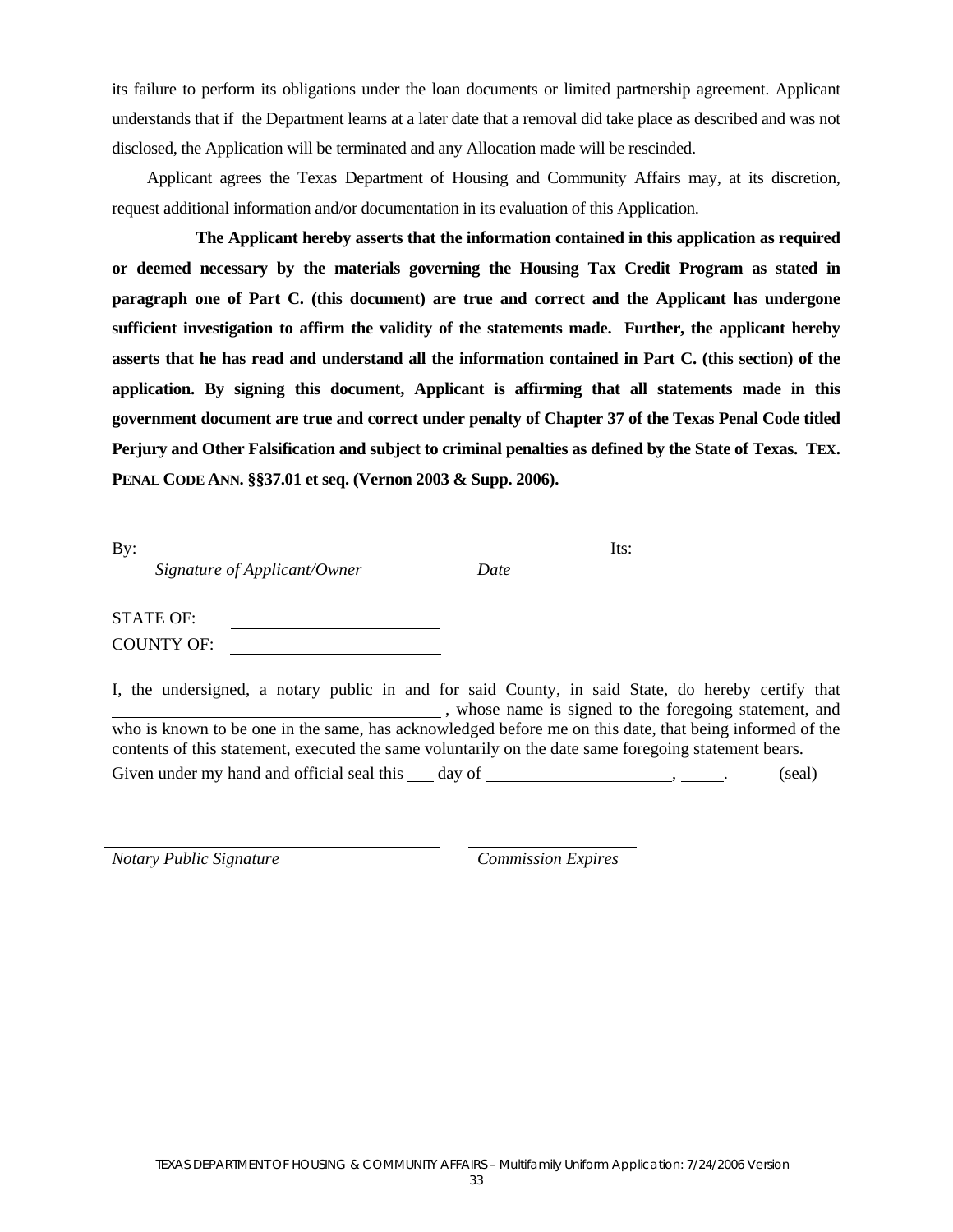its failure to perform its obligations under the loan documents or limited partnership agreement. Applicant understands that if the Department learns at a later date that a removal did take place as described and was not disclosed, the Application will be terminated and any Allocation made will be rescinded.

Applicant agrees the Texas Department of Housing and Community Affairs may, at its discretion, request additional information and/or documentation in its evaluation of this Application.

**The Applicant hereby asserts that the information contained in this application as required or deemed necessary by the materials governing the Housing Tax Credit Program as stated in paragraph one of Part C. (this document) are true and correct and the Applicant has undergone sufficient investigation to affirm the validity of the statements made. Further, the applicant hereby asserts that he has read and understand all the information contained in Part C. (this section) of the application. By signing this document, Applicant is affirming that all statements made in this government document are true and correct under penalty of Chapter 37 of the Texas Penal Code titled Perjury and Other Falsification and subject to criminal penalties as defined by the State of Texas. TEX. PENAL CODE ANN. §§37.01 et seq. (Vernon 2003 & Supp. 2006).** 

| $\rm\,By:$ |                              | Its: |  |
|------------|------------------------------|------|--|
|            | Signature of Applicant/Owner | Date |  |
|            |                              |      |  |
|            | <b>STATE OF:</b>             |      |  |
|            | <b>COUNTY OF:</b>            |      |  |

I, the undersigned, a notary public in and for said County, in said State, do hereby certify that , whose name is signed to the foregoing statement, and who is known to be one in the same, has acknowledged before me on this date, that being informed of the contents of this statement, executed the same voluntarily on the date same foregoing statement bears. Given under my hand and official seal this  $\qquad$  day of  $\qquad \qquad$  (seal)

*Notary Public Signature Commission Expires*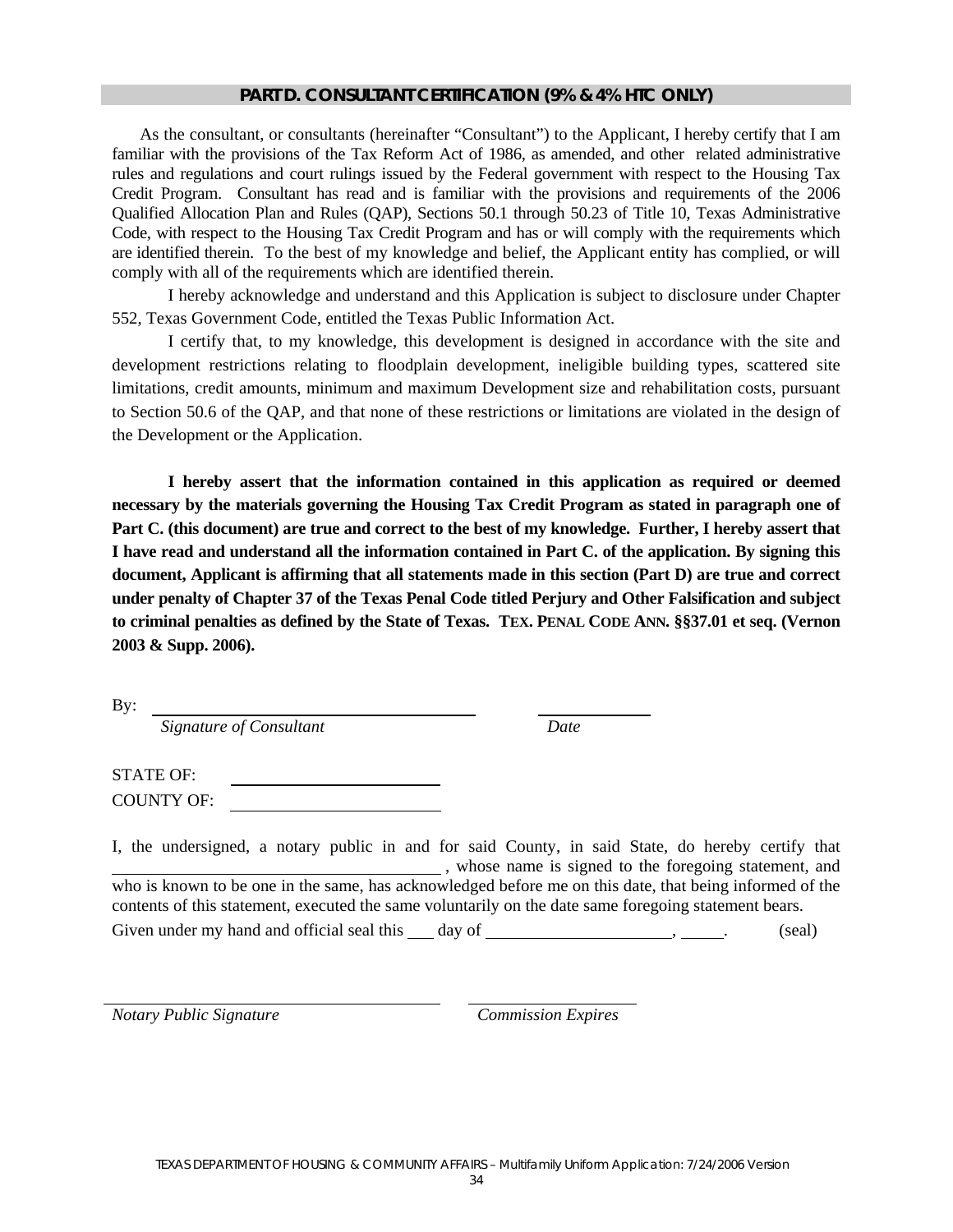#### **PART D. CONSULTANT CERTIFICATION (9% & 4% HTC ONLY)**

As the consultant, or consultants (hereinafter "Consultant") to the Applicant, I hereby certify that I am familiar with the provisions of the Tax Reform Act of 1986, as amended, and other related administrative rules and regulations and court rulings issued by the Federal government with respect to the Housing Tax Credit Program. Consultant has read and is familiar with the provisions and requirements of the 2006 Qualified Allocation Plan and Rules (QAP), Sections 50.1 through 50.23 of Title 10, Texas Administrative Code, with respect to the Housing Tax Credit Program and has or will comply with the requirements which are identified therein. To the best of my knowledge and belief, the Applicant entity has complied, or will comply with all of the requirements which are identified therein.

I hereby acknowledge and understand and this Application is subject to disclosure under Chapter 552, Texas Government Code, entitled the Texas Public Information Act.

I certify that, to my knowledge, this development is designed in accordance with the site and development restrictions relating to floodplain development, ineligible building types, scattered site limitations, credit amounts, minimum and maximum Development size and rehabilitation costs, pursuant to Section 50.6 of the QAP, and that none of these restrictions or limitations are violated in the design of the Development or the Application.

**I hereby assert that the information contained in this application as required or deemed necessary by the materials governing the Housing Tax Credit Program as stated in paragraph one of Part C. (this document) are true and correct to the best of my knowledge. Further, I hereby assert that I have read and understand all the information contained in Part C. of the application. By signing this document, Applicant is affirming that all statements made in this section (Part D) are true and correct under penalty of Chapter 37 of the Texas Penal Code titled Perjury and Other Falsification and subject to criminal penalties as defined by the State of Texas. TEX. PENAL CODE ANN. §§37.01 et seq. (Vernon 2003 & Supp. 2006).**

By:  *Signature of Consultant Date* 

STATE OF: COUNTY OF:

I, the undersigned, a notary public in and for said County, in said State, do hereby certify that **EXECUTE:** whose name is signed to the foregoing statement, and who is known to be one in the same, has acknowledged before me on this date, that being informed of the contents of this statement, executed the same voluntarily on the date same foregoing statement bears. Given under my hand and official seal this day of , . (seal)

*Notary Public Signature Commission Expires*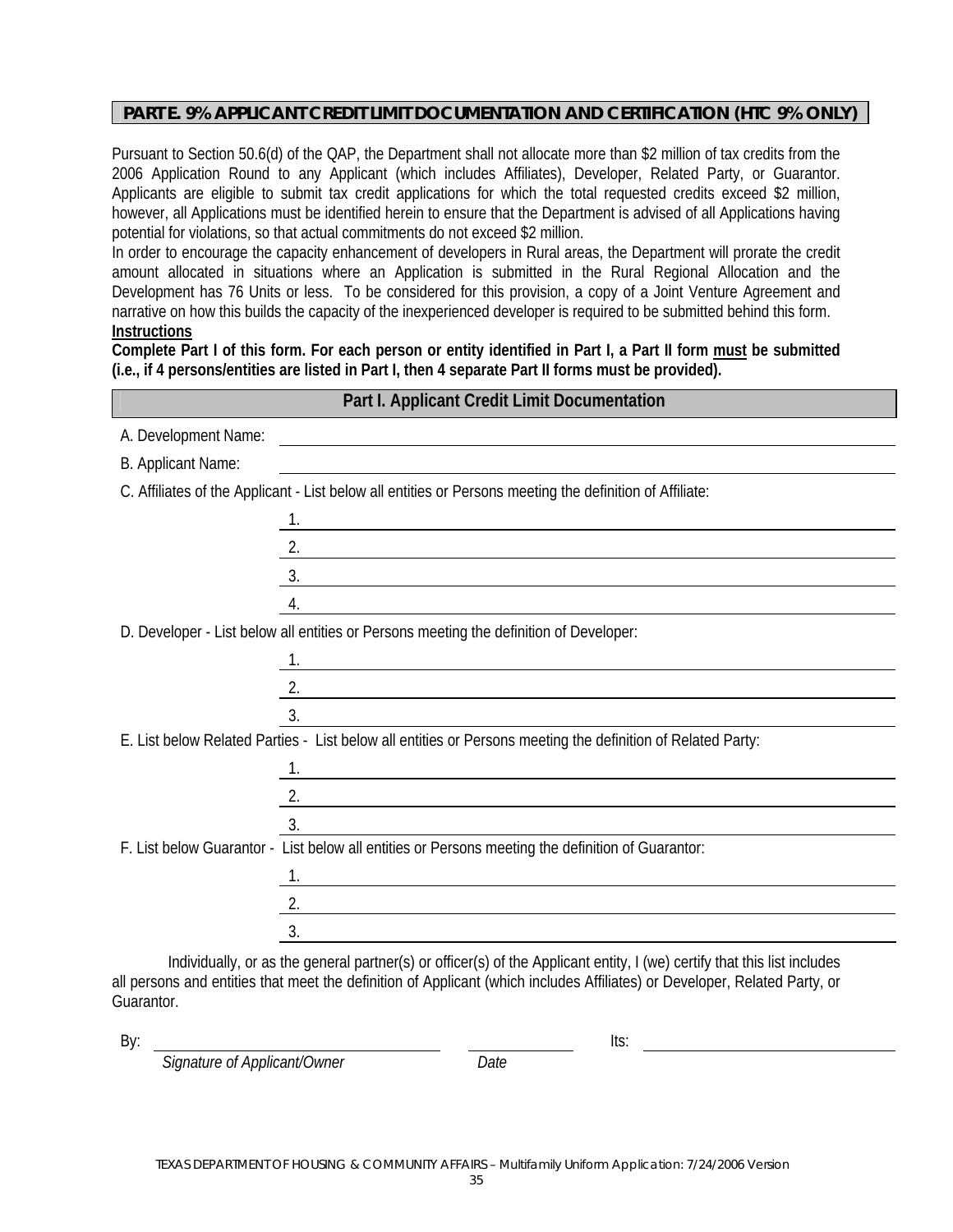#### **PART E. 9% APPLICANT CREDIT LIMIT DOCUMENTATION AND CERTIFICATION (HTC 9% ONLY)**

Pursuant to Section 50.6(d) of the QAP, the Department shall not allocate more than \$2 million of tax credits from the 2006 Application Round to any Applicant (which includes Affiliates), Developer, Related Party, or Guarantor. Applicants are eligible to submit tax credit applications for which the total requested credits exceed \$2 million, however, all Applications must be identified herein to ensure that the Department is advised of all Applications having potential for violations, so that actual commitments do not exceed \$2 million.

In order to encourage the capacity enhancement of developers in Rural areas, the Department will prorate the credit amount allocated in situations where an Application is submitted in the Rural Regional Allocation and the Development has 76 Units or less. To be considered for this provision, a copy of a Joint Venture Agreement and narrative on how this builds the capacity of the inexperienced developer is required to be submitted behind this form. **Instructions** 

**Complete Part I of this form. For each person or entity identified in Part I, a Part II form must be submitted (i.e., if 4 persons/entities are listed in Part I, then 4 separate Part II forms must be provided).** 

| Part I. Applicant Credit Limit Documentation                                                                |                                                                                                                                                                                                                                      |  |
|-------------------------------------------------------------------------------------------------------------|--------------------------------------------------------------------------------------------------------------------------------------------------------------------------------------------------------------------------------------|--|
| A. Development Name:                                                                                        | <u> 1989 - Johann Harry Harry Harry Harry Harry Harry Harry Harry Harry Harry Harry Harry Harry Harry Harry Harry Harry Harry Harry Harry Harry Harry Harry Harry Harry Harry Harry Harry Harry Harry Harry Harry Harry Harry Ha</u> |  |
| B. Applicant Name:                                                                                          |                                                                                                                                                                                                                                      |  |
|                                                                                                             | C. Affiliates of the Applicant - List below all entities or Persons meeting the definition of Affiliate:                                                                                                                             |  |
|                                                                                                             | <u> 1989 - Johann Stein, fransk politik (d. 1989)</u>                                                                                                                                                                                |  |
|                                                                                                             | $\overline{2}$ .                                                                                                                                                                                                                     |  |
|                                                                                                             | $\overline{\mathbf{3}}$ .                                                                                                                                                                                                            |  |
|                                                                                                             | 4.                                                                                                                                                                                                                                   |  |
|                                                                                                             | D. Developer - List below all entities or Persons meeting the definition of Developer:                                                                                                                                               |  |
|                                                                                                             |                                                                                                                                                                                                                                      |  |
|                                                                                                             | $\overline{2}$ .                                                                                                                                                                                                                     |  |
| 3.                                                                                                          |                                                                                                                                                                                                                                      |  |
| E. List below Related Parties - List below all entities or Persons meeting the definition of Related Party: |                                                                                                                                                                                                                                      |  |
|                                                                                                             |                                                                                                                                                                                                                                      |  |
|                                                                                                             | $\overline{2}$ .                                                                                                                                                                                                                     |  |
| 3.                                                                                                          |                                                                                                                                                                                                                                      |  |
|                                                                                                             | F. List below Guarantor - List below all entities or Persons meeting the definition of Guarantor:                                                                                                                                    |  |
|                                                                                                             | <u> 1989 - Johann Barn, mars eta bainar eta baina eta baina eta baina eta baina eta baina eta baina eta baina e</u>                                                                                                                  |  |
| 2.                                                                                                          |                                                                                                                                                                                                                                      |  |
| 3.                                                                                                          |                                                                                                                                                                                                                                      |  |

Individually, or as the general partner(s) or officer(s) of the Applicant entity, I (we) certify that this list includes all persons and entities that meet the definition of Applicant (which includes Affiliates) or Developer, Related Party, or Guarantor.

By: Its:

 *Signature of Applicant/Owner Date*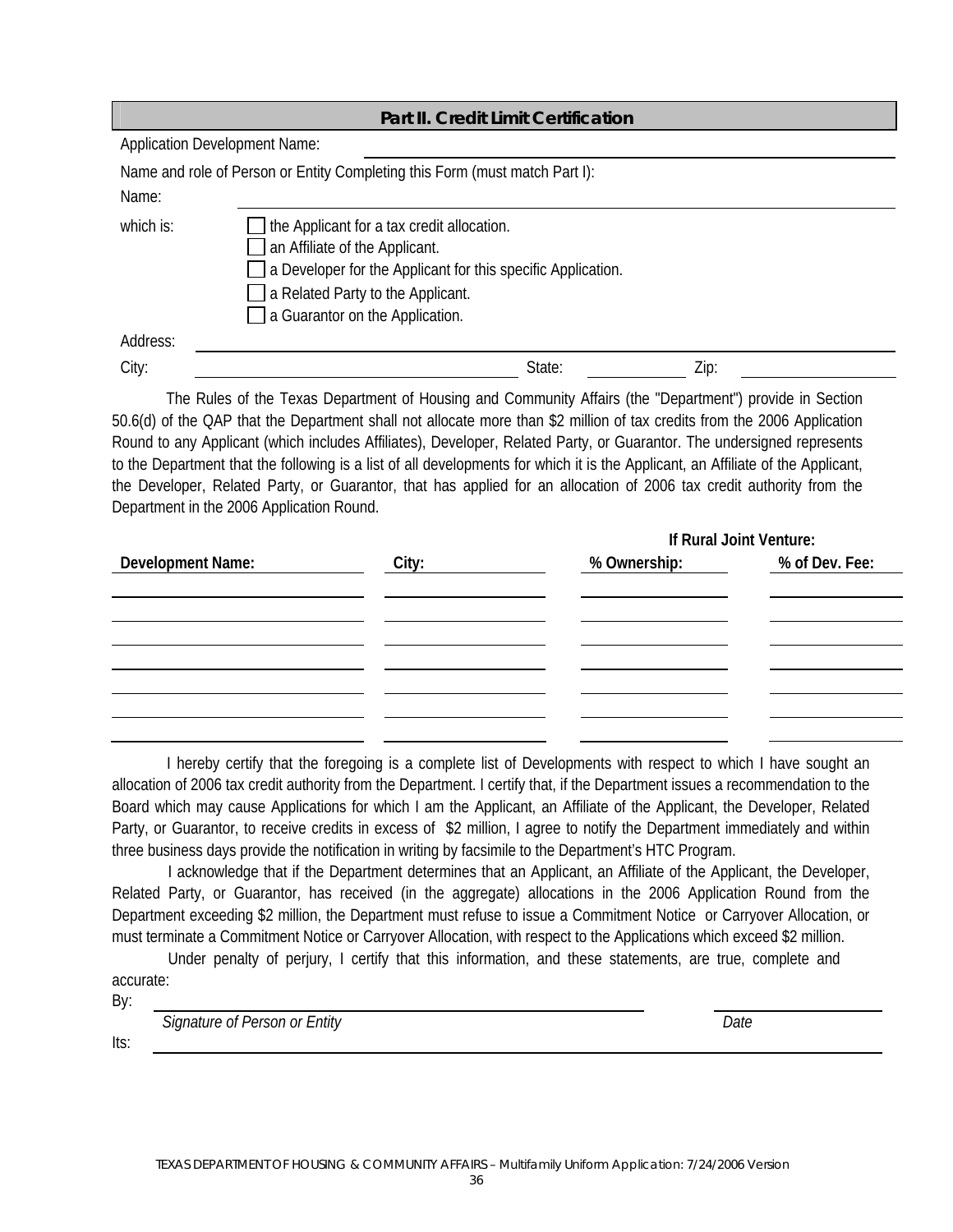|                                      | <b>Part II. Credit Limit Certification</b>                                                                                                                                                                           |        |      |
|--------------------------------------|----------------------------------------------------------------------------------------------------------------------------------------------------------------------------------------------------------------------|--------|------|
| <b>Application Development Name:</b> |                                                                                                                                                                                                                      |        |      |
|                                      | Name and role of Person or Entity Completing this Form (must match Part I):                                                                                                                                          |        |      |
| Name:                                |                                                                                                                                                                                                                      |        |      |
| which is:                            | the Applicant for a tax credit allocation.<br>an Affiliate of the Applicant.<br>a Developer for the Applicant for this specific Application.<br>a Related Party to the Applicant.<br>a Guarantor on the Application. |        |      |
| Address:                             |                                                                                                                                                                                                                      |        |      |
| City:                                |                                                                                                                                                                                                                      | State: | Zip: |
|                                      |                                                                                                                                                                                                                      |        |      |

 The Rules of the Texas Department of Housing and Community Affairs (the "Department") provide in Section 50.6(d) of the QAP that the Department shall not allocate more than \$2 million of tax credits from the 2006 Application Round to any Applicant (which includes Affiliates), Developer, Related Party, or Guarantor. The undersigned represents to the Department that the following is a list of all developments for which it is the Applicant, an Affiliate of the Applicant, the Developer, Related Party, or Guarantor, that has applied for an allocation of 2006 tax credit authority from the Department in the 2006 Application Round.

|                          | If Rural Joint Venture: |              |                |
|--------------------------|-------------------------|--------------|----------------|
| <b>Development Name:</b> | City:                   | % Ownership: | % of Dev. Fee: |
|                          |                         |              |                |
|                          |                         |              |                |
|                          |                         |              |                |
|                          |                         |              |                |
|                          |                         |              |                |
|                          |                         |              |                |
|                          |                         |              |                |
|                          |                         |              |                |

 I hereby certify that the foregoing is a complete list of Developments with respect to which I have sought an allocation of 2006 tax credit authority from the Department. I certify that, if the Department issues a recommendation to the Board which may cause Applications for which I am the Applicant, an Affiliate of the Applicant, the Developer, Related Party, or Guarantor, to receive credits in excess of \$2 million, I agree to notify the Department immediately and within three business days provide the notification in writing by facsimile to the Department's HTC Program.

I acknowledge that if the Department determines that an Applicant, an Affiliate of the Applicant, the Developer, Related Party, or Guarantor, has received (in the aggregate) allocations in the 2006 Application Round from the Department exceeding \$2 million, the Department must refuse to issue a Commitment Notice or Carryover Allocation, or must terminate a Commitment Notice or Carryover Allocation, with respect to the Applications which exceed \$2 million.

Under penalty of perjury, I certify that this information, and these statements, are true, complete and accurate:

By:

Its:

 *Signature of Person or Entity Date*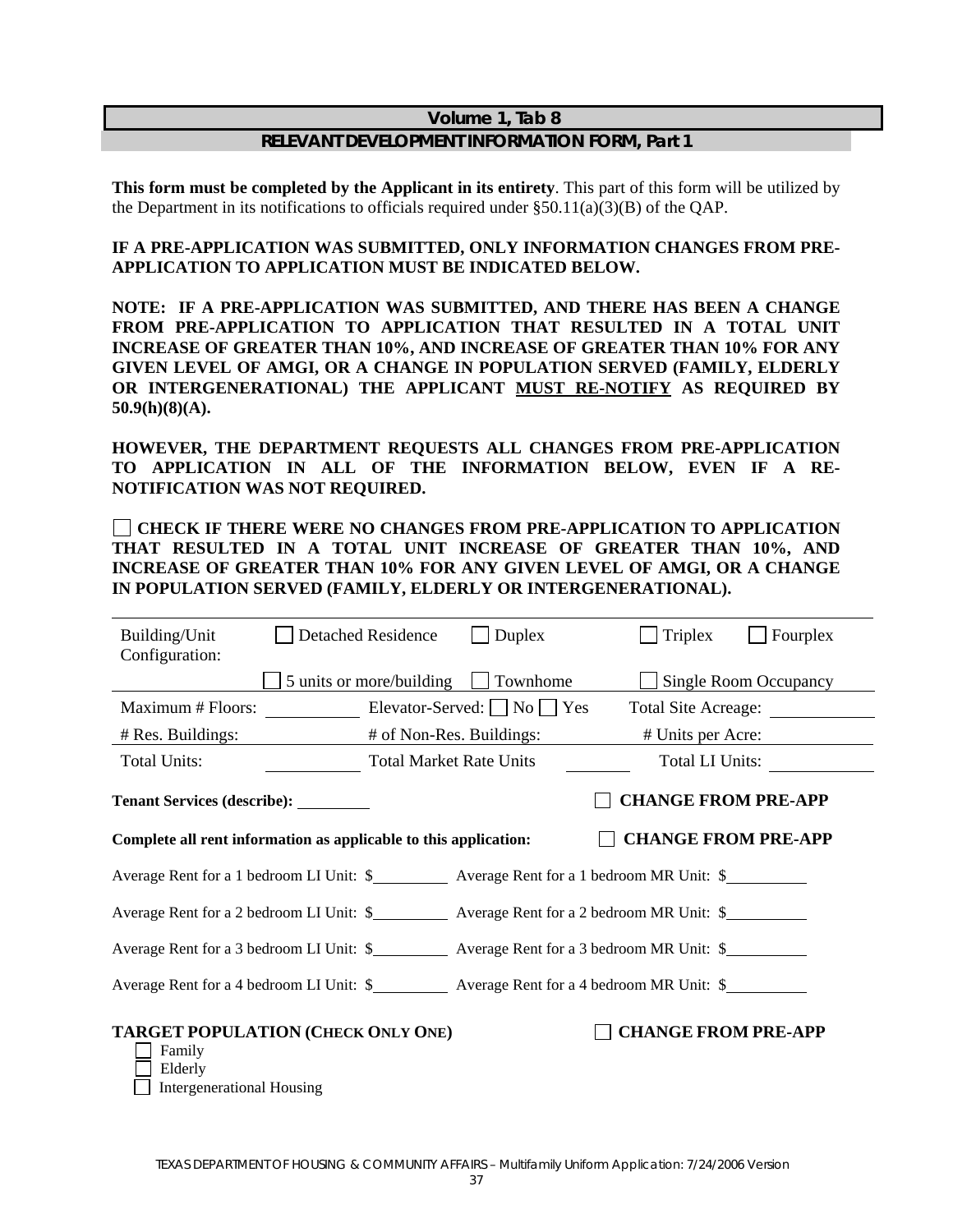#### **Volume 1, Tab 8**

#### **RELEVANT DEVELOPMENT INFORMATION FORM, Part 1**

**This form must be completed by the Applicant in its entirety**. This part of this form will be utilized by the Department in its notifications to officials required under  $\S 50.11(a)(3)(B)$  of the QAP.

#### **IF A PRE-APPLICATION WAS SUBMITTED, ONLY INFORMATION CHANGES FROM PRE-APPLICATION TO APPLICATION MUST BE INDICATED BELOW.**

**NOTE: IF A PRE-APPLICATION WAS SUBMITTED, AND THERE HAS BEEN A CHANGE FROM PRE-APPLICATION TO APPLICATION THAT RESULTED IN A TOTAL UNIT INCREASE OF GREATER THAN 10%, AND INCREASE OF GREATER THAN 10% FOR ANY GIVEN LEVEL OF AMGI, OR A CHANGE IN POPULATION SERVED (FAMILY, ELDERLY OR INTERGENERATIONAL) THE APPLICANT MUST RE-NOTIFY AS REQUIRED BY 50.9(h)(8)(A).** 

**HOWEVER, THE DEPARTMENT REQUESTS ALL CHANGES FROM PRE-APPLICATION TO APPLICATION IN ALL OF THE INFORMATION BELOW, EVEN IF A RE-NOTIFICATION WAS NOT REQUIRED.** 

#### **CHECK IF THERE WERE NO CHANGES FROM PRE-APPLICATION TO APPLICATION THAT RESULTED IN A TOTAL UNIT INCREASE OF GREATER THAN 10%, AND INCREASE OF GREATER THAN 10% FOR ANY GIVEN LEVEL OF AMGI, OR A CHANGE IN POPULATION SERVED (FAMILY, ELDERLY OR INTERGENERATIONAL).**

| Building/Unit<br>Configuration:                                                                       | <b>Detached Residence</b>      | Duplex                                   | <b>Triplex</b>             | Fourplex                     |
|-------------------------------------------------------------------------------------------------------|--------------------------------|------------------------------------------|----------------------------|------------------------------|
|                                                                                                       |                                | 5 units or more/building $\Box$ Townhome |                            | <b>Single Room Occupancy</b> |
| Maximum # Floors:                                                                                     |                                | Elevator-Served: $\Box$ No $\Box$ Yes    | <b>Total Site Acreage:</b> |                              |
| # Res. Buildings:                                                                                     | # of Non-Res. Buildings:       |                                          | # Units per Acre:          |                              |
| <b>Total Units:</b>                                                                                   | <b>Total Market Rate Units</b> |                                          |                            | Total LI Units:              |
| Tenant Services (describe): _________                                                                 |                                |                                          | <b>CHANGE FROM PRE-APP</b> |                              |
| Complete all rent information as applicable to this application:                                      |                                |                                          | <b>CHANGE FROM PRE-APP</b> |                              |
|                                                                                                       |                                |                                          |                            |                              |
|                                                                                                       |                                |                                          |                            |                              |
| Average Rent for a 3 bedroom LI Unit: \$____________ Average Rent for a 3 bedroom MR Unit: \$________ |                                |                                          |                            |                              |
|                                                                                                       |                                |                                          |                            |                              |
| <b>TARGET POPULATION (CHECK ONLY ONE)</b><br>Family<br>Elderly<br><b>Intergenerational Housing</b>    |                                |                                          | <b>CHANGE FROM PRE-APP</b> |                              |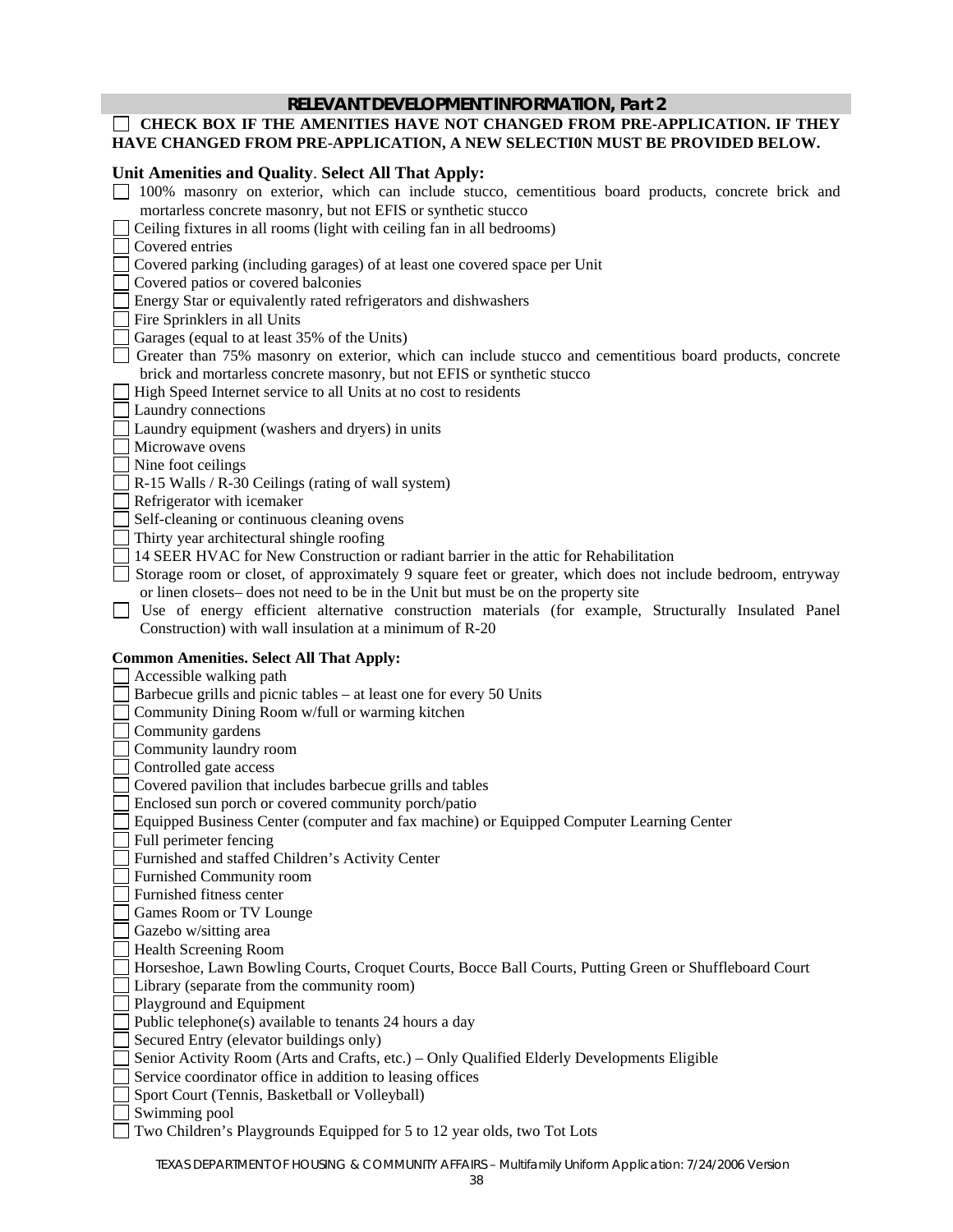#### **RELEVANT DEVELOPMENT INFORMATION, Part 2**

#### **CHECK BOX IF THE AMENITIES HAVE NOT CHANGED FROM PRE-APPLICATION. IF THEY HAVE CHANGED FROM PRE-APPLICATION, A NEW SELECTI0N MUST BE PROVIDED BELOW.**

## **Unit Amenities and Quality**. **Select All That Apply:**

| Ome Amentues and Quanty. Select All That Apply.                                                                                                      |
|------------------------------------------------------------------------------------------------------------------------------------------------------|
| 100% masonry on exterior, which can include stucco, cementitious board products, concrete brick and                                                  |
| mortarless concrete masonry, but not EFIS or synthetic stucco                                                                                        |
| Ceiling fixtures in all rooms (light with ceiling fan in all bedrooms)                                                                               |
| Covered entries                                                                                                                                      |
| Covered parking (including garages) of at least one covered space per Unit                                                                           |
| Covered patios or covered balconies                                                                                                                  |
| Energy Star or equivalently rated refrigerators and dishwashers                                                                                      |
| Fire Sprinklers in all Units                                                                                                                         |
| Garages (equal to at least 35% of the Units)                                                                                                         |
| Greater than 75% masonry on exterior, which can include stucco and cementitious board products, concrete                                             |
| brick and mortarless concrete masonry, but not EFIS or synthetic stucco                                                                              |
| High Speed Internet service to all Units at no cost to residents                                                                                     |
| Laundry connections                                                                                                                                  |
| Laundry equipment (washers and dryers) in units                                                                                                      |
| Microwave ovens                                                                                                                                      |
| Nine foot ceilings                                                                                                                                   |
| R-15 Walls / R-30 Ceilings (rating of wall system)                                                                                                   |
| Refrigerator with icemaker                                                                                                                           |
| Self-cleaning or continuous cleaning ovens                                                                                                           |
| Thirty year architectural shingle roofing                                                                                                            |
| 14 SEER HVAC for New Construction or radiant barrier in the attic for Rehabilitation                                                                 |
| Storage room or closet, of approximately 9 square feet or greater, which does not include bedroom, entryway                                          |
| or linen closets– does not need to be in the Unit but must be on the property site                                                                   |
| Use of energy efficient alternative construction materials (for example, Structurally Insulated Panel                                                |
| Construction) with wall insulation at a minimum of R-20                                                                                              |
|                                                                                                                                                      |
|                                                                                                                                                      |
| <b>Common Amenities. Select All That Apply:</b>                                                                                                      |
| Accessible walking path                                                                                                                              |
| Barbecue grills and picnic tables – at least one for every 50 Units                                                                                  |
| Community Dining Room w/full or warming kitchen                                                                                                      |
| Community gardens                                                                                                                                    |
| Community laundry room                                                                                                                               |
| Controlled gate access                                                                                                                               |
| Covered pavilion that includes barbecue grills and tables                                                                                            |
| Enclosed sun porch or covered community porch/patio                                                                                                  |
| Equipped Business Center (computer and fax machine) or Equipped Computer Learning Center                                                             |
| Full perimeter fencing                                                                                                                               |
| Furnished and staffed Children's Activity Center                                                                                                     |
| Furnished Community room<br>Furnished fitness center                                                                                                 |
|                                                                                                                                                      |
| Games Room or TV Lounge                                                                                                                              |
| Gazebo w/sitting area<br>Health Screening Room                                                                                                       |
|                                                                                                                                                      |
| Horseshoe, Lawn Bowling Courts, Croquet Courts, Bocce Ball Courts, Putting Green or Shuffleboard Court<br>Library (separate from the community room) |
| Playground and Equipment                                                                                                                             |
| Public telephone(s) available to tenants 24 hours a day                                                                                              |
| Secured Entry (elevator buildings only)                                                                                                              |
| Senior Activity Room (Arts and Crafts, etc.) – Only Qualified Elderly Developments Eligible                                                          |
| Service coordinator office in addition to leasing offices                                                                                            |
| Sport Court (Tennis, Basketball or Volleyball)                                                                                                       |
| Swimming pool                                                                                                                                        |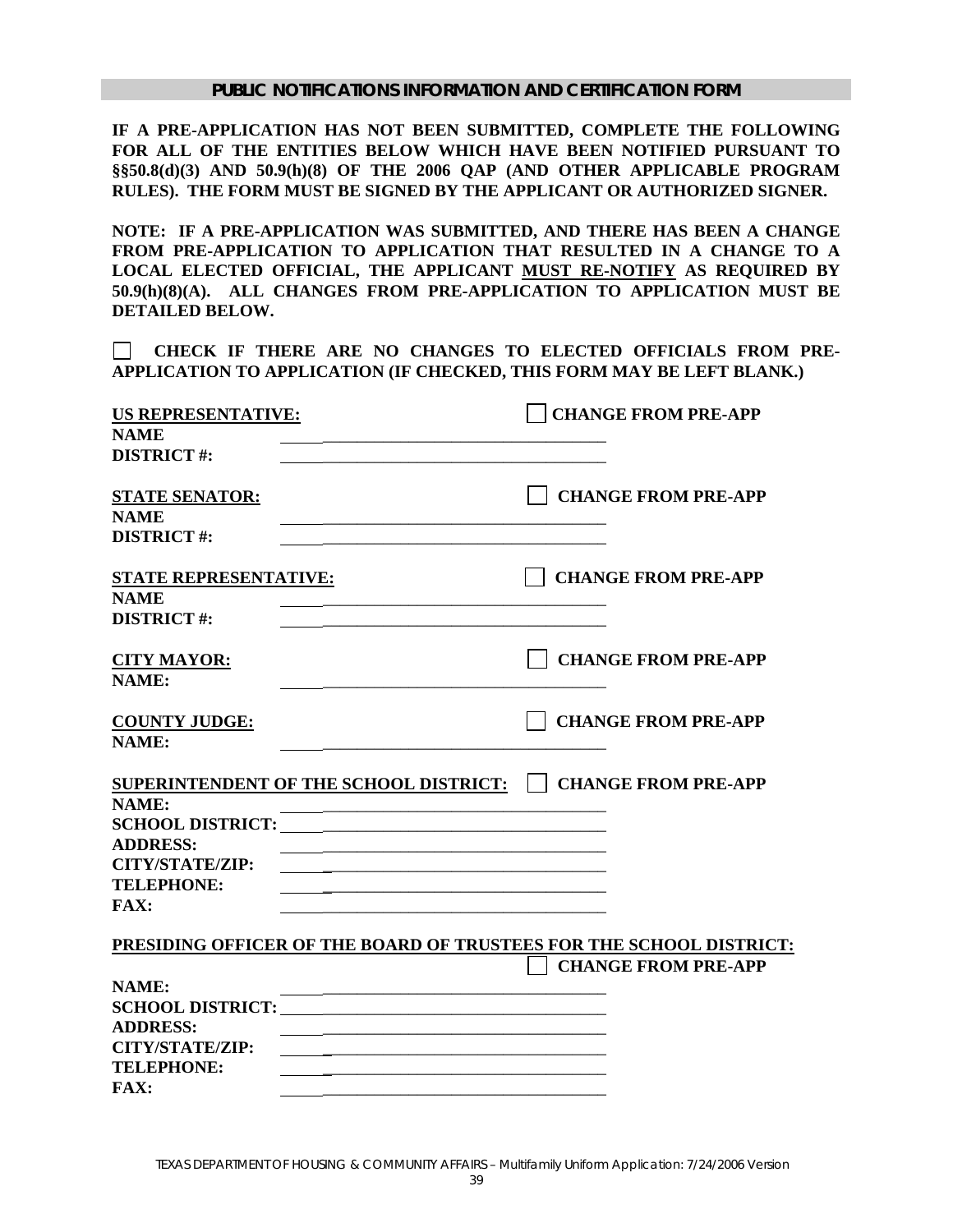**IF A PRE-APPLICATION HAS NOT BEEN SUBMITTED, COMPLETE THE FOLLOWING FOR ALL OF THE ENTITIES BELOW WHICH HAVE BEEN NOTIFIED PURSUANT TO §§50.8(d)(3) AND 50.9(h)(8) OF THE 2006 QAP (AND OTHER APPLICABLE PROGRAM RULES). THE FORM MUST BE SIGNED BY THE APPLICANT OR AUTHORIZED SIGNER.** 

**NOTE: IF A PRE-APPLICATION WAS SUBMITTED, AND THERE HAS BEEN A CHANGE FROM PRE-APPLICATION TO APPLICATION THAT RESULTED IN A CHANGE TO A LOCAL ELECTED OFFICIAL, THE APPLICANT MUST RE-NOTIFY AS REQUIRED BY 50.9(h)(8)(A). ALL CHANGES FROM PRE-APPLICATION TO APPLICATION MUST BE DETAILED BELOW.** 

 **CHECK IF THERE ARE NO CHANGES TO ELECTED OFFICIALS FROM PRE-APPLICATION TO APPLICATION (IF CHECKED, THIS FORM MAY BE LEFT BLANK.)** 

| <b>US REPRESENTATIVE:</b>                                                                                                                       | <b>CHANGE FROM PRE-APP</b>                                          |
|-------------------------------------------------------------------------------------------------------------------------------------------------|---------------------------------------------------------------------|
| <b>NAME</b><br><b>DISTRICT#:</b>                                                                                                                |                                                                     |
|                                                                                                                                                 |                                                                     |
| <b>STATE SENATOR:</b>                                                                                                                           | <b>CHANGE FROM PRE-APP</b>                                          |
| <b>NAME</b>                                                                                                                                     |                                                                     |
| <b>DISTRICT#:</b>                                                                                                                               |                                                                     |
| <b>STATE REPRESENTATIVE:</b>                                                                                                                    | <b>CHANGE FROM PRE-APP</b>                                          |
| <b>NAME</b>                                                                                                                                     |                                                                     |
| <b>DISTRICT#:</b>                                                                                                                               |                                                                     |
| <b>CITY MAYOR:</b>                                                                                                                              | <b>CHANGE FROM PRE-APP</b>                                          |
| <b>NAME:</b>                                                                                                                                    |                                                                     |
| <b>COUNTY JUDGE:</b>                                                                                                                            | <b>CHANGE FROM PRE-APP</b>                                          |
| NAME:                                                                                                                                           |                                                                     |
| SUPERINTENDENT OF THE SCHOOL DISTRICT:                                                                                                          | <b>CHANGE FROM PRE-APP</b>                                          |
| <b>NAME:</b>                                                                                                                                    |                                                                     |
|                                                                                                                                                 |                                                                     |
| <b>ADDRESS:</b>                                                                                                                                 |                                                                     |
| <b>CITY/STATE/ZIP:</b><br><u> 1989 - Johann John Stein, mars an deutscher Stein und der Stein und der Stein und der Stein und der Stein und</u> |                                                                     |
| <b>TELEPHONE:</b>                                                                                                                               |                                                                     |
| <b>FAX:</b>                                                                                                                                     |                                                                     |
|                                                                                                                                                 | PRESIDING OFFICER OF THE BOARD OF TRUSTEES FOR THE SCHOOL DISTRICT: |
|                                                                                                                                                 | <b>CHANGE FROM PRE-APP</b>                                          |
| NAME:                                                                                                                                           |                                                                     |
| <b>SCHOOL DISTRICT:</b>                                                                                                                         |                                                                     |
| <b>ADDRESS:</b>                                                                                                                                 |                                                                     |
| <b>CITY/STATE/ZIP:</b>                                                                                                                          |                                                                     |
| <b>TELEPHONE:</b>                                                                                                                               |                                                                     |
| <b>FAX:</b>                                                                                                                                     |                                                                     |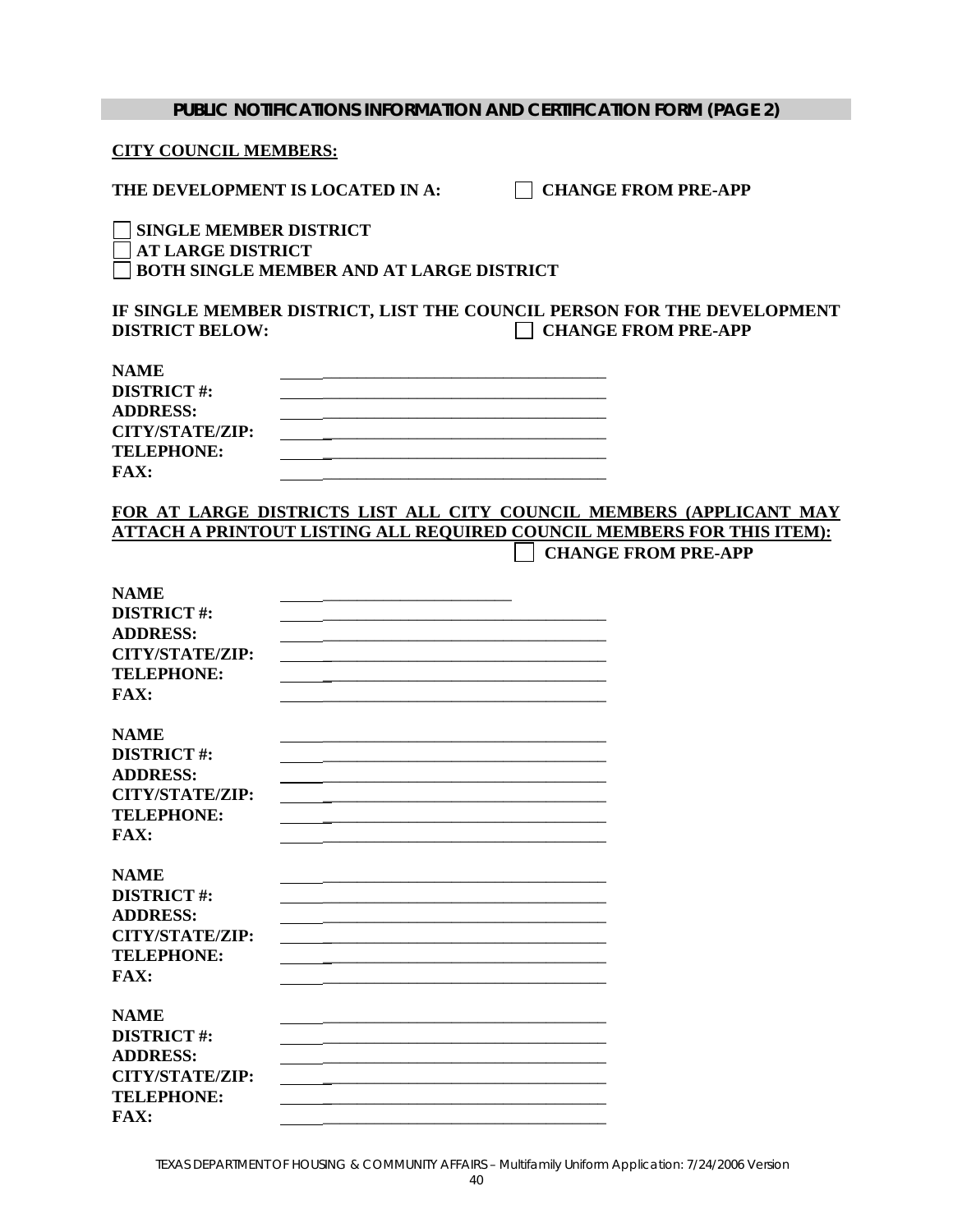#### **CITY COUNCIL MEMBERS:**

THE DEVELOPMENT IS LOCATED IN A: **CHANGE FROM PRE-APP** 

 **SINGLE MEMBER DISTRICT AT LARGE DISTRICT BOTH SINGLE MEMBER AND AT LARGE DISTRICT**

**IF SINGLE MEMBER DISTRICT, LIST THE COUNCIL PERSON FOR THE DEVELOPMENT DISTRICT BELOW:**  $\qquad \qquad \qquad \Box$  **CHANGE FROM PRE-APP** 

| <b>NAME</b>       |  |
|-------------------|--|
| <b>DISTRICT#:</b> |  |
| <b>ADDRESS:</b>   |  |
| CITY/STATE/ZIP:   |  |
| <b>TELEPHONE:</b> |  |
| FAX:              |  |

## **FOR AT LARGE DISTRICTS LIST ALL CITY COUNCIL MEMBERS (APPLICANT MAY ATTACH A PRINTOUT LISTING ALL REQUIRED COUNCIL MEMBERS FOR THIS ITEM):**

**CHANGE FROM PRE-APP** 

| <b>NAME</b>            |  |
|------------------------|--|
| <b>DISTRICT#:</b>      |  |
| <b>ADDRESS:</b>        |  |
| <b>CITY/STATE/ZIP:</b> |  |
| <b>TELEPHONE:</b>      |  |
| <b>FAX:</b>            |  |
|                        |  |
| <b>NAME</b>            |  |
| <b>DISTRICT#:</b>      |  |
| <b>ADDRESS:</b>        |  |
| <b>CITY/STATE/ZIP:</b> |  |
| <b>TELEPHONE:</b>      |  |
| FAX:                   |  |
|                        |  |
| <b>NAME</b>            |  |
| <b>DISTRICT#:</b>      |  |
| <b>ADDRESS:</b>        |  |
| <b>CITY/STATE/ZIP:</b> |  |
| <b>TELEPHONE:</b>      |  |
| FAX:                   |  |
|                        |  |
| <b>NAME</b>            |  |
| <b>DISTRICT#:</b>      |  |
| <b>ADDRESS:</b>        |  |
| <b>CITY/STATE/ZIP:</b> |  |
| <b>TELEPHONE:</b>      |  |
| <b>FAX:</b>            |  |
|                        |  |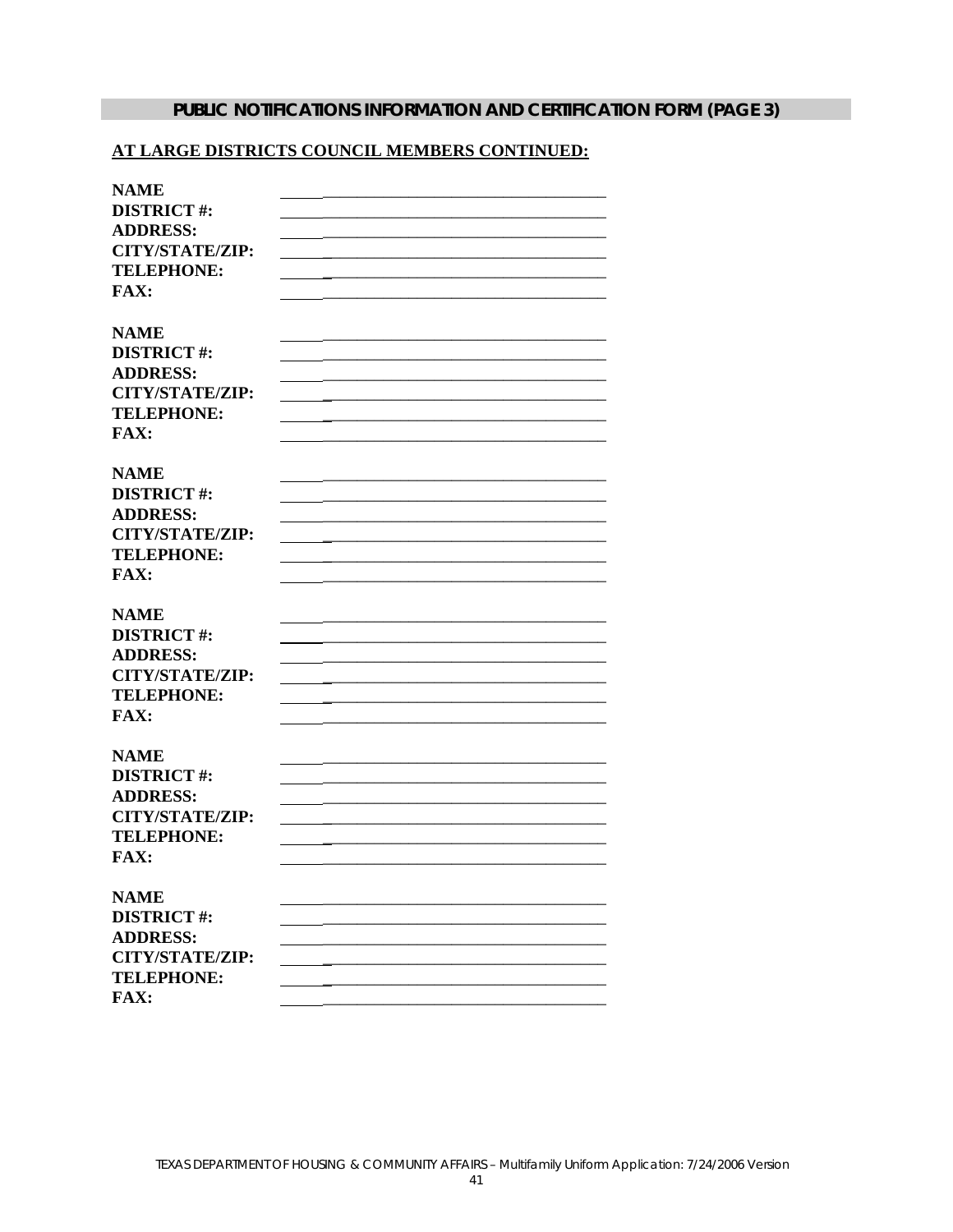# PUBLIC NOTIFICATIONS INFORMATION AND CERTIFICATION FORM (PAGE 3)

#### AT LARGE DISTRICTS COUNCIL MEMBERS CONTINUED:

| <b>NAME</b>            |  |
|------------------------|--|
| <b>DISTRICT#:</b>      |  |
| <b>ADDRESS:</b>        |  |
| <b>CITY/STATE/ZIP:</b> |  |
| <b>TELEPHONE:</b>      |  |
| <b>FAX:</b>            |  |
|                        |  |
|                        |  |
| <b>NAME</b>            |  |
| <b>DISTRICT#:</b>      |  |
| <b>ADDRESS:</b>        |  |
| <b>CITY/STATE/ZIP:</b> |  |
| <b>TELEPHONE:</b>      |  |
| <b>FAX:</b>            |  |
|                        |  |
| <b>NAME</b>            |  |
| <b>DISTRICT#:</b>      |  |
| <b>ADDRESS:</b>        |  |
| <b>CITY/STATE/ZIP:</b> |  |
| <b>TELEPHONE:</b>      |  |
| <b>FAX:</b>            |  |
|                        |  |
| <b>NAME</b>            |  |
| <b>DISTRICT#:</b>      |  |
|                        |  |
| <b>ADDRESS:</b>        |  |
| <b>CITY/STATE/ZIP:</b> |  |
| <b>TELEPHONE:</b>      |  |
| <b>FAX:</b>            |  |
|                        |  |
| <b>NAME</b>            |  |
| <b>DISTRICT#:</b>      |  |
| <b>ADDRESS:</b>        |  |
| <b>CITY/STATE/ZIP:</b> |  |
| <b>TELEPHONE:</b>      |  |
| <b>FAX:</b>            |  |
|                        |  |
| <b>NAME</b>            |  |
| <b>DISTRICT#:</b>      |  |
| <b>ADDRESS:</b>        |  |
| <b>CITY/STATE/ZIP:</b> |  |
|                        |  |
| <b>TELEPHONE:</b>      |  |
| FAX:                   |  |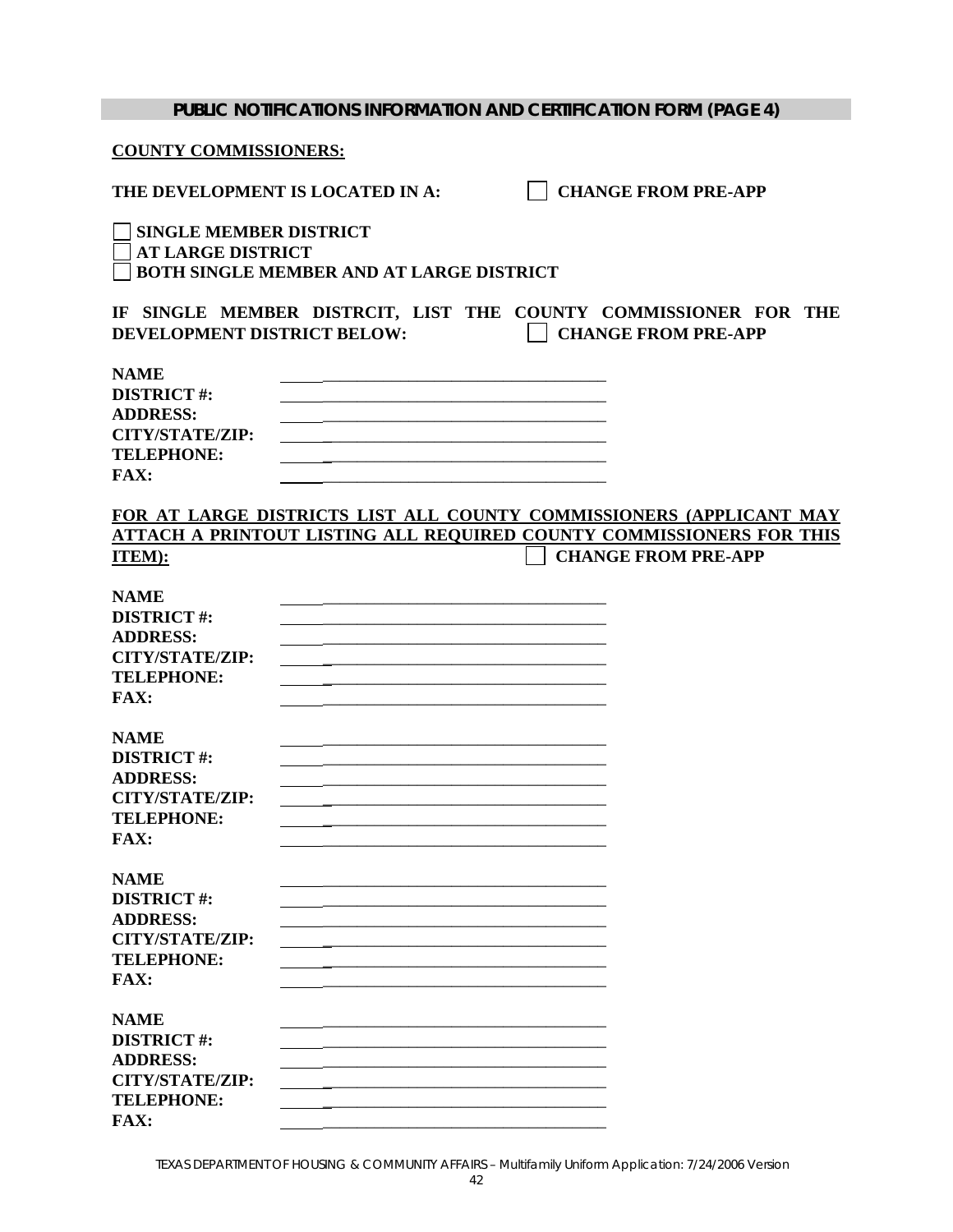| <b>PUBLIC NOTIFICATIONS INFORMATION AND CERTIFICATION FORM (PAGE 4)</b>                                                                                                                                                                    |
|--------------------------------------------------------------------------------------------------------------------------------------------------------------------------------------------------------------------------------------------|
| <b>COUNTY COMMISSIONERS:</b>                                                                                                                                                                                                               |
| <b>CHANGE FROM PRE-APP</b><br>THE DEVELOPMENT IS LOCATED IN A:                                                                                                                                                                             |
| <b>SINGLE MEMBER DISTRICT</b><br><b>AT LARGE DISTRICT</b><br><b>BOTH SINGLE MEMBER AND AT LARGE DISTRICT</b>                                                                                                                               |
| IF SINGLE MEMBER DISTRCIT, LIST THE COUNTY COMMISSIONER FOR THE<br>DEVELOPMENT DISTRICT BELOW:<br><b>CHANGE FROM PRE-APP</b>                                                                                                               |
| <b>NAME</b><br><b>DISTRICT#:</b><br><b>ADDRESS:</b><br><b>CITY/STATE/ZIP:</b><br><b>TELEPHONE:</b><br><b>FAX:</b>                                                                                                                          |
| FOR AT LARGE DISTRICTS LIST ALL COUNTY COMMISSIONERS (APPLICANT MAY<br>ATTACH A PRINTOUT LISTING ALL REOUIRED COUNTY COMMISSIONERS FOR THIS<br><b>CHANGE FROM PRE-APP</b><br>ITEM):                                                        |
| <b>NAME</b><br><b>DISTRICT#:</b><br><b>ADDRESS:</b><br><b>CITY/STATE/ZIP:</b><br><u> 1989 - Johann Harry Harry Harry Harry Harry Harry Harry Harry Harry Harry Harry Harry Harry Harry Harry Harry</u><br><b>TELEPHONE:</b><br><b>FAX:</b> |
| <b>NAME</b><br><b>DISTRICT#:</b><br><b>ADDRESS:</b><br><b>CITY/STATE/ZIP:</b><br><b>TELEPHONE:</b><br>FAX:                                                                                                                                 |
| <b>NAME</b><br><b>DISTRICT#:</b><br><b>ADDRESS:</b><br><b>CITY/STATE/ZIP:</b><br><b>TELEPHONE:</b><br><b>FAX:</b>                                                                                                                          |
| <b>NAME</b><br><b>DISTRICT#:</b><br><b>ADDRESS:</b><br><b>CITY/STATE/ZIP:</b><br><b>TELEPHONE:</b><br><b>FAX:</b>                                                                                                                          |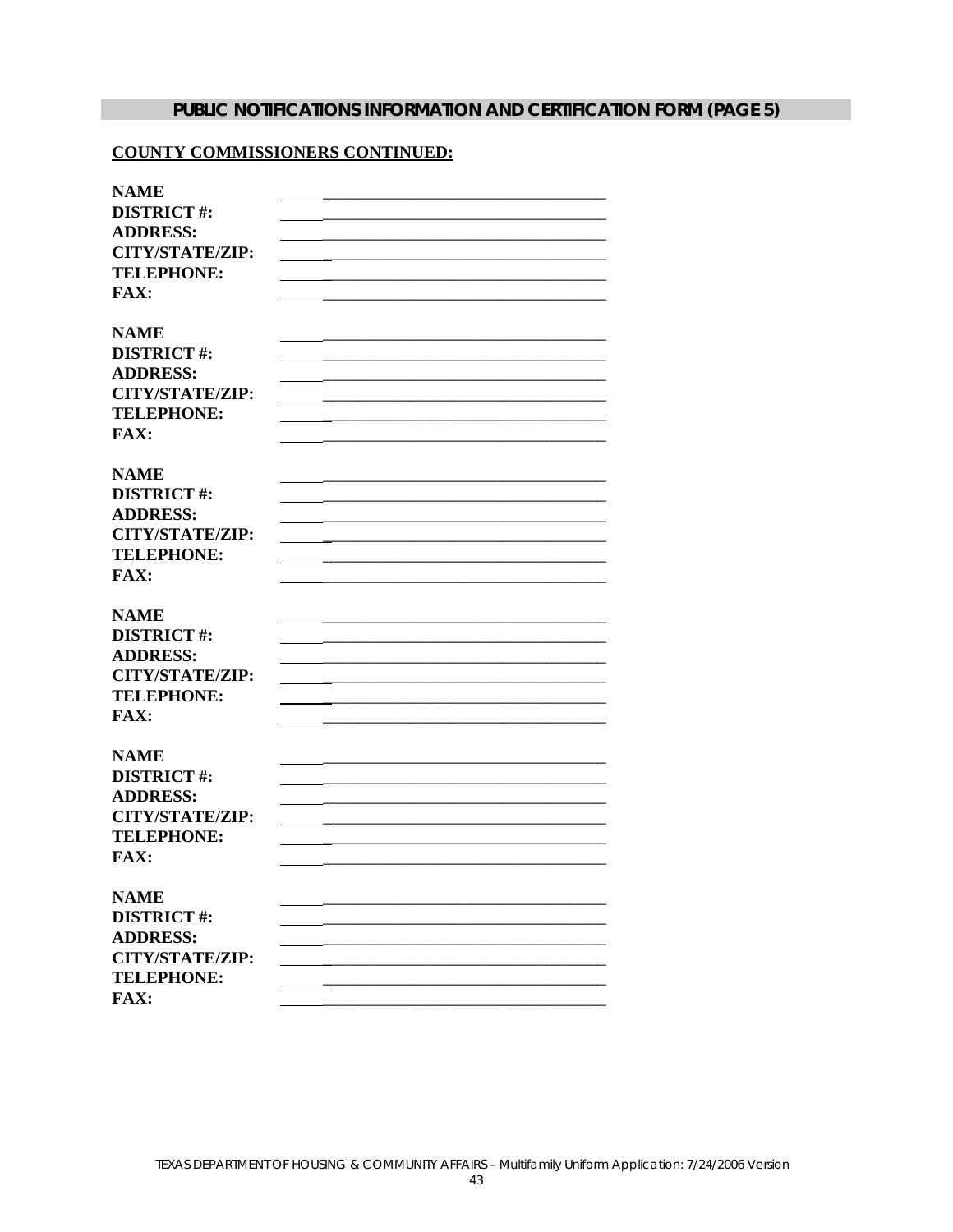# PUBLIC NOTIFICATIONS INFORMATION AND CERTIFICATION FORM (PAGE 5)

#### **COUNTY COMMISSIONERS CONTINUED:**

| <b>NAME</b>                      |  |
|----------------------------------|--|
| <b>DISTRICT#:</b>                |  |
| <b>ADDRESS:</b>                  |  |
| <b>CITY/STATE/ZIP:</b>           |  |
| <b>TELEPHONE:</b>                |  |
| FAX:                             |  |
|                                  |  |
| <b>NAME</b>                      |  |
| <b>DISTRICT#:</b>                |  |
| <b>ADDRESS:</b>                  |  |
| <b>CITY/STATE/ZIP:</b>           |  |
| <b>TELEPHONE:</b>                |  |
| FAX:                             |  |
|                                  |  |
| <b>NAME</b>                      |  |
| <b>DISTRICT#:</b>                |  |
| <b>ADDRESS:</b>                  |  |
| <b>CITY/STATE/ZIP:</b>           |  |
| <b>TELEPHONE:</b>                |  |
| <b>FAX:</b>                      |  |
|                                  |  |
| <b>NAME</b><br><b>DISTRICT#:</b> |  |
| <b>ADDRESS:</b>                  |  |
| <b>CITY/STATE/ZIP:</b>           |  |
| <b>TELEPHONE:</b>                |  |
| FAX:                             |  |
|                                  |  |
| <b>NAME</b>                      |  |
| <b>DISTRICT#:</b>                |  |
| <b>ADDRESS:</b>                  |  |
| <b>CITY/STATE/ZIP:</b>           |  |
| <b>TELEPHONE:</b>                |  |
| <b>FAX:</b>                      |  |
|                                  |  |
| <b>NAME</b>                      |  |
| <b>DISTRICT#:</b>                |  |
| <b>ADDRESS:</b>                  |  |
| <b>CITY/STATE/ZIP:</b>           |  |
| <b>TELEPHONE:</b>                |  |
| <b>FAX:</b>                      |  |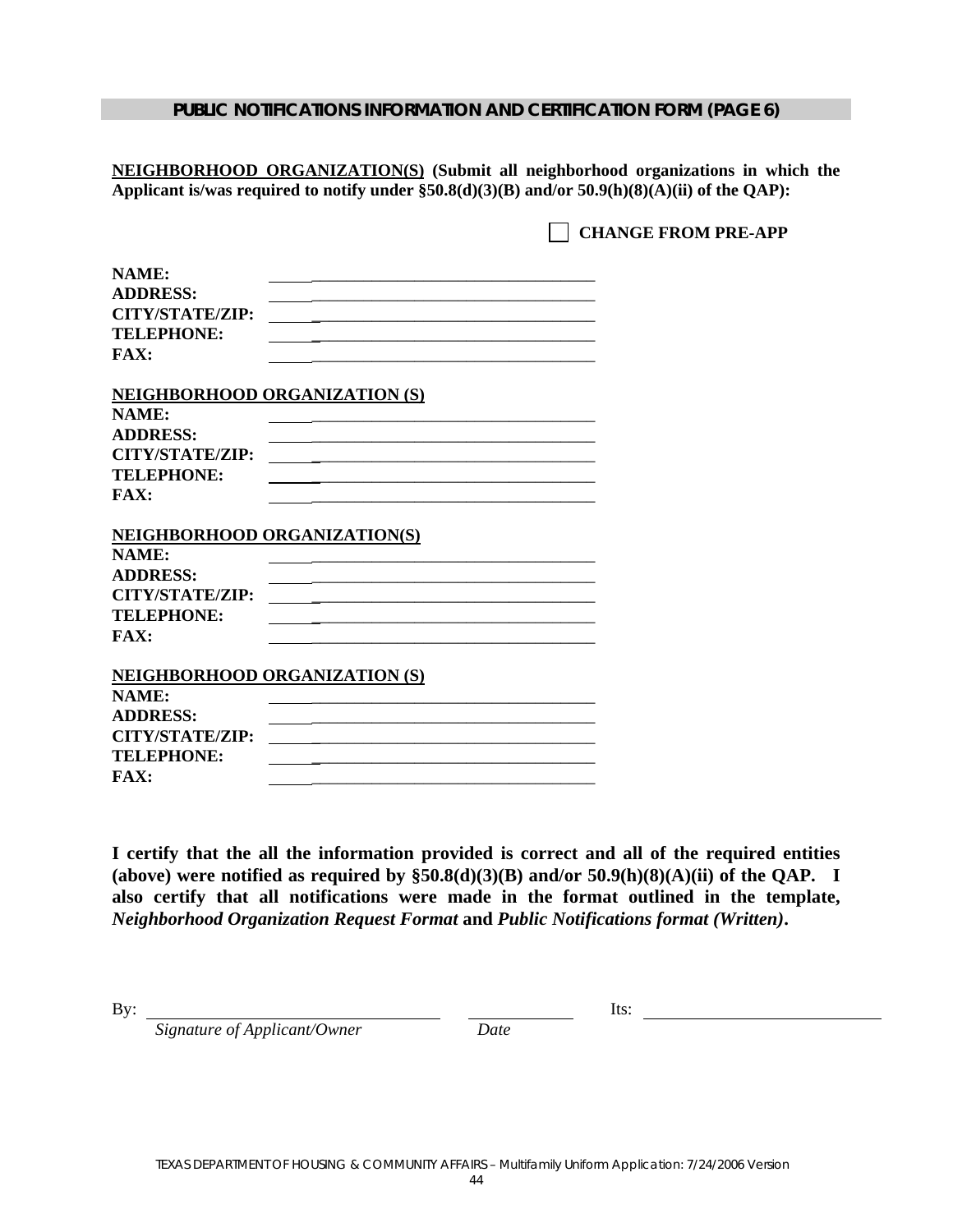#### **PUBLIC NOTIFICATIONS INFORMATION AND CERTIFICATION FORM (PAGE 6)**

**NEIGHBORHOOD ORGANIZATION(S) (Submit all neighborhood organizations in which the Applicant is/was required to notify under §50.8(d)(3)(B) and/or 50.9(h)(8)(A)(ii) of the QAP):**

**CHANGE FROM PRE-APP** 

| NAME:                                |  |
|--------------------------------------|--|
| <b>ADDRESS:</b>                      |  |
| <b>CITY/STATE/ZIP:</b>               |  |
| <b>TELEPHONE:</b>                    |  |
| FAX:                                 |  |
| <b>NEIGHBORHOOD ORGANIZATION (S)</b> |  |
| NAME:                                |  |
| <b>ADDRESS:</b>                      |  |
| <b>CITY/STATE/ZIP:</b>               |  |
| <b>TELEPHONE:</b>                    |  |
| FAX:                                 |  |
|                                      |  |
| <b>NEIGHBORHOOD ORGANIZATION(S)</b>  |  |
| NAME:                                |  |
| <b>ADDRESS:</b>                      |  |
| <b>CITY/STATE/ZIP:</b>               |  |
| <b>TELEPHONE:</b>                    |  |
| FAX:                                 |  |
| <b>NEIGHBORHOOD ORGANIZATION (S)</b> |  |
| NAME:                                |  |
| <b>ADDRESS:</b>                      |  |
| <b>CITY/STATE/ZIP:</b>               |  |
| <b>TELEPHONE:</b>                    |  |
| <b>FAX:</b>                          |  |

**I certify that the all the information provided is correct and all of the required entities (above) were notified as required by §50.8(d)(3)(B) and/or 50.9(h)(8)(A)(ii) of the QAP. I also certify that all notifications were made in the format outlined in the template,**  *Neighborhood Organization Request Format* **and** *Public Notifications format (Written)***.** 

By: Its:

 *Signature of Applicant/Owner Date*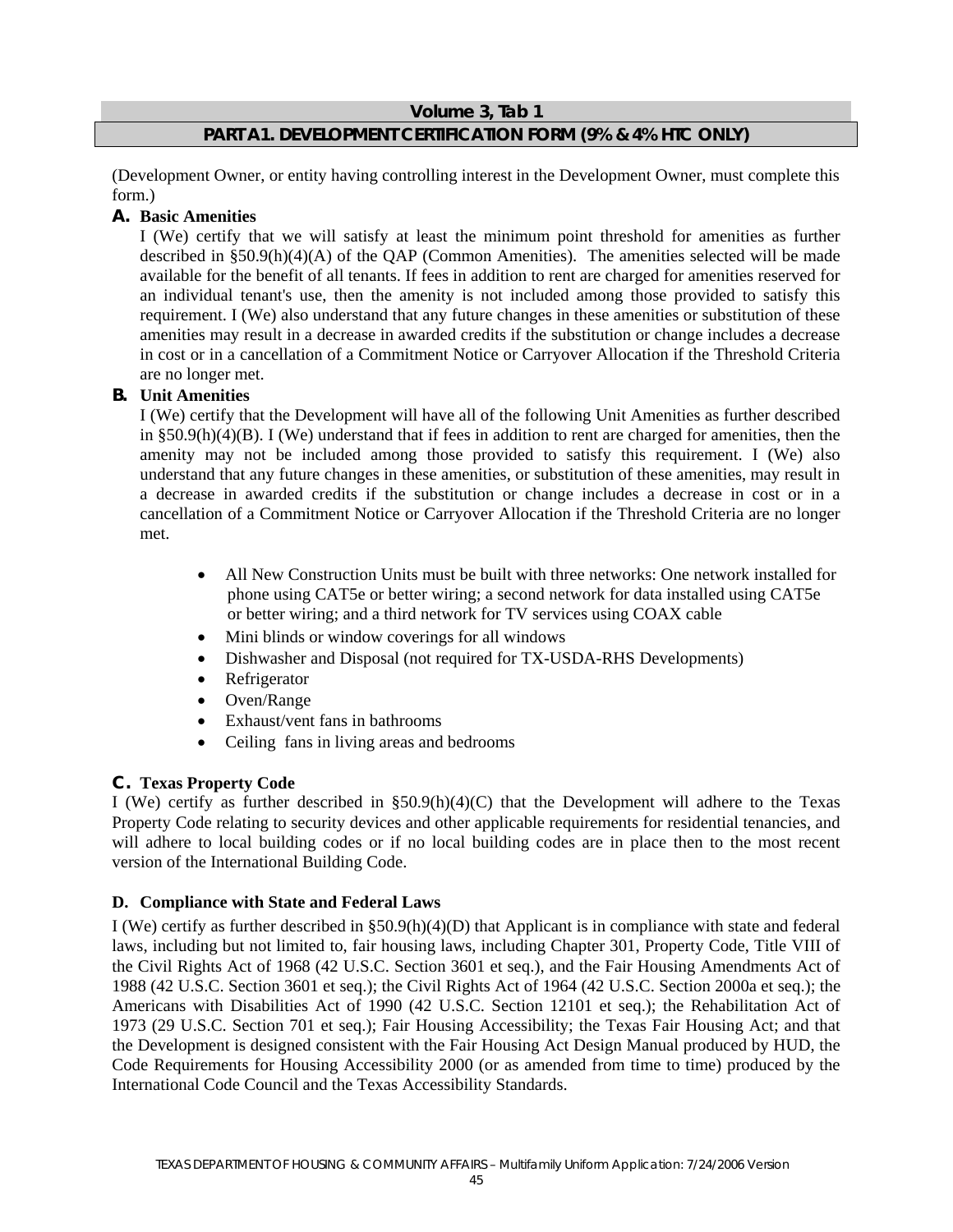#### **Volume 3, Tab 1**

## **PART A1. DEVELOPMENT CERTIFICATION FORM (9% & 4% HTC ONLY)**

(Development Owner, or entity having controlling interest in the Development Owner, must complete this form.)

#### **A. Basic Amenities**

I (We) certify that we will satisfy at least the minimum point threshold for amenities as further described in §50.9(h)(4)(A) of the QAP (Common Amenities). The amenities selected will be made available for the benefit of all tenants. If fees in addition to rent are charged for amenities reserved for an individual tenant's use, then the amenity is not included among those provided to satisfy this requirement. I (We) also understand that any future changes in these amenities or substitution of these amenities may result in a decrease in awarded credits if the substitution or change includes a decrease in cost or in a cancellation of a Commitment Notice or Carryover Allocation if the Threshold Criteria are no longer met.

#### **B. Unit Amenities**

I (We) certify that the Development will have all of the following Unit Amenities as further described in  $§50.9(h)(4)(B)$ . I (We) understand that if fees in addition to rent are charged for amenities, then the amenity may not be included among those provided to satisfy this requirement. I (We) also understand that any future changes in these amenities, or substitution of these amenities, may result in a decrease in awarded credits if the substitution or change includes a decrease in cost or in a cancellation of a Commitment Notice or Carryover Allocation if the Threshold Criteria are no longer met.

- All New Construction Units must be built with three networks: One network installed for phone using CAT5e or better wiring; a second network for data installed using CAT5e or better wiring; and a third network for TV services using COAX cable
- Mini blinds or window coverings for all windows
- Dishwasher and Disposal (not required for TX-USDA-RHS Developments)
- Refrigerator
- Oven/Range
- Exhaust/vent fans in bathrooms
- Ceiling fans in living areas and bedrooms

#### **C. Texas Property Code**

I (We) certify as further described in §50.9(h)(4)(C) that the Development will adhere to the Texas Property Code relating to security devices and other applicable requirements for residential tenancies, and will adhere to local building codes or if no local building codes are in place then to the most recent version of the International Building Code.

#### **D. Compliance with State and Federal Laws**

I (We) certify as further described in §50.9(h)(4)(D) that Applicant is in compliance with state and federal laws, including but not limited to, fair housing laws, including Chapter 301, Property Code, Title VIII of the Civil Rights Act of 1968 (42 U.S.C. Section 3601 et seq.), and the Fair Housing Amendments Act of 1988 (42 U.S.C. Section 3601 et seq.); the Civil Rights Act of 1964 (42 U.S.C. Section 2000a et seq.); the Americans with Disabilities Act of 1990 (42 U.S.C. Section 12101 et seq.); the Rehabilitation Act of 1973 (29 U.S.C. Section 701 et seq.); Fair Housing Accessibility; the Texas Fair Housing Act; and that the Development is designed consistent with the Fair Housing Act Design Manual produced by HUD, the Code Requirements for Housing Accessibility 2000 (or as amended from time to time) produced by the International Code Council and the Texas Accessibility Standards.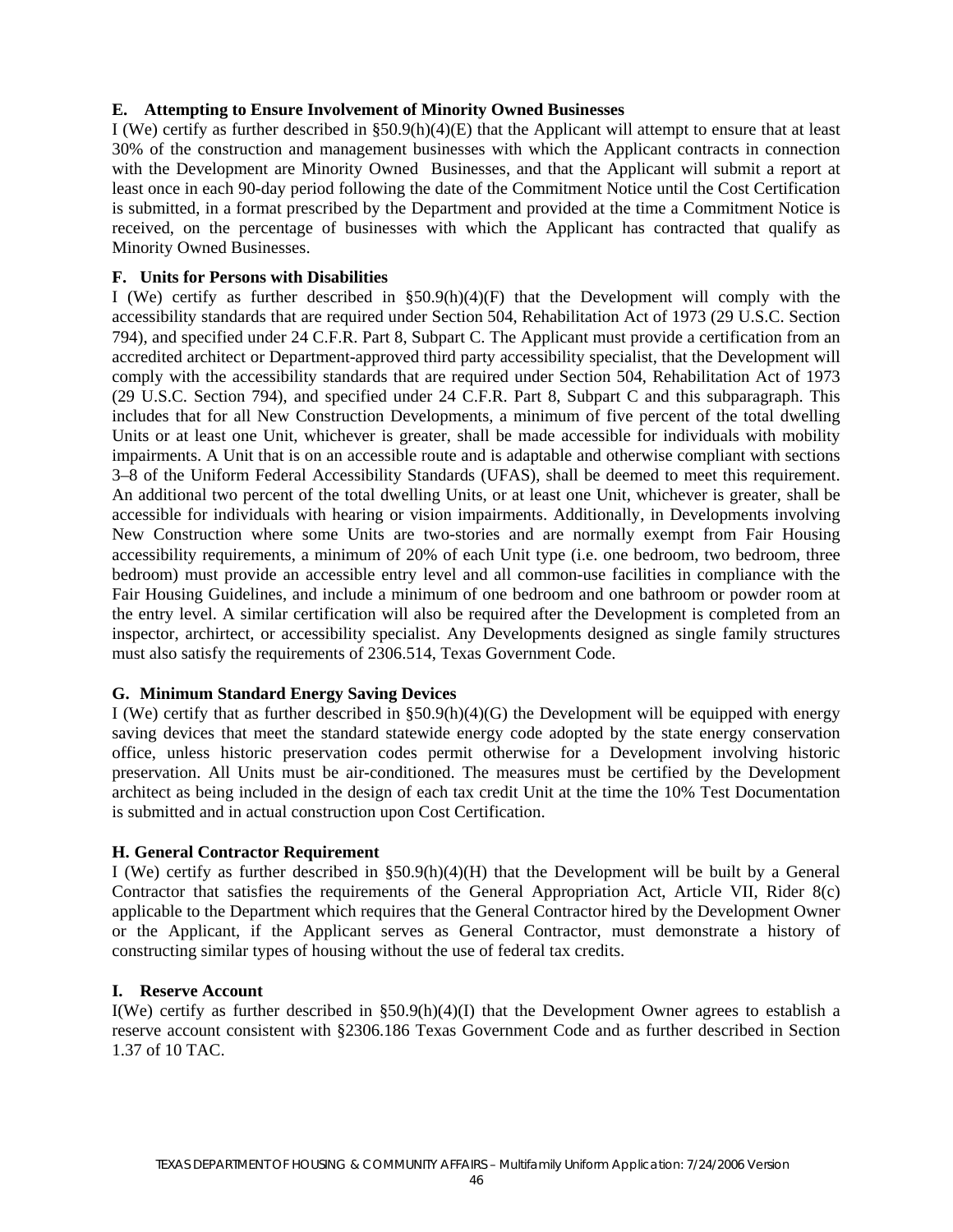#### **E. Attempting to Ensure Involvement of Minority Owned Businesses**

I (We) certify as further described in §50.9(h)(4)(E) that the Applicant will attempt to ensure that at least 30% of the construction and management businesses with which the Applicant contracts in connection with the Development are Minority Owned Businesses, and that the Applicant will submit a report at least once in each 90-day period following the date of the Commitment Notice until the Cost Certification is submitted, in a format prescribed by the Department and provided at the time a Commitment Notice is received, on the percentage of businesses with which the Applicant has contracted that qualify as Minority Owned Businesses.

#### **F. Units for Persons with Disabilities**

I (We) certify as further described in §50.9(h)(4)(F) that the Development will comply with the accessibility standards that are required under Section 504, Rehabilitation Act of 1973 (29 U.S.C. Section 794), and specified under 24 C.F.R. Part 8, Subpart C. The Applicant must provide a certification from an accredited architect or Department-approved third party accessibility specialist, that the Development will comply with the accessibility standards that are required under Section 504, Rehabilitation Act of 1973 (29 U.S.C. Section 794), and specified under 24 C.F.R. Part 8, Subpart C and this subparagraph. This includes that for all New Construction Developments, a minimum of five percent of the total dwelling Units or at least one Unit, whichever is greater, shall be made accessible for individuals with mobility impairments. A Unit that is on an accessible route and is adaptable and otherwise compliant with sections 3–8 of the Uniform Federal Accessibility Standards (UFAS), shall be deemed to meet this requirement. An additional two percent of the total dwelling Units, or at least one Unit, whichever is greater, shall be accessible for individuals with hearing or vision impairments. Additionally, in Developments involving New Construction where some Units are two-stories and are normally exempt from Fair Housing accessibility requirements, a minimum of 20% of each Unit type (i.e. one bedroom, two bedroom, three bedroom) must provide an accessible entry level and all common-use facilities in compliance with the Fair Housing Guidelines, and include a minimum of one bedroom and one bathroom or powder room at the entry level. A similar certification will also be required after the Development is completed from an inspector, archirtect, or accessibility specialist. Any Developments designed as single family structures must also satisfy the requirements of 2306.514, Texas Government Code.

## **G. Minimum Standard Energy Saving Devices**

I (We) certify that as further described in §50.9(h)(4)(G) the Development will be equipped with energy saving devices that meet the standard statewide energy code adopted by the state energy conservation office, unless historic preservation codes permit otherwise for a Development involving historic preservation. All Units must be air-conditioned. The measures must be certified by the Development architect as being included in the design of each tax credit Unit at the time the 10% Test Documentation is submitted and in actual construction upon Cost Certification.

## **H. General Contractor Requirement**

I (We) certify as further described in §50.9(h)(4)(H) that the Development will be built by a General Contractor that satisfies the requirements of the General Appropriation Act, Article VII, Rider 8(c) applicable to the Department which requires that the General Contractor hired by the Development Owner or the Applicant, if the Applicant serves as General Contractor, must demonstrate a history of constructing similar types of housing without the use of federal tax credits.

#### **I. Reserve Account**

I(We) certify as further described in  $\S 50.9(h)(4)(I)$  that the Development Owner agrees to establish a reserve account consistent with §2306.186 Texas Government Code and as further described in Section 1.37 of 10 TAC.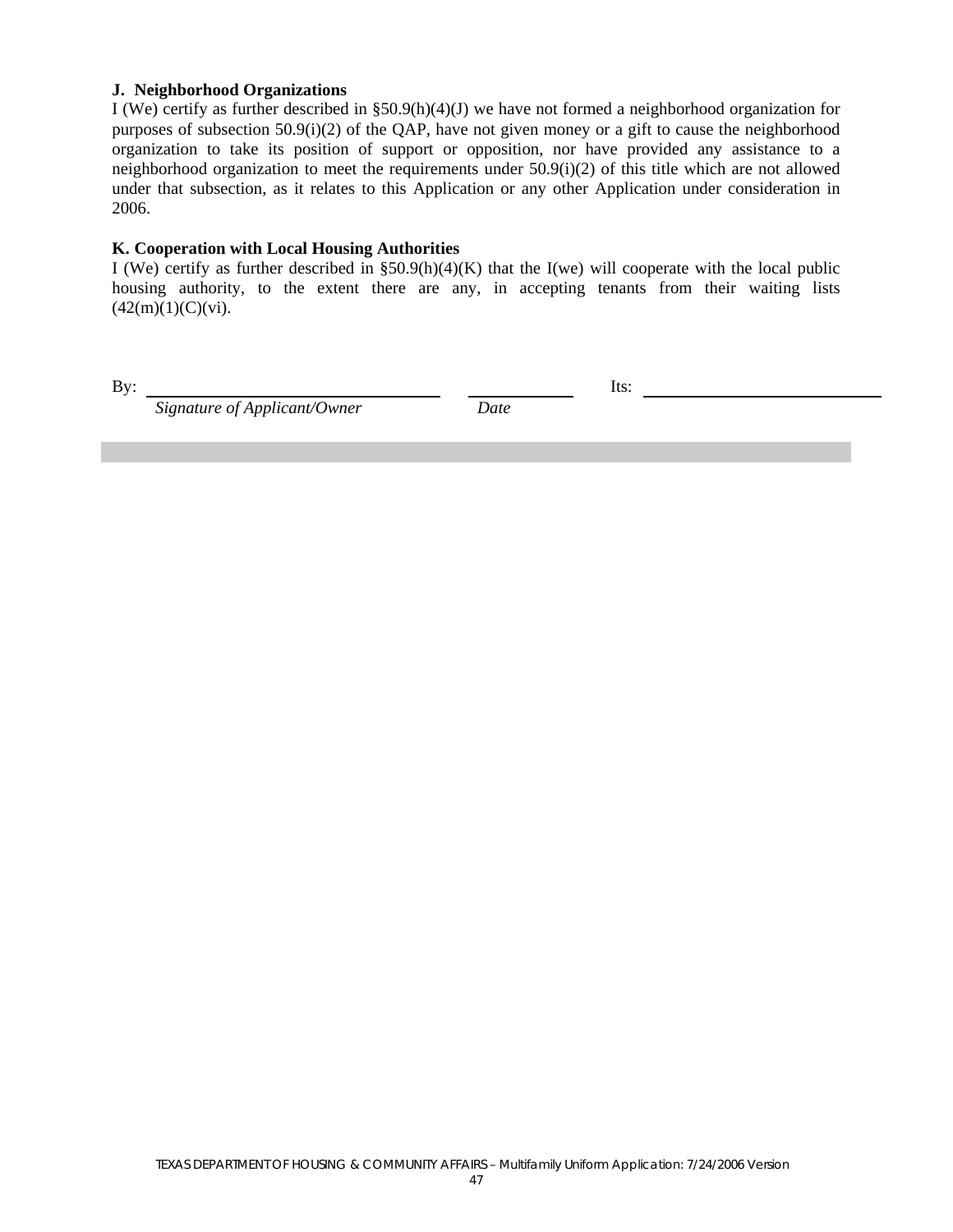#### **J. Neighborhood Organizations**

I (We) certify as further described in §50.9(h)(4)(J) we have not formed a neighborhood organization for purposes of subsection 50.9(i)(2) of the QAP, have not given money or a gift to cause the neighborhood organization to take its position of support or opposition, nor have provided any assistance to a neighborhood organization to meet the requirements under 50.9(i)(2) of this title which are not allowed under that subsection, as it relates to this Application or any other Application under consideration in 2006.

#### **K. Cooperation with Local Housing Authorities**

I (We) certify as further described in  $$50.9(h)(4)(K)$  that the I(we) will cooperate with the local public housing authority, to the extent there are any, in accepting tenants from their waiting lists  $(42(m)(1)(C)(vi).$ 

By: Its:

 *Signature of Applicant/Owner Date*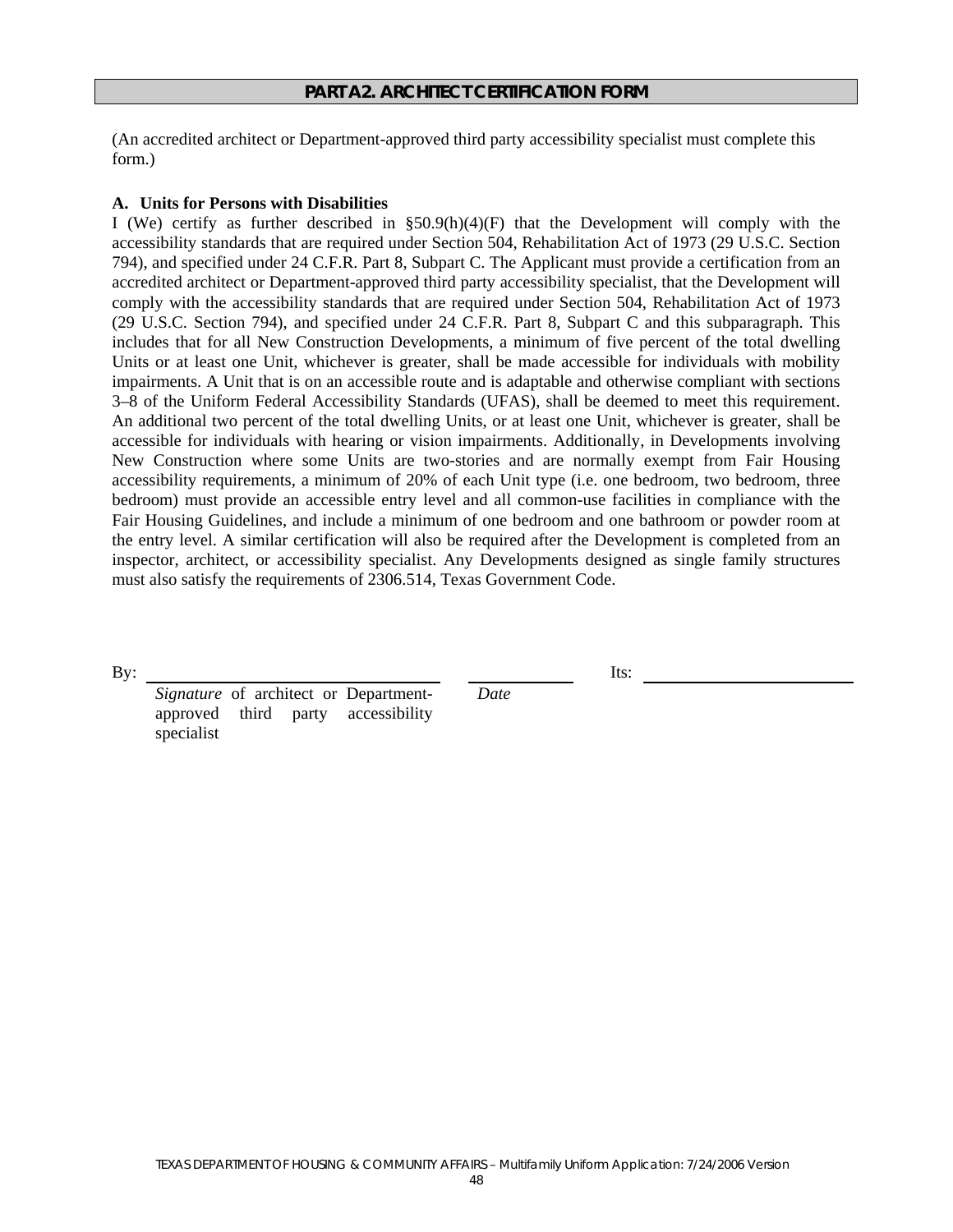(An accredited architect or Department-approved third party accessibility specialist must complete this form.)

#### **A. Units for Persons with Disabilities**

I (We) certify as further described in §50.9(h)(4)(F) that the Development will comply with the accessibility standards that are required under Section 504, Rehabilitation Act of 1973 (29 U.S.C. Section 794), and specified under 24 C.F.R. Part 8, Subpart C. The Applicant must provide a certification from an accredited architect or Department-approved third party accessibility specialist, that the Development will comply with the accessibility standards that are required under Section 504, Rehabilitation Act of 1973 (29 U.S.C. Section 794), and specified under 24 C.F.R. Part 8, Subpart C and this subparagraph. This includes that for all New Construction Developments, a minimum of five percent of the total dwelling Units or at least one Unit, whichever is greater, shall be made accessible for individuals with mobility impairments. A Unit that is on an accessible route and is adaptable and otherwise compliant with sections 3–8 of the Uniform Federal Accessibility Standards (UFAS), shall be deemed to meet this requirement. An additional two percent of the total dwelling Units, or at least one Unit, whichever is greater, shall be accessible for individuals with hearing or vision impairments. Additionally, in Developments involving New Construction where some Units are two-stories and are normally exempt from Fair Housing accessibility requirements, a minimum of 20% of each Unit type (i.e. one bedroom, two bedroom, three bedroom) must provide an accessible entry level and all common-use facilities in compliance with the Fair Housing Guidelines, and include a minimum of one bedroom and one bathroom or powder room at the entry level. A similar certification will also be required after the Development is completed from an inspector, architect, or accessibility specialist. Any Developments designed as single family structures must also satisfy the requirements of 2306.514, Texas Government Code.

 *Date* 

By: Its:

 *Signature* of architect or Departmentapproved third party accessibility specialist

TEXAS DEPARTMENT OF HOUSING & COMMUNITY AFFAIRS – Multifamily Uniform Application: 7/24/2006 Version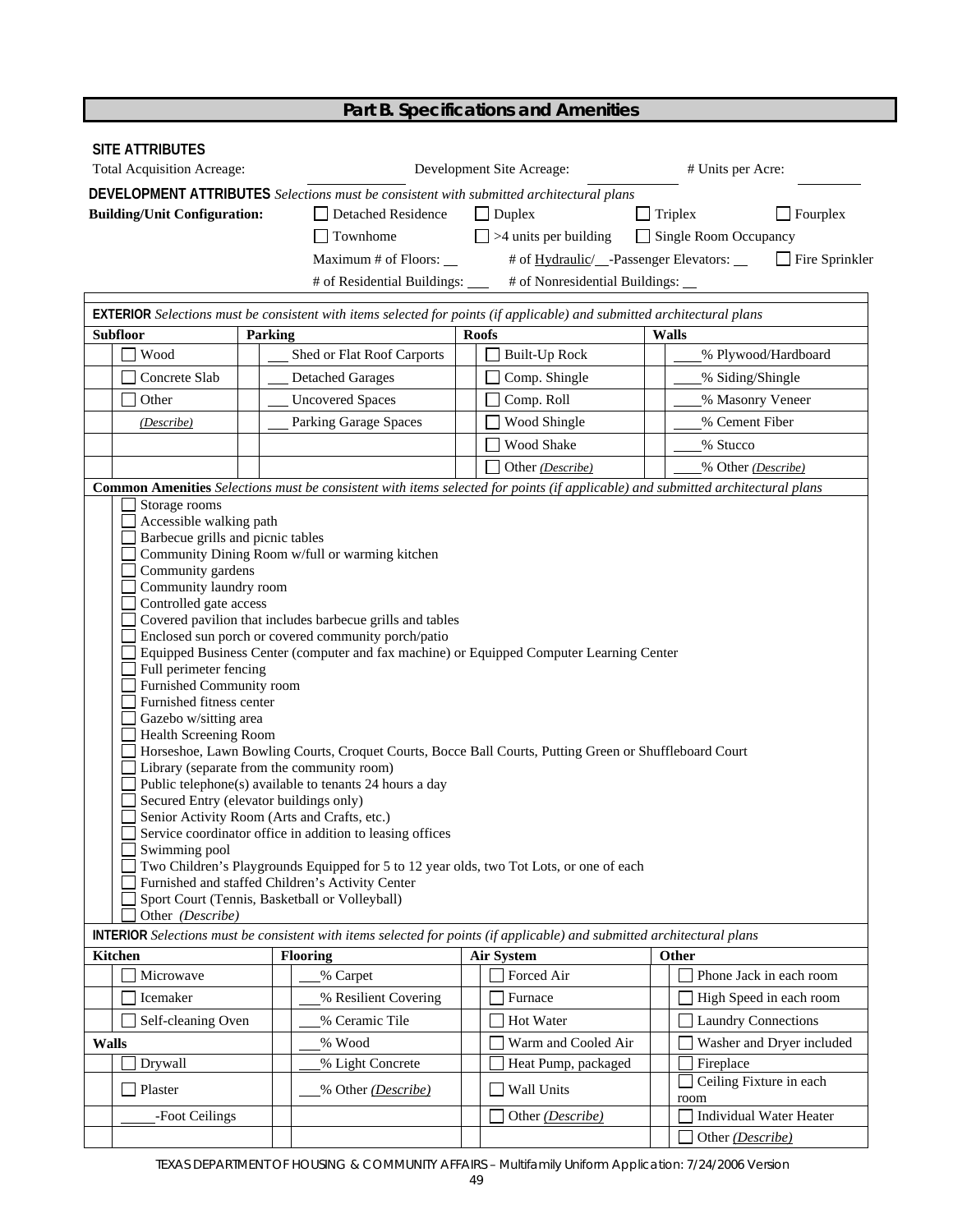| Part B. Specifications and Amenities |  |
|--------------------------------------|--|
|--------------------------------------|--|

| <b>SITE ATTRIBUTES</b>                                                                                                                                                                                                                         |                                                                                                                                                                                                                                                                                                                                                                                                                                                                                                                                            |                                 |                                                                                                                                                                                                                                                                                                                                                                                                                                 |                                                   |                                |  |
|------------------------------------------------------------------------------------------------------------------------------------------------------------------------------------------------------------------------------------------------|--------------------------------------------------------------------------------------------------------------------------------------------------------------------------------------------------------------------------------------------------------------------------------------------------------------------------------------------------------------------------------------------------------------------------------------------------------------------------------------------------------------------------------------------|---------------------------------|---------------------------------------------------------------------------------------------------------------------------------------------------------------------------------------------------------------------------------------------------------------------------------------------------------------------------------------------------------------------------------------------------------------------------------|---------------------------------------------------|--------------------------------|--|
| <b>Total Acquisition Acreage:</b>                                                                                                                                                                                                              |                                                                                                                                                                                                                                                                                                                                                                                                                                                                                                                                            |                                 | Development Site Acreage:                                                                                                                                                                                                                                                                                                                                                                                                       |                                                   | # Units per Acre:              |  |
|                                                                                                                                                                                                                                                |                                                                                                                                                                                                                                                                                                                                                                                                                                                                                                                                            |                                 | DEVELOPMENT ATTRIBUTES Selections must be consistent with submitted architectural plans                                                                                                                                                                                                                                                                                                                                         |                                                   |                                |  |
| <b>Building/Unit Configuration:</b>                                                                                                                                                                                                            |                                                                                                                                                                                                                                                                                                                                                                                                                                                                                                                                            | Detached Residence              | $\Box$ Duplex                                                                                                                                                                                                                                                                                                                                                                                                                   | $\Box$ Triplex                                    | $\Box$ Fourplex                |  |
|                                                                                                                                                                                                                                                | $\Box$ Townhome                                                                                                                                                                                                                                                                                                                                                                                                                                                                                                                            |                                 | $\Box$ >4 units per building                                                                                                                                                                                                                                                                                                                                                                                                    | Single Room Occupancy                             |                                |  |
|                                                                                                                                                                                                                                                |                                                                                                                                                                                                                                                                                                                                                                                                                                                                                                                                            | Maximum # of Floors:            |                                                                                                                                                                                                                                                                                                                                                                                                                                 | # of <u>Hydraulic</u> /__-Passenger Elevators: __ | $\Box$ Fire Sprinkler          |  |
|                                                                                                                                                                                                                                                |                                                                                                                                                                                                                                                                                                                                                                                                                                                                                                                                            | # of Residential Buildings: ___ | # of Nonresidential Buildings: __                                                                                                                                                                                                                                                                                                                                                                                               |                                                   |                                |  |
|                                                                                                                                                                                                                                                |                                                                                                                                                                                                                                                                                                                                                                                                                                                                                                                                            |                                 |                                                                                                                                                                                                                                                                                                                                                                                                                                 |                                                   |                                |  |
| <b>Subfloor</b>                                                                                                                                                                                                                                |                                                                                                                                                                                                                                                                                                                                                                                                                                                                                                                                            |                                 | EXTERIOR Selections must be consistent with items selected for points (if applicable) and submitted architectural plans<br><b>Roofs</b>                                                                                                                                                                                                                                                                                         |                                                   |                                |  |
| Wood                                                                                                                                                                                                                                           | Parking<br>Shed or Flat Roof Carports                                                                                                                                                                                                                                                                                                                                                                                                                                                                                                      |                                 | <b>Built-Up Rock</b>                                                                                                                                                                                                                                                                                                                                                                                                            | <b>Walls</b>                                      | % Plywood/Hardboard            |  |
| Concrete Slab                                                                                                                                                                                                                                  |                                                                                                                                                                                                                                                                                                                                                                                                                                                                                                                                            |                                 |                                                                                                                                                                                                                                                                                                                                                                                                                                 |                                                   |                                |  |
|                                                                                                                                                                                                                                                | <b>Detached Garages</b>                                                                                                                                                                                                                                                                                                                                                                                                                                                                                                                    |                                 | Comp. Shingle                                                                                                                                                                                                                                                                                                                                                                                                                   | % Siding/Shingle                                  |                                |  |
| Other                                                                                                                                                                                                                                          | <b>Uncovered Spaces</b>                                                                                                                                                                                                                                                                                                                                                                                                                                                                                                                    |                                 | Comp. Roll                                                                                                                                                                                                                                                                                                                                                                                                                      |                                                   | % Masonry Veneer               |  |
| (Describe)                                                                                                                                                                                                                                     | Parking Garage Spaces                                                                                                                                                                                                                                                                                                                                                                                                                                                                                                                      |                                 | Wood Shingle                                                                                                                                                                                                                                                                                                                                                                                                                    | % Cement Fiber                                    |                                |  |
|                                                                                                                                                                                                                                                |                                                                                                                                                                                                                                                                                                                                                                                                                                                                                                                                            |                                 | Wood Shake                                                                                                                                                                                                                                                                                                                                                                                                                      | % Stucco                                          |                                |  |
|                                                                                                                                                                                                                                                |                                                                                                                                                                                                                                                                                                                                                                                                                                                                                                                                            |                                 | Other (Describe)                                                                                                                                                                                                                                                                                                                                                                                                                |                                                   | % Other (Describe)             |  |
| Storage rooms                                                                                                                                                                                                                                  |                                                                                                                                                                                                                                                                                                                                                                                                                                                                                                                                            |                                 | Common Amenities Selections must be consistent with items selected for points (if applicable) and submitted architectural plans                                                                                                                                                                                                                                                                                                 |                                                   |                                |  |
| Community gardens<br>Community laundry room<br>Controlled gate access<br>Full perimeter fencing<br>Furnished Community room<br>Furnished fitness center<br>Gazebo w/sitting area<br>Health Screening Room<br>Swimming pool<br>Other (Describe) | Community Dining Room w/full or warming kitchen<br>Covered pavilion that includes barbecue grills and tables<br>Enclosed sun porch or covered community porch/patio<br>Library (separate from the community room)<br>Public telephone(s) available to tenants 24 hours a day<br>Secured Entry (elevator buildings only)<br>Senior Activity Room (Arts and Crafts, etc.)<br>Service coordinator office in addition to leasing offices<br>Furnished and staffed Children's Activity Center<br>Sport Court (Tennis, Basketball or Volleyball) |                                 | Equipped Business Center (computer and fax machine) or Equipped Computer Learning Center<br>Horseshoe, Lawn Bowling Courts, Croquet Courts, Bocce Ball Courts, Putting Green or Shuffleboard Court<br>Two Children's Playgrounds Equipped for 5 to 12 year olds, two Tot Lots, or one of each<br><b>INTERIOR</b> Selections must be consistent with items selected for points (if applicable) and submitted architectural plans |                                                   |                                |  |
| <b>Kitchen</b>                                                                                                                                                                                                                                 | <b>Flooring</b>                                                                                                                                                                                                                                                                                                                                                                                                                                                                                                                            |                                 | <b>Air System</b>                                                                                                                                                                                                                                                                                                                                                                                                               | Other                                             |                                |  |
| Microwave                                                                                                                                                                                                                                      | % Carpet                                                                                                                                                                                                                                                                                                                                                                                                                                                                                                                                   |                                 | Forced Air                                                                                                                                                                                                                                                                                                                                                                                                                      |                                                   | Phone Jack in each room        |  |
| Icemaker                                                                                                                                                                                                                                       |                                                                                                                                                                                                                                                                                                                                                                                                                                                                                                                                            | % Resilient Covering            | Furnace                                                                                                                                                                                                                                                                                                                                                                                                                         |                                                   | High Speed in each room        |  |
| Self-cleaning Oven                                                                                                                                                                                                                             | % Ceramic Tile                                                                                                                                                                                                                                                                                                                                                                                                                                                                                                                             |                                 | Hot Water                                                                                                                                                                                                                                                                                                                                                                                                                       |                                                   |                                |  |
|                                                                                                                                                                                                                                                |                                                                                                                                                                                                                                                                                                                                                                                                                                                                                                                                            |                                 |                                                                                                                                                                                                                                                                                                                                                                                                                                 |                                                   | <b>Laundry Connections</b>     |  |
| <b>Walls</b>                                                                                                                                                                                                                                   | % Wood                                                                                                                                                                                                                                                                                                                                                                                                                                                                                                                                     |                                 | Warm and Cooled Air                                                                                                                                                                                                                                                                                                                                                                                                             |                                                   | Washer and Dryer included      |  |
| Drywall                                                                                                                                                                                                                                        | % Light Concrete                                                                                                                                                                                                                                                                                                                                                                                                                                                                                                                           |                                 | Heat Pump, packaged                                                                                                                                                                                                                                                                                                                                                                                                             | Fireplace                                         | Ceiling Fixture in each        |  |
| Plaster                                                                                                                                                                                                                                        |                                                                                                                                                                                                                                                                                                                                                                                                                                                                                                                                            | % Other (Describe)              | Wall Units                                                                                                                                                                                                                                                                                                                                                                                                                      | room                                              |                                |  |
| -Foot Ceilings                                                                                                                                                                                                                                 |                                                                                                                                                                                                                                                                                                                                                                                                                                                                                                                                            |                                 | Other (Describe)                                                                                                                                                                                                                                                                                                                                                                                                                |                                                   | <b>Individual Water Heater</b> |  |
|                                                                                                                                                                                                                                                |                                                                                                                                                                                                                                                                                                                                                                                                                                                                                                                                            |                                 |                                                                                                                                                                                                                                                                                                                                                                                                                                 | Other (Describe)                                  |                                |  |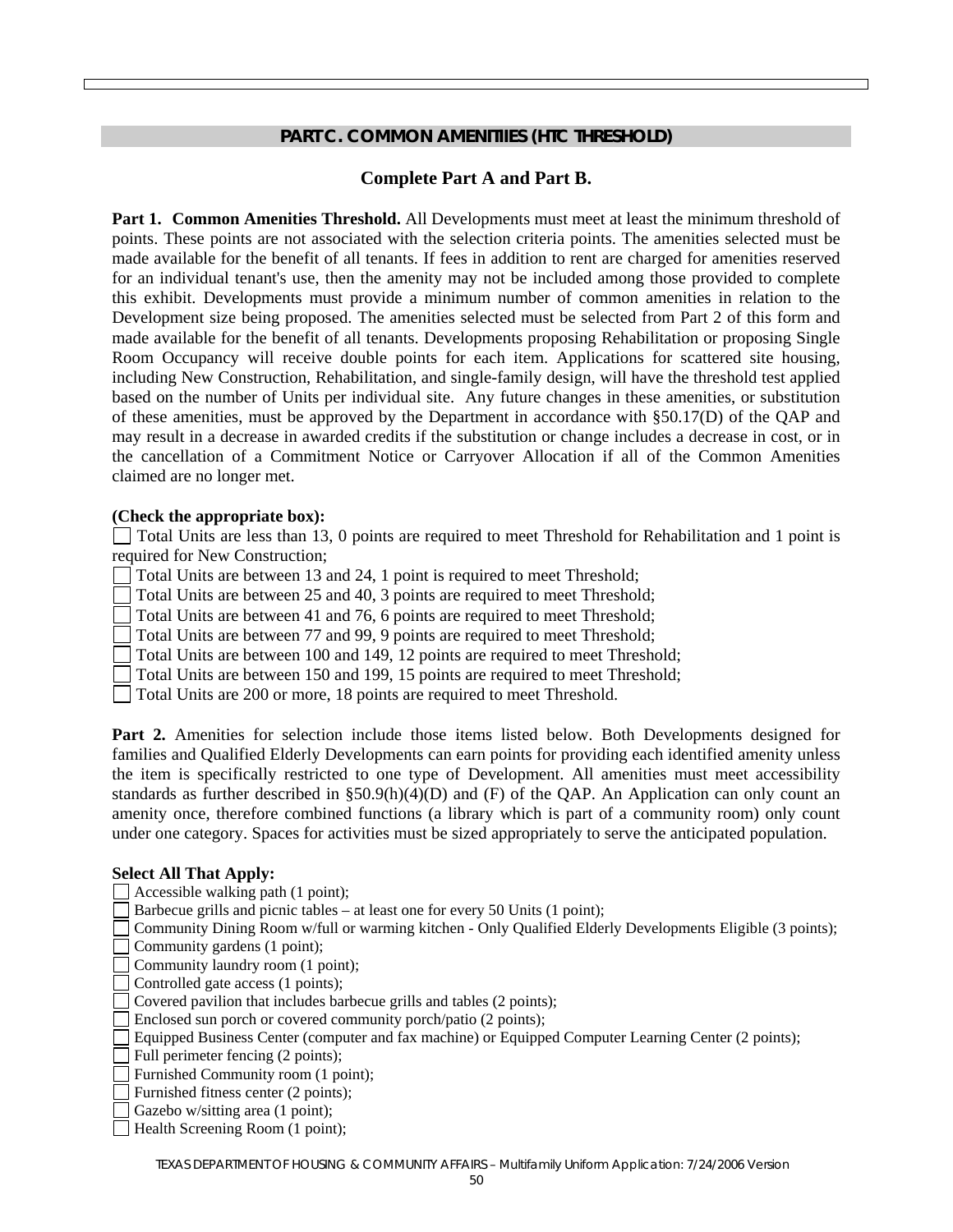#### **PART C. COMMON AMENITIIES (HTC THRESHOLD)**

#### **Complete Part A and Part B.**

**Part 1. Common Amenities Threshold.** All Developments must meet at least the minimum threshold of points. These points are not associated with the selection criteria points. The amenities selected must be made available for the benefit of all tenants. If fees in addition to rent are charged for amenities reserved for an individual tenant's use, then the amenity may not be included among those provided to complete this exhibit. Developments must provide a minimum number of common amenities in relation to the Development size being proposed. The amenities selected must be selected from Part 2 of this form and made available for the benefit of all tenants. Developments proposing Rehabilitation or proposing Single Room Occupancy will receive double points for each item. Applications for scattered site housing, including New Construction, Rehabilitation, and single-family design, will have the threshold test applied based on the number of Units per individual site. Any future changes in these amenities, or substitution of these amenities, must be approved by the Department in accordance with §50.17(D) of the QAP and may result in a decrease in awarded credits if the substitution or change includes a decrease in cost, or in the cancellation of a Commitment Notice or Carryover Allocation if all of the Common Amenities claimed are no longer met.

#### **(Check the appropriate box):**

 Total Units are less than 13, 0 points are required to meet Threshold for Rehabilitation and 1 point is required for New Construction;

- Total Units are between 13 and 24, 1 point is required to meet Threshold;
- Total Units are between 25 and 40, 3 points are required to meet Threshold;
- Total Units are between 41 and 76, 6 points are required to meet Threshold;
- Total Units are between 77 and 99, 9 points are required to meet Threshold;
- Total Units are between 100 and 149, 12 points are required to meet Threshold;
- Total Units are between 150 and 199, 15 points are required to meet Threshold;
- Total Units are 200 or more, 18 points are required to meet Threshold.

Part 2. Amenities for selection include those items listed below. Both Developments designed for families and Qualified Elderly Developments can earn points for providing each identified amenity unless the item is specifically restricted to one type of Development. All amenities must meet accessibility standards as further described in  $\S 50.9(h)(4)(D)$  and (F) of the QAP. An Application can only count an amenity once, therefore combined functions (a library which is part of a community room) only count under one category. Spaces for activities must be sized appropriately to serve the anticipated population.

#### **Select All That Apply:**

- Accessible walking path (1 point);
- Barbecue grills and picnic tables at least one for every 50 Units (1 point);
- Community Dining Room w/full or warming kitchen Only Qualified Elderly Developments Eligible (3 points);
- Community gardens (1 point);
- Community laundry room (1 point);
- Controlled gate access (1 points);
- Covered pavilion that includes barbecue grills and tables (2 points);
- Enclosed sun porch or covered community porch/patio (2 points);
- Equipped Business Center (computer and fax machine) or Equipped Computer Learning Center (2 points);
- Full perimeter fencing (2 points);
- Furnished Community room (1 point);
- Furnished fitness center (2 points);
- Gazebo w/sitting area (1 point);
- Health Screening Room (1 point);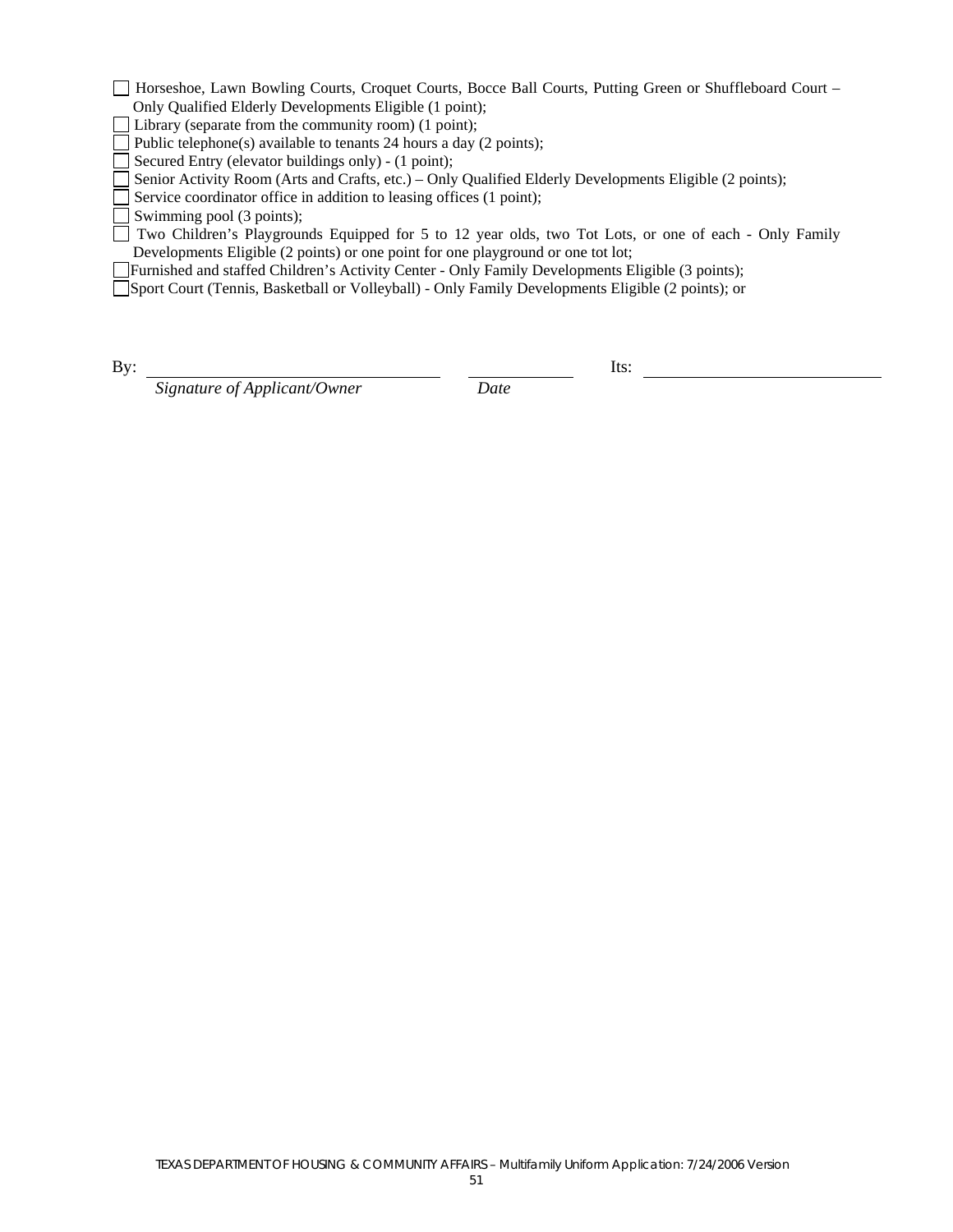Horseshoe, Lawn Bowling Courts, Croquet Courts, Bocce Ball Courts, Putting Green or Shuffleboard Court – Only Qualified Elderly Developments Eligible (1 point);

Library (separate from the community room) (1 point);

Public telephone(s) available to tenants 24 hours a day (2 points);

Secured Entry (elevator buildings only) - (1 point);

Senior Activity Room (Arts and Crafts, etc.) – Only Qualified Elderly Developments Eligible (2 points);

Service coordinator office in addition to leasing offices (1 point);

Swimming pool (3 points);

 Two Children's Playgrounds Equipped for 5 to 12 year olds, two Tot Lots, or one of each - Only Family Developments Eligible (2 points) or one point for one playground or one tot lot;

Furnished and staffed Children's Activity Center - Only Family Developments Eligible (3 points);

Sport Court (Tennis, Basketball or Volleyball) - Only Family Developments Eligible (2 points); or

By:

 *Signature of Applicant/Owner Date* 

Its: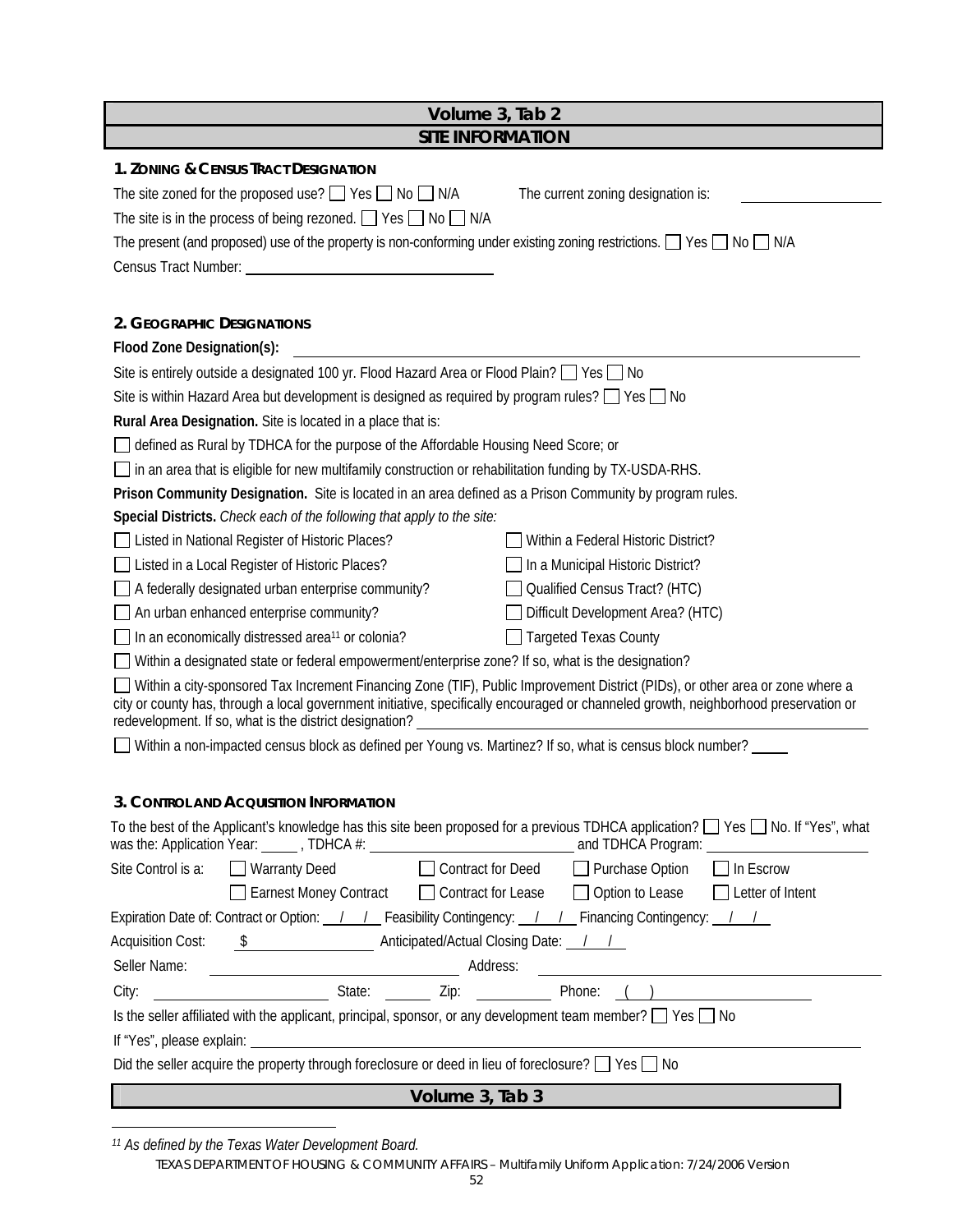| Volume 3, Tab 2                                                                                                                                                                                                                                      |  |  |  |  |
|------------------------------------------------------------------------------------------------------------------------------------------------------------------------------------------------------------------------------------------------------|--|--|--|--|
| <b>SITE INFORMATION</b>                                                                                                                                                                                                                              |  |  |  |  |
| 1. ZONING & CENSUS TRACT DESIGNATION                                                                                                                                                                                                                 |  |  |  |  |
| The site zoned for the proposed use? $\Box$ Yes $\Box$ No $\Box$ N/A<br>The current zoning designation is:                                                                                                                                           |  |  |  |  |
| The site is in the process of being rezoned. $\Box$ Yes $\Box$ No $\Box$ N/A                                                                                                                                                                         |  |  |  |  |
| The present (and proposed) use of the property is non-conforming under existing zoning restrictions. $\Box$ Yes $\Box$ No $\Box$ N/A                                                                                                                 |  |  |  |  |
|                                                                                                                                                                                                                                                      |  |  |  |  |
|                                                                                                                                                                                                                                                      |  |  |  |  |
| 2. GEOGRAPHIC DESIGNATIONS                                                                                                                                                                                                                           |  |  |  |  |
| Flood Zone Designation(s):                                                                                                                                                                                                                           |  |  |  |  |
| Site is entirely outside a designated 100 yr. Flood Hazard Area or Flood Plain? $\Box$ Yes $\Box$ No                                                                                                                                                 |  |  |  |  |
| Site is within Hazard Area but development is designed as required by program rules? $\Box$ Yes $\Box$ No                                                                                                                                            |  |  |  |  |
| Rural Area Designation. Site is located in a place that is:                                                                                                                                                                                          |  |  |  |  |
| defined as Rural by TDHCA for the purpose of the Affordable Housing Need Score; or                                                                                                                                                                   |  |  |  |  |
| in an area that is eligible for new multifamily construction or rehabilitation funding by TX-USDA-RHS.                                                                                                                                               |  |  |  |  |
| Prison Community Designation. Site is located in an area defined as a Prison Community by program rules.                                                                                                                                             |  |  |  |  |
| Special Districts. Check each of the following that apply to the site:                                                                                                                                                                               |  |  |  |  |
| Listed in National Register of Historic Places?<br>Within a Federal Historic District?                                                                                                                                                               |  |  |  |  |
| Listed in a Local Register of Historic Places?<br>In a Municipal Historic District?                                                                                                                                                                  |  |  |  |  |
| Qualified Census Tract? (HTC)<br>A federally designated urban enterprise community?                                                                                                                                                                  |  |  |  |  |
| Difficult Development Area? (HTC)<br>An urban enhanced enterprise community?                                                                                                                                                                         |  |  |  |  |
| In an economically distressed area <sup>11</sup> or colonia?<br><b>Targeted Texas County</b>                                                                                                                                                         |  |  |  |  |
| Within a designated state or federal empowerment/enterprise zone? If so, what is the designation?                                                                                                                                                    |  |  |  |  |
| Within a city-sponsored Tax Increment Financing Zone (TIF), Public Improvement District (PIDs), or other area or zone where a                                                                                                                        |  |  |  |  |
| city or county has, through a local government initiative, specifically encouraged or channeled growth, neighborhood preservation or<br>redevelopment. If so, what is the district designation?                                                      |  |  |  |  |
| Within a non-impacted census block as defined per Young vs. Martinez? If so, what is census block number?                                                                                                                                            |  |  |  |  |
|                                                                                                                                                                                                                                                      |  |  |  |  |
|                                                                                                                                                                                                                                                      |  |  |  |  |
| 3. CONTROL AND ACQUISITION INFORMATION                                                                                                                                                                                                               |  |  |  |  |
| To the best of the Applicant's knowledge has this site been proposed for a previous TDHCA application? $\Box$ Yes $\Box$ No. If "Yes", what                                                                                                          |  |  |  |  |
| Site Control is a:<br>$\Box$ Warranty Deed<br>$\Box$ Purchase Option<br>Contract for Deed<br>$\Box$ In Escrow                                                                                                                                        |  |  |  |  |
| □ Option to Lease<br>□ Earnest Money Contract<br>□ Contract for Lease<br>$\Box$ Letter of Intent                                                                                                                                                     |  |  |  |  |
| Expiration Date of: Contract or Option: $\frac{1}{1}$ Feasibility Contingency: $\frac{1}{1}$ Financing Contingency: $\frac{1}{1}$                                                                                                                    |  |  |  |  |
| \$ Anticipated/Actual Closing Date: 1 1<br>Acquisition Cost:                                                                                                                                                                                         |  |  |  |  |
| Seller Name:<br>Address: <u>Address: Address: Address: Address: Address: Address: Address: Address: Address: Address: Address: Address: Address: Address: Address: Address: Address: Address: Address: Address: Address: Address: Address: Addre</u> |  |  |  |  |
| State: <u>Constantine and State:</u> Zip: <u>Constantine and Phone: (in the Constantine and Constantine and Constantine and Constantine and Constantine and Constantine and Constantine and Constantine and Constantine and Constanti</u><br>City:   |  |  |  |  |
| Is the seller affiliated with the applicant, principal, sponsor, or any development team member? $\Box$ Yes $\Box$ No                                                                                                                                |  |  |  |  |
|                                                                                                                                                                                                                                                      |  |  |  |  |
| Did the seller acquire the property through foreclosure or deed in lieu of foreclosure? $\Box$ Yes $\Box$ No                                                                                                                                         |  |  |  |  |
| Volume 3, Tab 3                                                                                                                                                                                                                                      |  |  |  |  |

TEXAS DEPARTMENT OF HOUSING & COMMUNITY AFFAIRS – Multifamily Uniform Application: 7/24/2006 Version

 $\overline{a}$ *11 As defined by the Texas Water Development Board.*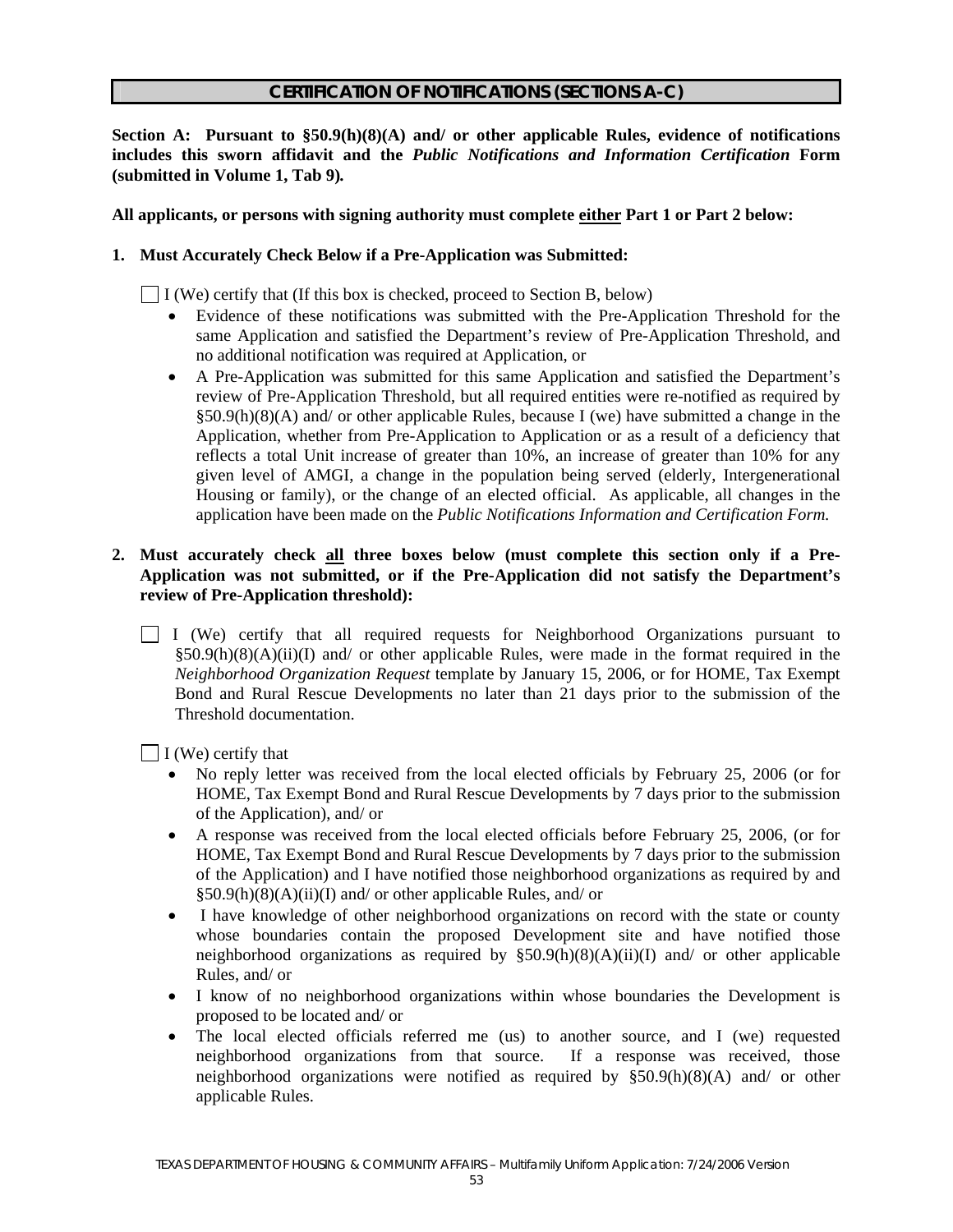#### **CERTIFICATION OF NOTIFICATIONS (SECTIONS A-C)**

**Section A: Pursuant to §50.9(h)(8)(A) and/ or other applicable Rules, evidence of notifications includes this sworn affidavit and the** *Public Notifications and Information Certification* **Form (submitted in Volume 1, Tab 9)***.* 

#### **All applicants, or persons with signing authority must complete either Part 1 or Part 2 below:**

#### **1. Must Accurately Check Below if a Pre-Application was Submitted:**

 $\Box$  I (We) certify that (If this box is checked, proceed to Section B, below)

- Evidence of these notifications was submitted with the Pre-Application Threshold for the same Application and satisfied the Department's review of Pre-Application Threshold, and no additional notification was required at Application, or
- A Pre-Application was submitted for this same Application and satisfied the Department's review of Pre-Application Threshold, but all required entities were re-notified as required by  $§50.9(h)(8)(A)$  and/ or other applicable Rules, because I (we) have submitted a change in the Application, whether from Pre-Application to Application or as a result of a deficiency that reflects a total Unit increase of greater than 10%, an increase of greater than 10% for any given level of AMGI, a change in the population being served (elderly, Intergenerational Housing or family), or the change of an elected official. As applicable, all changes in the application have been made on the *Public Notifications Information and Certification Form.*

#### **2. Must accurately check all three boxes below (must complete this section only if a Pre-Application was not submitted, or if the Pre-Application did not satisfy the Department's review of Pre-Application threshold):**

 I (We) certify that all required requests for Neighborhood Organizations pursuant to  $§50.9(h)(8)(A)(ii)(I)$  and/ or other applicable Rules, were made in the format required in the *Neighborhood Organization Request* template by January 15, 2006, or for HOME, Tax Exempt Bond and Rural Rescue Developments no later than 21 days prior to the submission of the Threshold documentation.

 $\Box$  I (We) certify that

- No reply letter was received from the local elected officials by February 25, 2006 (or for HOME, Tax Exempt Bond and Rural Rescue Developments by 7 days prior to the submission of the Application), and/ or
- A response was received from the local elected officials before February 25, 2006, (or for HOME, Tax Exempt Bond and Rural Rescue Developments by 7 days prior to the submission of the Application) and I have notified those neighborhood organizations as required by and §50.9(h)(8)(A)(ii)(I) and/ or other applicable Rules, and/ or
- I have knowledge of other neighborhood organizations on record with the state or county whose boundaries contain the proposed Development site and have notified those neighborhood organizations as required by  $\S50.9(h)(8)(A)(ii)(I)$  and/ or other applicable Rules, and/ or
- I know of no neighborhood organizations within whose boundaries the Development is proposed to be located and/ or
- The local elected officials referred me (us) to another source, and I (we) requested neighborhood organizations from that source. If a response was received, those neighborhood organizations were notified as required by §50.9(h)(8)(A) and/ or other applicable Rules.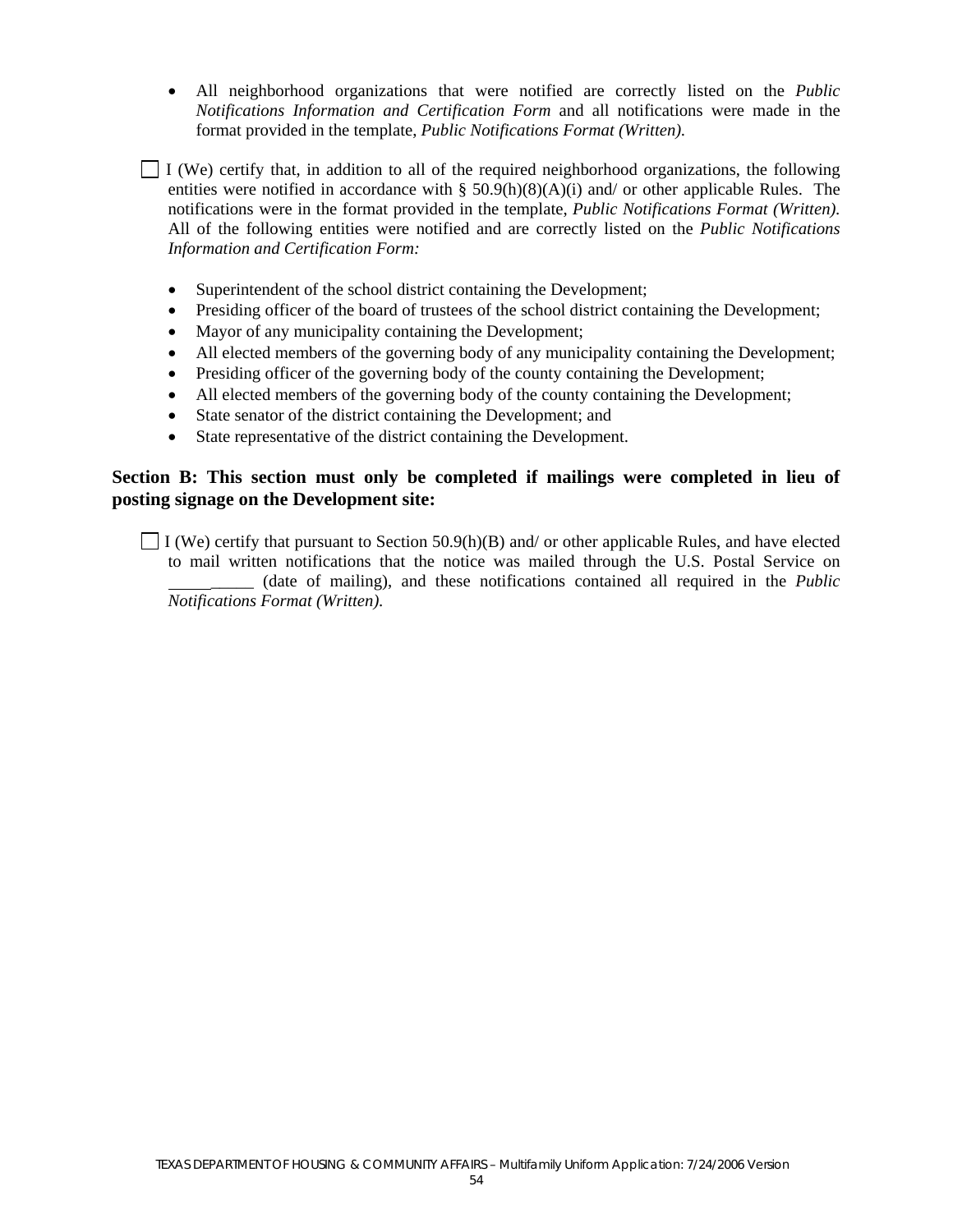• All neighborhood organizations that were notified are correctly listed on the *Public Notifications Information and Certification Form* and all notifications were made in the format provided in the template, *Public Notifications Format (Written).*

 $\Box$  I (We) certify that, in addition to all of the required neighborhood organizations, the following entities were notified in accordance with  $\S$  50.9(h)(8)(A)(i) and/ or other applicable Rules. The notifications were in the format provided in the template, *Public Notifications Format (Written).*  All of the following entities were notified and are correctly listed on the *Public Notifications Information and Certification Form:*

- Superintendent of the school district containing the Development;
- Presiding officer of the board of trustees of the school district containing the Development;
- Mayor of any municipality containing the Development;
- All elected members of the governing body of any municipality containing the Development;
- Presiding officer of the governing body of the county containing the Development;
- All elected members of the governing body of the county containing the Development;
- State senator of the district containing the Development; and
- State representative of the district containing the Development.

## **Section B: This section must only be completed if mailings were completed in lieu of posting signage on the Development site:**

 $\Box$  I (We) certify that pursuant to Section 50.9(h)(B) and/ or other applicable Rules, and have elected to mail written notifications that the notice was mailed through the U.S. Postal Service on \_\_\_\_\_ (date of mailing), and these notifications contained all required in the *Public Notifications Format (Written).*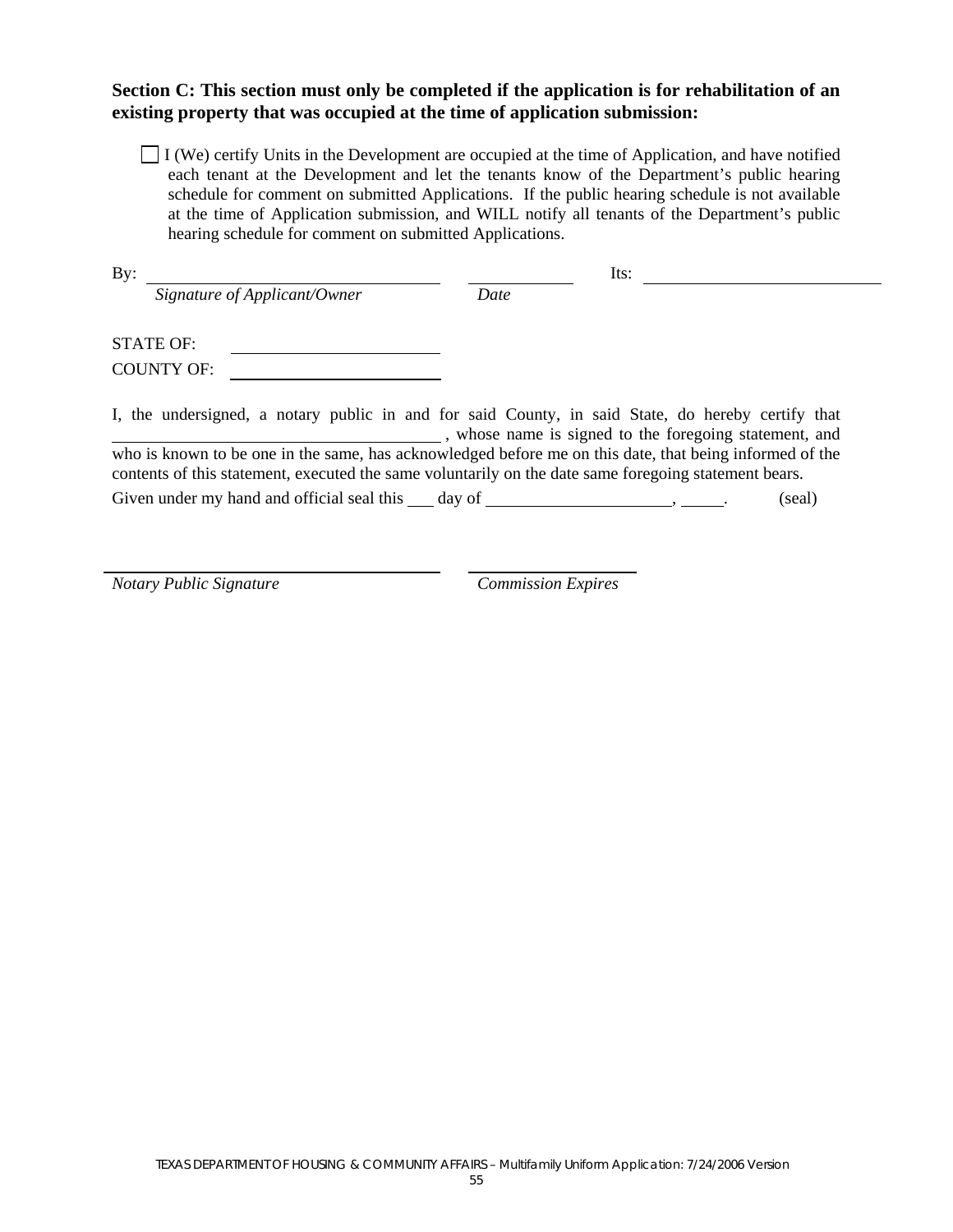## **Section C: This section must only be completed if the application is for rehabilitation of an existing property that was occupied at the time of application submission:**

 $\Box$  I (We) certify Units in the Development are occupied at the time of Application, and have notified each tenant at the Development and let the tenants know of the Department's public hearing schedule for comment on submitted Applications. If the public hearing schedule is not available at the time of Application submission, and WILL notify all tenants of the Department's public hearing schedule for comment on submitted Applications.

| By:                                                                                                   | Its:                                                                                                                                                      |
|-------------------------------------------------------------------------------------------------------|-----------------------------------------------------------------------------------------------------------------------------------------------------------|
| Signature of Applicant/Owner                                                                          | Date                                                                                                                                                      |
| <b>STATE OF:</b>                                                                                      |                                                                                                                                                           |
| <b>COUNTY OF:</b>                                                                                     |                                                                                                                                                           |
|                                                                                                       | I, the undersigned, a notary public in and for said County, in said State, do hereby certify that<br>whose name is signed to the foregoing statement, and |
| contents of this statement, executed the same voluntarily on the date same foregoing statement bears. | who is known to be one in the same, has acknowledged before me on this date, that being informed of the                                                   |
| Given under my hand and official seal this $\_\_$ day of $\_\_\_\_\_\_\_\_\_\_\_$ .                   | (seal)                                                                                                                                                    |

*Notary Public Signature Commission Expires*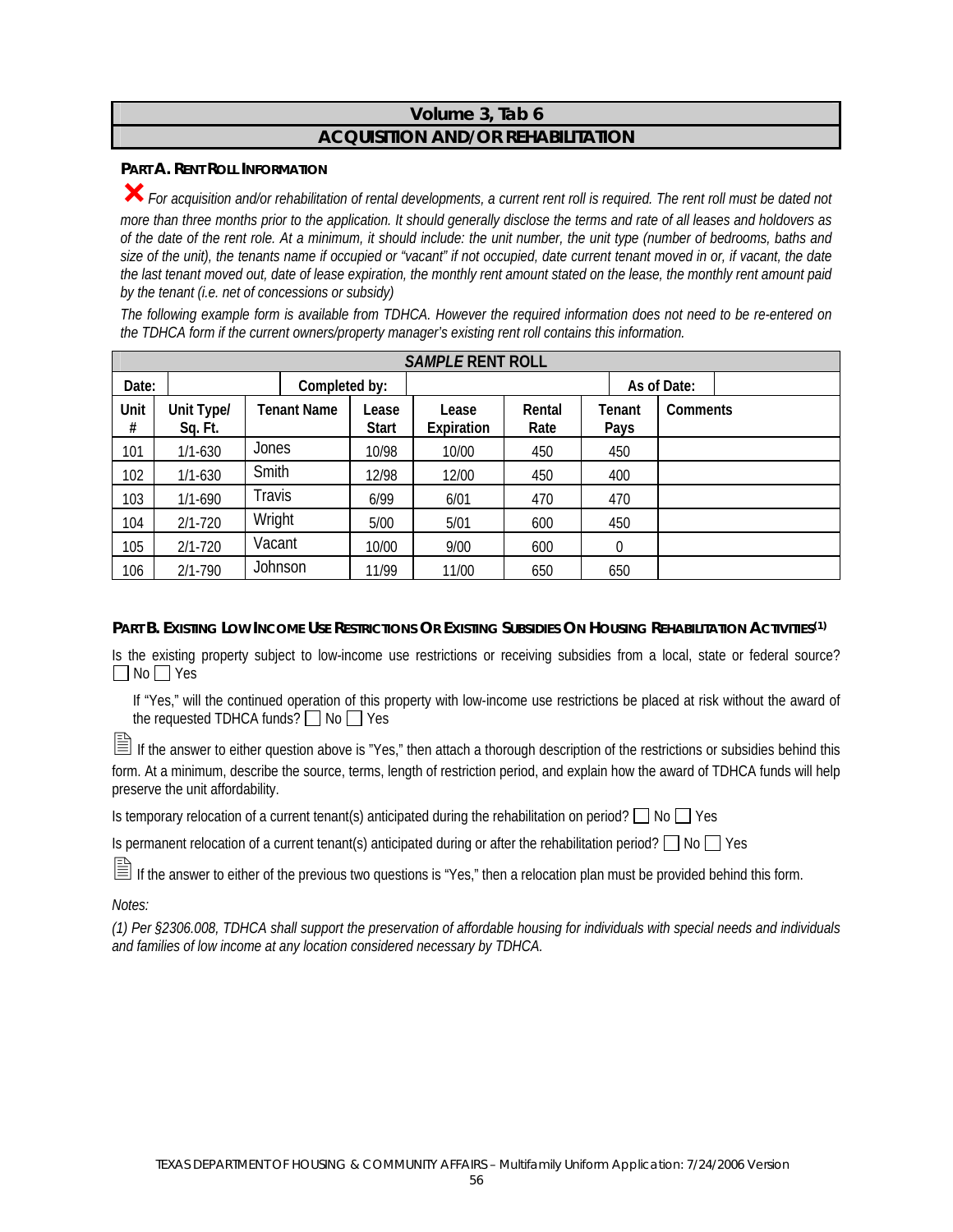# **Volume 3, Tab 6 ACQUISITION AND/OR REHABILITATION**

## **PART A. RENT ROLL INFORMATION**

³*For acquisition and/or rehabilitation of rental developments, a current rent roll is required. The rent roll must be dated not more than three months prior to the application. It should generally disclose the terms and rate of all leases and holdovers as of the date of the rent role. At a minimum, it should include: the unit number, the unit type (number of bedrooms, baths and size of the unit), the tenants name if occupied or "vacant" if not occupied, date current tenant moved in or, if vacant, the date the last tenant moved out, date of lease expiration, the monthly rent amount stated on the lease, the monthly rent amount paid by the tenant (i.e. net of concessions or subsidy)* 

*The following example form is available from TDHCA. However the required information does not need to be re-entered on the TDHCA form if the current owners/property manager's existing rent roll contains this information.* 

|           | <b>SAMPLE RENT ROLL</b> |                    |                       |                     |                |                |             |
|-----------|-------------------------|--------------------|-----------------------|---------------------|----------------|----------------|-------------|
| Date:     |                         | Completed by:      |                       |                     |                |                | As of Date: |
| Unit<br># | Unit Type/<br>Sq. Ft.   | <b>Tenant Name</b> | Lease<br><b>Start</b> | Lease<br>Expiration | Rental<br>Rate | Tenant<br>Pays | Comments    |
| 101       | $1/1 - 630$             | Jones              | 10/98                 | 10/00               | 450            | 450            |             |
| 102       | $1/1 - 630$             | Smith              | 12/98                 | 12/00               | 450            | 400            |             |
| 103       | $1/1 - 690$             | Travis             | 6/99                  | 6/01                | 470            | 470            |             |
| 104       | $2/1 - 720$             | Wright             | 5/00                  | 5/01                | 600            | 450            |             |
| 105       | $2/1 - 720$             | Vacant             | 10/00                 | 9/00                | 600            | 0              |             |
| 106       | $2/1 - 790$             | Johnson            | 11/99                 | 11/00               | 650            | 650            |             |

## **PART B. EXISTING LOW INCOME USE RESTRICTIONS OR EXISTING SUBSIDIES ON HOUSING REHABILITATION ACTIVITIES(1)**

Is the existing property subject to low-income use restrictions or receiving subsidies from a local, state or federal source?  $\Box$  No  $\Box$  Yes

If "Yes," will the continued operation of this property with low-income use restrictions be placed at risk without the award of the requested TDHCA funds?  $\Box$  No  $\Box$  Yes

If the answer to either question above is "Yes," then attach a thorough description of the restrictions or subsidies behind this form. At a minimum, describe the source, terms, length of restriction period, and explain how the award of TDHCA funds will help preserve the unit affordability.

Is temporary relocation of a current tenant(s) anticipated during the rehabilitation on period?  $\Box$  No  $\Box$  Yes

Is permanent relocation of a current tenant(s) anticipated during or after the rehabilitation period?  $\Box$  No  $\Box$  Yes

■ If the answer to either of the previous two questions is "Yes," then a relocation plan must be provided behind this form.

*Notes:* 

*(1) Per §2306.008, TDHCA shall support the preservation of affordable housing for individuals with special needs and individuals and families of low income at any location considered necessary by TDHCA.*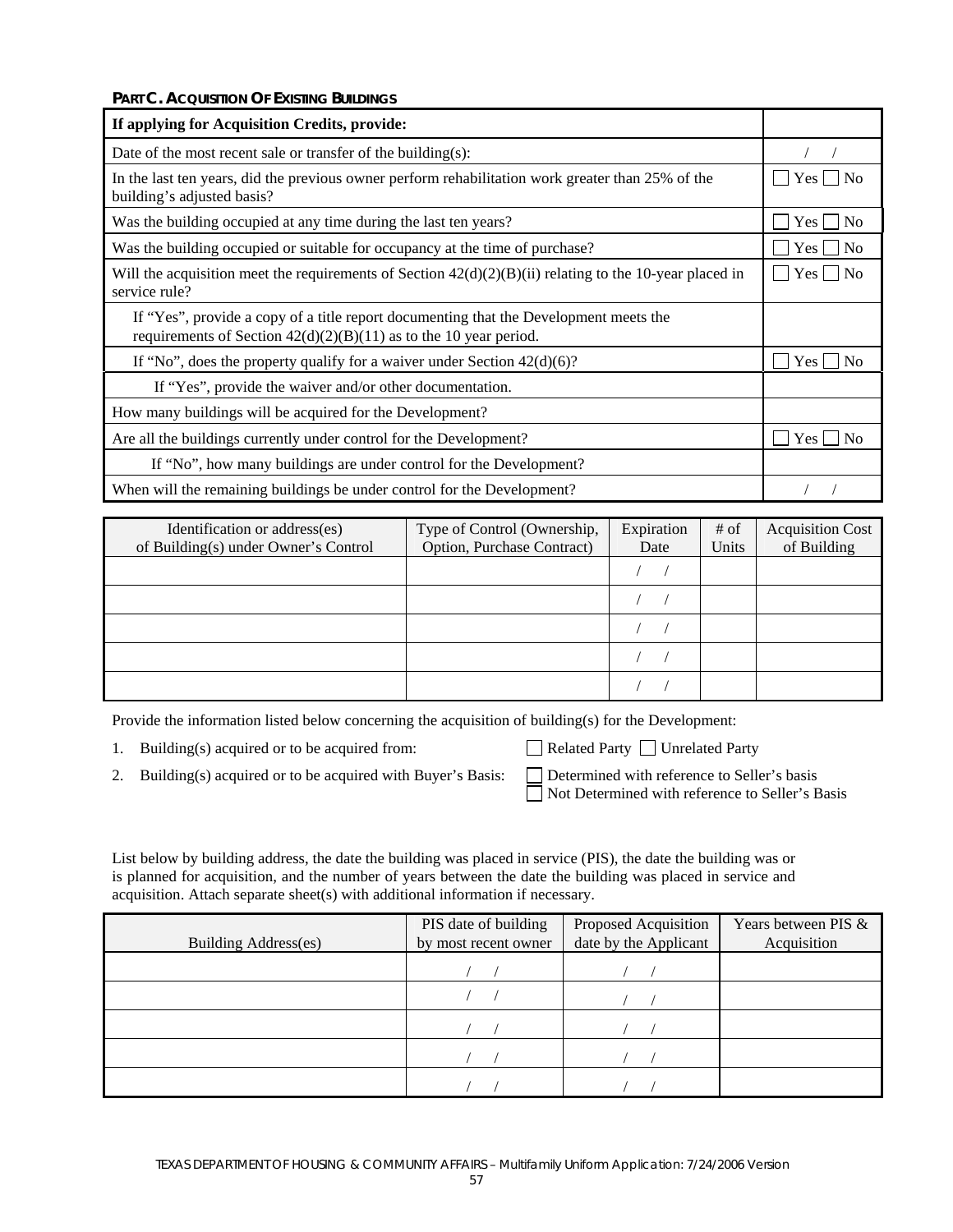**PART C. ACQUISITION OF EXISTING BUILDINGS** 

| If applying for Acquisition Credits, provide:                                                                                                                |                         |  |
|--------------------------------------------------------------------------------------------------------------------------------------------------------------|-------------------------|--|
| Date of the most recent sale or transfer of the building $(s)$ :                                                                                             |                         |  |
| In the last ten years, did the previous owner perform rehabilitation work greater than 25% of the<br>building's adjusted basis?                              | Yes                     |  |
| Was the building occupied at any time during the last ten years?                                                                                             | Yes l<br>N <sub>0</sub> |  |
| Was the building occupied or suitable for occupancy at the time of purchase?                                                                                 | $Yes \mid \text{No}$    |  |
| Will the acquisition meet the requirements of Section $42(d)(2)(B)(ii)$ relating to the 10-year placed in<br>service rule?                                   |                         |  |
| If "Yes", provide a copy of a title report documenting that the Development meets the<br>requirements of Section $42(d)(2)(B)(11)$ as to the 10 year period. |                         |  |
| If "No", does the property qualify for a waiver under Section $42(d)(6)$ ?                                                                                   | Yes  <br>N <sub>0</sub> |  |
| If "Yes", provide the waiver and/or other documentation.                                                                                                     |                         |  |
| How many buildings will be acquired for the Development?                                                                                                     |                         |  |
| Are all the buildings currently under control for the Development?                                                                                           | Yes  <br>N <sub>0</sub> |  |
| If "No", how many buildings are under control for the Development?                                                                                           |                         |  |
| When will the remaining buildings be under control for the Development?                                                                                      |                         |  |

| Identification or address(es)<br>of Building(s) under Owner's Control | Type of Control (Ownership,<br>Option, Purchase Contract) | Expiration<br>Date | # of<br>Units | <b>Acquisition Cost</b><br>of Building |
|-----------------------------------------------------------------------|-----------------------------------------------------------|--------------------|---------------|----------------------------------------|
|                                                                       |                                                           |                    |               |                                        |
|                                                                       |                                                           |                    |               |                                        |
|                                                                       |                                                           |                    |               |                                        |
|                                                                       |                                                           |                    |               |                                        |
|                                                                       |                                                           |                    |               |                                        |

Provide the information listed below concerning the acquisition of building(s) for the Development:

|  | 1. Building(s) acquired or to be acquired from: |  |
|--|-------------------------------------------------|--|
|  |                                                 |  |

Related Party  $\Box$  Unrelated Party

- 2. Building(s) acquired or to be acquired with Buyer's Basis: Determined with reference to Seller's basis
- □ Not Determined with reference to Seller's Basis

List below by building address, the date the building was placed in service (PIS), the date the building was or is planned for acquisition, and the number of years between the date the building was placed in service and acquisition. Attach separate sheet(s) with additional information if necessary.

| Building Address(es) | PIS date of building<br>by most recent owner | Proposed Acquisition<br>date by the Applicant | Years between PIS &<br>Acquisition |
|----------------------|----------------------------------------------|-----------------------------------------------|------------------------------------|
|                      |                                              |                                               |                                    |
|                      |                                              |                                               |                                    |
|                      |                                              |                                               |                                    |
|                      |                                              |                                               |                                    |
|                      |                                              |                                               |                                    |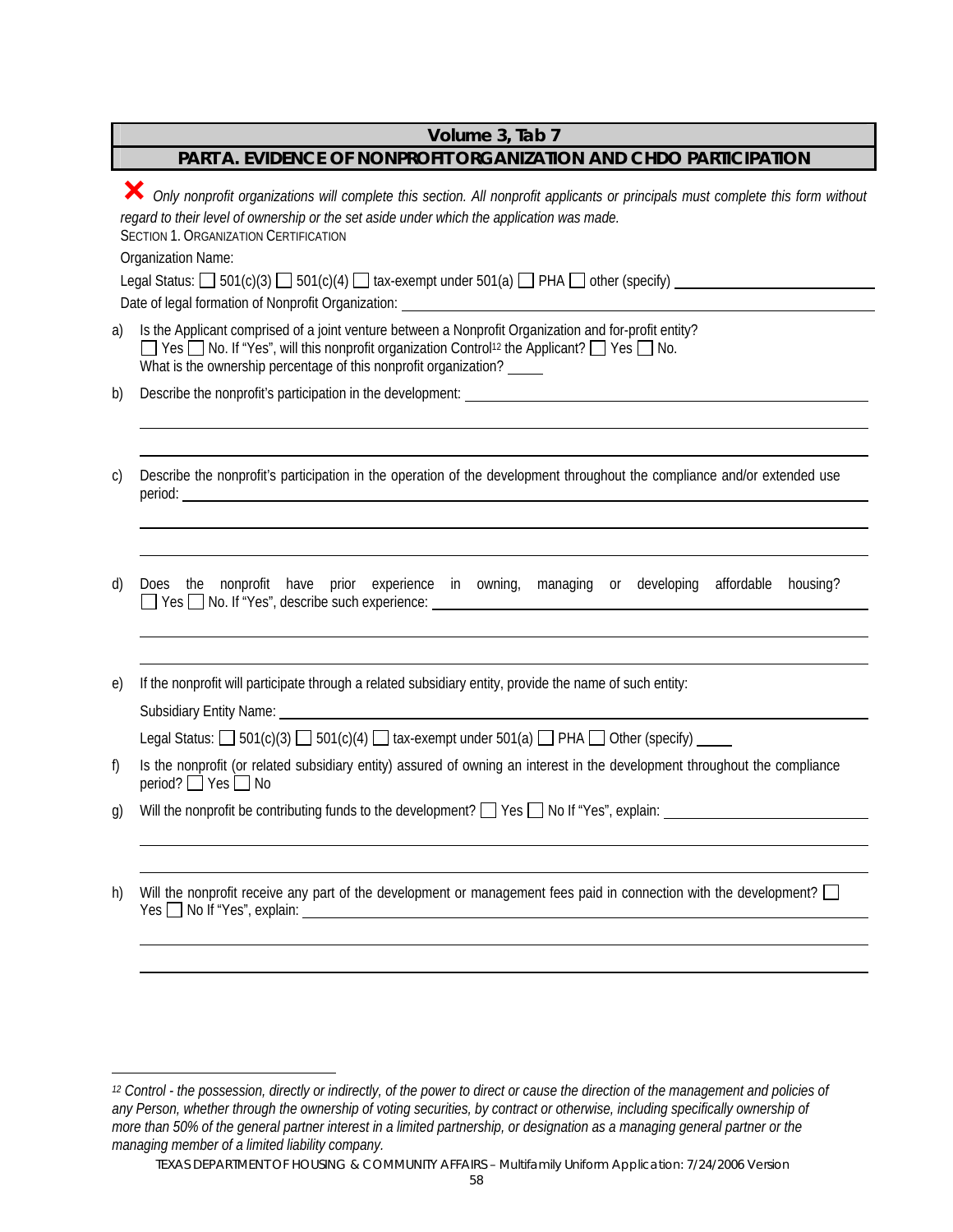# **Volume 3, Tab 7**

# **PART A. EVIDENCE OF NONPROFIT ORGANIZATION AND CHDO PARTICIPATION**

|              | Only nonprofit organizations will complete this section. All nonprofit applicants or principals must complete this form without<br>regard to their level of ownership or the set aside under which the application was made.<br><b>SECTION 1. ORGANIZATION CERTIFICATION</b><br>Organization Name:<br>Legal Status: $\Box$ 501(c)(3) $\Box$ 501(c)(4) $\Box$ tax-exempt under 501(a) $\Box$ PHA $\Box$ other (specify)                                                     |
|--------------|----------------------------------------------------------------------------------------------------------------------------------------------------------------------------------------------------------------------------------------------------------------------------------------------------------------------------------------------------------------------------------------------------------------------------------------------------------------------------|
| a)           | Is the Applicant comprised of a joint venture between a Nonprofit Organization and for-profit entity?<br>$\Box$ Yes $\Box$ No. If "Yes", will this nonprofit organization Control <sup>12</sup> the Applicant? $\Box$ Yes $\Box$ No.<br>What is the ownership percentage of this nonprofit organization?                                                                                                                                                                   |
| b)           | Describe the nonprofit's participation in the development:<br>Secret 2021 2022 2023 2024 2022 2023 2024 2022 2023 2024 2022 2023 2024 2022 2023 2022 2023 2022 2023 2024 20                                                                                                                                                                                                                                                                                                |
| $\mathsf{C}$ | Describe the nonprofit's participation in the operation of the development throughout the compliance and/or extended use<br>period: <u>example and the set of the set of the set of the set of the set of the set of the set of the set of the set of the set of the set of the set of the set of the set of the set of the set of the set of the set of the</u>                                                                                                           |
| d)           | Does the nonprofit have prior experience in owning, managing or developing affordable housing?<br>$\Box$ Yes $\Box$ No. If "Yes", describe such experience:                                                                                                                                                                                                                                                                                                                |
| e)           | If the nonprofit will participate through a related subsidiary entity, provide the name of such entity:<br>Subsidiary Entity Name: <u>Contact of the Contact of Australian Contact of Australian Contact of Australian Contact of Australian Contact of Australian Contact of Australian Contact of Australian Contact of Australian Contac</u><br>Legal Status: $\Box$ 501(c)(3) $\Box$ 501(c)(4) $\Box$ tax-exempt under 501(a) $\Box$ PHA $\Box$ Other (specify) $\Box$ |
| f)           | Is the nonprofit (or related subsidiary entity) assured of owning an interest in the development throughout the compliance<br>period? Ves I No                                                                                                                                                                                                                                                                                                                             |
| g)           | Will the nonprofit be contributing funds to the development? $\Box$ Yes $\Box$ No If "Yes", explain:                                                                                                                                                                                                                                                                                                                                                                       |
| h)           | Will the nonprofit receive any part of the development or management fees paid in connection with the development?                                                                                                                                                                                                                                                                                                                                                         |

 $\overline{a}$ 

 $\overline{a}$ 

TEXAS DEPARTMENT OF HOUSING & COMMUNITY AFFAIRS – Multifamily Uniform Application: 7/24/2006 Version

*<sup>12</sup> Control - the possession, directly or indirectly, of the power to direct or cause the direction of the management and policies of*  any Person, whether through the ownership of voting securities, by contract or otherwise, including specifically ownership of voting securities, by contract or otherwise, including specifically ownership of *more than 50% of the general partner interest in a limited partnership, or designation as a managing general partner or the managing member of a limited liability company.*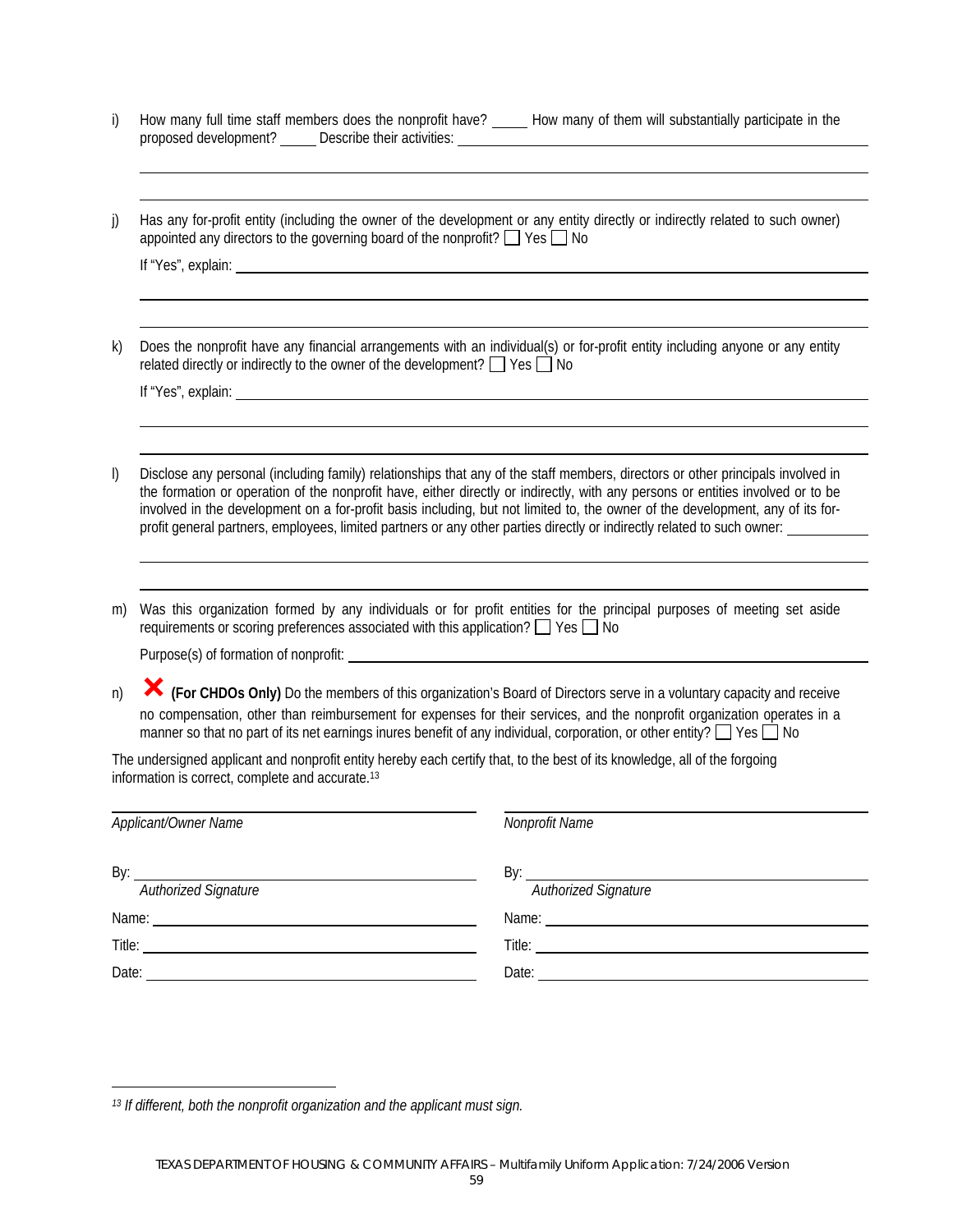|                       | How many full time staff members does the nonprofit have? | How many of them will substantially participate in the |
|-----------------------|-----------------------------------------------------------|--------------------------------------------------------|
| proposed development? | Describe their activities:                                |                                                        |
|                       |                                                           |                                                        |

j) Has any for-profit entity (including the owner of the development or any entity directly or indirectly related to such owner) appointed any directors to the governing board of the nonprofit?  $\Box$  Yes  $\Box$  No

| lf "Yes"<br>main |  |  |  |
|------------------|--|--|--|
|                  |  |  |  |
|                  |  |  |  |

k) Does the nonprofit have any financial arrangements with an individual(s) or for-profit entity including anyone or any entity related directly or indirectly to the owner of the development?  $\Box$  Yes  $\Box$  No

If "Yes", explain:

 $\overline{a}$  $\overline{a}$ 

 $\overline{a}$ 

 $\overline{a}$  $\overline{a}$ 

 $\overline{a}$  $\overline{a}$ 

 $\overline{a}$ 

- l) Disclose any personal (including family) relationships that any of the staff members, directors or other principals involved in the formation or operation of the nonprofit have, either directly or indirectly, with any persons or entities involved or to be involved in the development on a for-profit basis including, but not limited to, the owner of the development, any of its forprofit general partners, employees, limited partners or any other parties directly or indirectly related to such owner:
- m) Was this organization formed by any individuals or for profit entities for the principal purposes of meeting set aside requirements or scoring preferences associated with this application?  $\Box$  Yes  $\Box$  No

Purpose(s) of formation of nonprofit:

n) ³**(For CHDOs Only)** Do the members of this organization's Board of Directors serve in a voluntary capacity and receive no compensation, other than reimbursement for expenses for their services, and the nonprofit organization operates in a manner so that no part of its net earnings inures benefit of any individual, corporation, or other entity?  $\Box$  Yes  $\Box$  No

The undersigned applicant and nonprofit entity hereby each certify that, to the best of its knowledge, all of the forgoing information is correct, complete and accurate.13

| Applicant/Owner Name | Nonprofit Name             |
|----------------------|----------------------------|
| Authorized Signature | Authorized Signature       |
|                      |                            |
|                      |                            |
| Date:                | Date: <u>_____________</u> |

*<sup>13</sup> If different, both the nonprofit organization and the applicant must sign.*